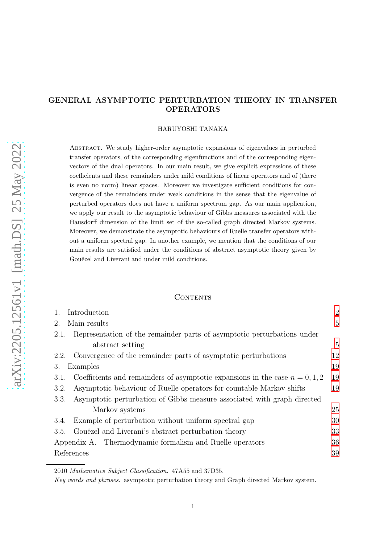# GENERAL ASYMPTOTIC PERTURBATION THEORY IN TRANSFER OPERATORS

## HARUYOSHI TANAKA

Abstract. We study higher-order asymptotic expansions of eigenvalues in perturbed transfer operators, of the corresponding eigenfunctions and of the corresponding eigenvectors of the dual operators. In our main result, we give explicit expressions of these coefficients and these remainders under mild conditions of linear operators and of (there is even no norm) linear spaces. Moreover we investigate sufficient conditions for convergence of the remainders under weak conditions in the sense that the eigenvalue of perturbed operators does not have a uniform spectrum gap. As our main application, we apply our result to the asymptotic behaviour of Gibbs measures associated with the Hausdorff dimension of the limit set of the so-called graph directed Markov systems. Moreover, we demonstrate the asymptotic behaviours of Ruelle transfer operators without a uniform spectral gap. In another example, we mention that the conditions of our main results are satisfied under the conditions of abstract asymptotic theory given by Gouëzel and Liverani and under mild conditions.

## CONTENTS

| Introduction                                                                           | $\overline{2}$ |
|----------------------------------------------------------------------------------------|----------------|
| Main results<br>2.                                                                     | 5              |
| Representation of the remainder parts of asymptotic perturbations under<br>2.1.        |                |
| abstract setting                                                                       | 5              |
| 2.2. Convergence of the remainder parts of asymptotic perturbations                    | 12             |
| Examples<br>3.                                                                         | 19             |
| Coefficients and remainders of asymptotic expansions in the case $n = 0, 1, 2$<br>3.1. | 19             |
| Asymptotic behaviour of Ruelle operators for countable Markov shifts<br>3.2.           | 19             |
| Asymptotic perturbation of Gibbs measure associated with graph directed<br>3.3.        |                |
| Markov systems                                                                         | 25             |
| Example of perturbation without uniform spectral gap<br>3.4.                           | 30             |
| Gouezel and Liverani's abstract perturbation theory<br>3.5.                            | 33             |
| Appendix A. Thermodynamic formalism and Ruelle operators                               | 36             |
| References                                                                             | 39             |

2010 Mathematics Subject Classification. 47A55 and 37D35.

Key words and phrases. asymptotic perturbation theory and Graph directed Markov system.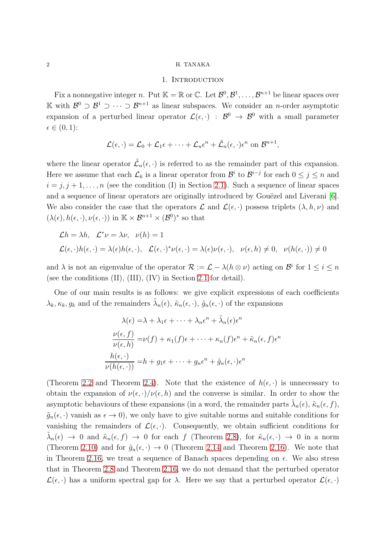# 1. INTRODUCTION

<span id="page-1-0"></span>Fix a nonnegative integer n. Put  $\mathbb{K} = \mathbb{R}$  or  $\mathbb{C}$ . Let  $\mathcal{B}^0, \mathcal{B}^1, \ldots, \mathcal{B}^{n+1}$  be linear spaces over K with  $\mathcal{B}^0$  ⊃  $\mathcal{B}^1$  ⊃  $\cdots$  ⊃  $\mathcal{B}^{n+1}$  as linear subspaces. We consider an *n*-order asymptotic expansion of a perturbed linear operator  $\mathcal{L}(\epsilon, \cdot)$  :  $\mathcal{B}^0 \to \mathcal{B}^0$  with a small parameter  $\epsilon \in (0,1)$ :

$$
\mathcal{L}(\epsilon,\cdot) = \mathcal{L}_0 + \mathcal{L}_1 \epsilon + \cdots + \mathcal{L}_n \epsilon^n + \tilde{\mathcal{L}}_n (\epsilon,\cdot) \epsilon^n \text{ on } \mathcal{B}^{n+1},
$$

where the linear operator  $\tilde{\mathcal{L}}_n(\epsilon, \cdot)$  is referred to as the remainder part of this expansion. Here we assume that each  $\mathcal{L}_k$  is a linear operator from  $\mathcal{B}^i$  to  $\mathcal{B}^{i-j}$  for each  $0 \leq j \leq n$  and  $i = j, j + 1, \ldots, n$  (see the condition (I) in Section [2.1\)](#page-4-1). Such a sequence of linear spaces and a sequence of linear operators are originally introduced by Gouëzel and Liverani  $[6]$ . We also consider the case that the operators  $\mathcal L$  and  $\mathcal L(\epsilon, \cdot)$  possess triplets  $(\lambda, h, \nu)$  and  $(\lambda(\epsilon), h(\epsilon, \cdot), \nu(\epsilon, \cdot))$  in  $\mathbb{K} \times \mathcal{B}^{n+1} \times (\mathcal{B}^0)^*$  so that

$$
\mathcal{L}h = \lambda h, \quad \mathcal{L}^*\nu = \lambda \nu, \quad \nu(h) = 1
$$
  

$$
\mathcal{L}(\epsilon, \cdot)h(\epsilon, \cdot) = \lambda(\epsilon)h(\epsilon, \cdot), \quad \mathcal{L}(\epsilon, \cdot)^*\nu(\epsilon, \cdot) = \lambda(\epsilon)\nu(\epsilon, \cdot), \quad \nu(\epsilon, h) \neq 0, \quad \nu(h(\epsilon, \cdot)) \neq 0
$$

and  $\lambda$  is not an eigenvalue of the operator  $\mathcal{R} := \mathcal{L} - \lambda(h \otimes \nu)$  acting on  $\mathcal{B}^i$  for  $1 \leq i \leq n$ (see the conditions (II), (III), (IV) in Section [2.1](#page-4-1) for detail).

One of our main results is as follows: we give explicit expressions of each coefficients  $\lambda_k, \kappa_k, g_k$  and of the remainders  $\tilde{\lambda}_n(\epsilon), \tilde{\kappa}_n(\epsilon, \cdot), \tilde{g}_n(\epsilon, \cdot)$  of the expansions

$$
\lambda(\epsilon) = \lambda + \lambda_1 \epsilon + \dots + \lambda_n \epsilon^n + \tilde{\lambda}_n(\epsilon) \epsilon^n
$$

$$
\frac{\nu(\epsilon, f)}{\nu(\epsilon, h)} = \nu(f) + \kappa_1(f)\epsilon + \dots + \kappa_n(f)\epsilon^n + \tilde{\kappa}_n(\epsilon, f)\epsilon^n
$$

$$
\frac{h(\epsilon, \cdot)}{\nu(h(\epsilon, \cdot))} = h + g_1 \epsilon + \dots + g_n \epsilon^n + \tilde{g}_n(\epsilon, \cdot)\epsilon^n
$$

(Theorem [2.2](#page-4-2) and Theorem [2.4\)](#page-7-0). Note that the existence of  $h(\epsilon, \cdot)$  is unnecessary to obtain the expansion of  $\nu(\epsilon, \cdot)/\nu(\epsilon, h)$  and the converse is similar. In order to show the asymptotic behaviours of these expansions (in a word, the remainder parts  $\tilde{\lambda}_n(\epsilon)$ ,  $\tilde{\kappa}_n(\epsilon, f)$ ,  $\tilde{g}_n(\epsilon, \cdot)$  vanish as  $\epsilon \to 0$ , we only have to give suitable norms and suitable conditions for vanishing the remainders of  $\mathcal{L}(\epsilon, \cdot)$ . Consequently, we obtain sufficient conditions for  $\tilde{\lambda}_n(\epsilon) \to 0$  and  $\tilde{\kappa}_n(\epsilon, f) \to 0$  for each f (Theorem [2.8\)](#page-11-1), for  $\tilde{\kappa}_n(\epsilon, \cdot) \to 0$  in a norm (Theorem [2.10\)](#page-12-0) and for  $\tilde{g}_n(\epsilon, \cdot) \to 0$  (Theorem [2.14](#page-14-0) and Theorem [2.16\)](#page-15-0). We note that in Theorem [2.16,](#page-15-0) we treat a sequence of Banach spaces depending on  $\epsilon$ . We also stress that in Theorem [2.8](#page-11-1) and Theorem [2.16,](#page-15-0) we do not demand that the perturbed operator  $\mathcal{L}(\epsilon, \cdot)$  has a uniform spectral gap for  $\lambda$ . Here we say that a perturbed operator  $\mathcal{L}(\epsilon, \cdot)$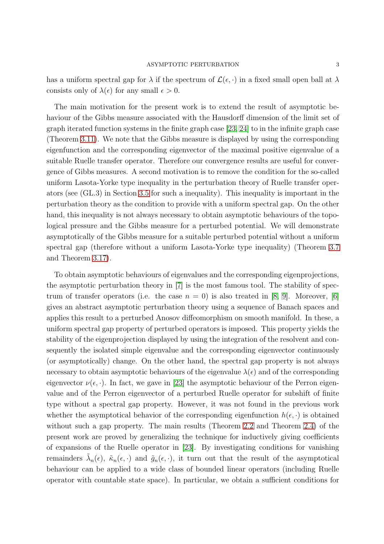has a uniform spectral gap for  $\lambda$  if the spectrum of  $\mathcal{L}(\epsilon, \cdot)$  in a fixed small open ball at  $\lambda$ consists only of  $\lambda(\epsilon)$  for any small  $\epsilon > 0$ .

The main motivation for the present work is to extend the result of asymptotic behaviour of the Gibbs measure associated with the Hausdorff dimension of the limit set of graph iterated function systems in the finite graph case [\[23,](#page-39-0) [24\]](#page-39-1) to in the infinite graph case (Theorem [3.11\)](#page-27-0). We note that the Gibbs measure is displayed by using the corresponding eigenfunction and the corresponding eigenvector of the maximal positive eigenvalue of a suitable Ruelle transfer operator. Therefore our convergence results are useful for convergence of Gibbs measures. A second motivation is to remove the condition for the so-called uniform Lasota-Yorke type inequality in the perturbation theory of Ruelle transfer operators (see (GL.3) in Section [3.5](#page-32-0) for such a inequality). This inequality is important in the perturbation theory as the condition to provide with a uniform spectral gap. On the other hand, this inequality is not always necessary to obtain asymptotic behaviours of the topological pressure and the Gibbs measure for a perturbed potential. We will demonstrate asymptotically of the Gibbs measure for a suitable perturbed potential without a uniform spectral gap (therefore without a uniform Lasota-Yorke type inequality) (Theorem [3.7](#page-24-1) and Theorem [3.17\)](#page-30-0).

To obtain asymptotic behaviours of eigenvalues and the corresponding eigenprojections, the asymptotic perturbation theory in [\[7\]](#page-38-2) is the most famous tool. The stability of spectrum of transfer operators (i.e. the case  $n = 0$ ) is also treated in [\[8,](#page-38-3) [9\]](#page-38-4). Moreover, [\[6\]](#page-38-1) gives an abstract asymptotic perturbation theory using a sequence of Banach spaces and applies this result to a perturbed Anosov diffeomorphism on smooth manifold. In these, a uniform spectral gap property of perturbed operators is imposed. This property yields the stability of the eigenprojection displayed by using the integration of the resolvent and consequently the isolated simple eigenvalue and the corresponding eigenvector continuously (or asymptotically) change. On the other hand, the spectral gap property is not always necessary to obtain asymptotic behaviours of the eigenvalue  $\lambda(\epsilon)$  and of the corresponding eigenvector  $\nu(\epsilon, \cdot)$ . In fact, we gave in [\[23\]](#page-39-0) the asymptotic behaviour of the Perron eigenvalue and of the Perron eigenvector of a perturbed Ruelle operator for subshift of finite type without a spectral gap property. However, it was not found in the previous work whether the asymptotical behavior of the corresponding eigenfunction  $h(\epsilon, \cdot)$  is obtained without such a gap property. The main results (Theorem [2.2](#page-4-2) and Theorem [2.4\)](#page-7-0) of the present work are proved by generalizing the technique for inductively giving coefficients of expansions of the Ruelle operator in [\[23\]](#page-39-0). By investigating conditions for vanishing remainders  $\tilde{\lambda}_n(\epsilon)$ ,  $\tilde{\kappa}_n(\epsilon, \cdot)$  and  $\tilde{g}_n(\epsilon, \cdot)$ , it turn out that the result of the asymptotical behaviour can be applied to a wide class of bounded linear operators (including Ruelle operator with countable state space). In particular, we obtain a sufficient conditions for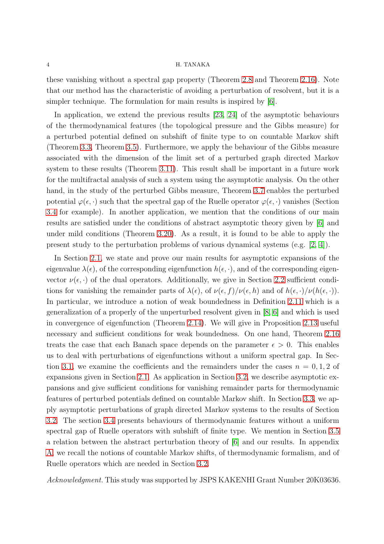these vanishing without a spectral gap property (Theorem [2.8](#page-11-1) and Theorem [2.16\)](#page-15-0). Note that our method has the characteristic of avoiding a perturbation of resolvent, but it is a simpler technique. The formulation for main results is inspired by [\[6\]](#page-38-1).

In application, we extend the previous results [\[23,](#page-39-0) [24\]](#page-39-1) of the asymptotic behaviours of the thermodynamical features (the topological pressure and the Gibbs measure) for a perturbed potential defined on subshift of finite type to on countable Markov shift (Theorem [3.3,](#page-20-0) Theorem [3.5\)](#page-21-0). Furthermore, we apply the behaviour of the Gibbs measure associated with the dimension of the limit set of a perturbed graph directed Markov system to these results (Theorem [3.11\)](#page-27-0). This result shall be important in a future work for the multifractal analysis of such a system using the asymptotic analysis. On the other hand, in the study of the perturbed Gibbs measure, Theorem [3.7](#page-24-1) enables the perturbed potential  $\varphi(\epsilon, \cdot)$  such that the spectral gap of the Ruelle operator  $\varphi(\epsilon, \cdot)$  vanishes (Section [3.4](#page-29-0) for example). In another application, we mention that the conditions of our main results are satisfied under the conditions of abstract asymptotic theory given by [\[6\]](#page-38-1) and under mild conditions (Theorem [3.20\)](#page-34-0). As a result, it is found to be able to apply the present study to the perturbation problems of various dynamical systems (e.g. [\[2,](#page-38-5) [4\]](#page-38-6)).

In Section [2.1,](#page-4-1) we state and prove our main results for asymptotic expansions of the eigenvalue  $\lambda(\epsilon)$ , of the corresponding eigenfunction  $h(\epsilon, \cdot)$ , and of the corresponding eigenvector  $\nu(\epsilon, \cdot)$  of the dual operators. Additionally, we give in Section [2.2](#page-11-0) sufficient conditions for vanishing the remainder parts of  $\lambda(\epsilon)$ , of  $\nu(\epsilon, f)/\nu(\epsilon, h)$  and of  $h(\epsilon, \cdot)/\nu(h(\epsilon, \cdot))$ . In particular, we introduce a notion of weak boundedness in Definition [2.11](#page-13-0) which is a generalization of a properly of the unperturbed resolvent given in [\[8,](#page-38-3) [6\]](#page-38-1) and which is used in convergence of eigenfunction (Theorem [2.14\)](#page-14-0). We will give in Proposition [2.13](#page-13-1) useful necessary and sufficient conditions for weak boundedness. On one hand, Theorem [2.16](#page-15-0) treats the case that each Banach space depends on the parameter  $\epsilon > 0$ . This enables us to deal with perturbations of eigenfunctions without a uniform spectral gap. In Sec-tion [3.1,](#page-18-1) we examine the coefficients and the remainders under the cases  $n = 0, 1, 2$  of expansions given in Section [2.1.](#page-4-1) As application in Section [3.2,](#page-18-2) we describe asymptotic expansions and give sufficient conditions for vanishing remainder parts for thermodynamic features of perturbed potentials defined on countable Markov shift. In Section [3.3,](#page-24-0) we apply asymptotic perturbations of graph directed Markov systems to the results of Section [3.2.](#page-18-2) The section [3.4](#page-29-0) presents behaviours of thermodynamic features without a uniform spectral gap of Ruelle operators with subshift of finite type. We mention in Section [3.5](#page-32-0) a relation between the abstract perturbation theory of [\[6\]](#page-38-1) and our results. In appendix [A,](#page-35-0) we recall the notions of countable Markov shifts, of thermodynamic formalism, and of Ruelle operators which are needed in Section [3.2.](#page-18-2)

Acknowledgment. This study was supported by JSPS KAKENHI Grant Number 20K03636.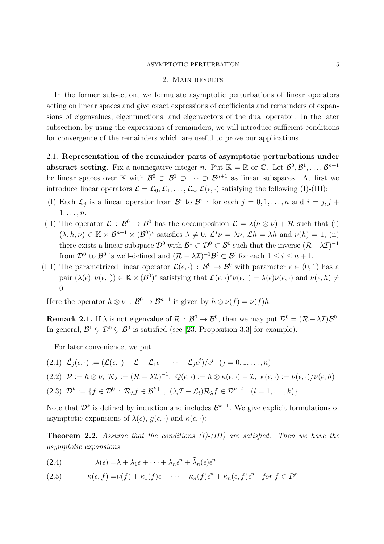#### ASYMPTOTIC PERTURBATION 5

## 2. Main results

<span id="page-4-0"></span>In the former subsection, we formulate asymptotic perturbations of linear operators acting on linear spaces and give exact expressions of coefficients and remainders of expansions of eigenvalues, eigenfunctions, and eigenvectors of the dual operator. In the later subsection, by using the expressions of remainders, we will introduce sufficient conditions for convergence of the remainders which are useful to prove our applications.

<span id="page-4-1"></span>2.1. Representation of the remainder parts of asymptotic perturbations under abstract setting. Fix a nonnegative integer n. Put  $\mathbb{K} = \mathbb{R}$  or  $\mathbb{C}$ . Let  $\mathcal{B}^0, \mathcal{B}^1, \ldots, \mathcal{B}^{n+1}$ be linear spaces over K with  $\mathcal{B}^0 \supset \mathcal{B}^1 \supset \cdots \supset \mathcal{B}^{n+1}$  as linear subspaces. At first we introduce linear operators  $\mathcal{L} = \mathcal{L}_0, \mathcal{L}_1, \ldots, \mathcal{L}_n, \mathcal{L}(\epsilon, \cdot)$  satisfying the following (I)-(III):

- (I) Each  $\mathcal{L}_j$  is a linear operator from  $\mathcal{B}^i$  to  $\mathcal{B}^{i-j}$  for each  $j = 0, 1, ..., n$  and  $i = j, j +$  $1, \ldots, n$ .
- (II) The operator  $\mathcal{L}: \mathcal{B}^0 \to \mathcal{B}^0$  has the decomposition  $\mathcal{L} = \lambda(h \otimes \nu) + \mathcal{R}$  such that (i)  $(\lambda, h, \nu) \in \mathbb{K} \times \mathcal{B}^{n+1} \times (\mathcal{B}^0)^*$  satisfies  $\lambda \neq 0$ ,  $\mathcal{L}^* \nu = \lambda \nu$ ,  $\mathcal{L} h = \lambda h$  and  $\nu(h) = 1$ , (ii) there exists a linear subspace  $\mathcal{D}^0$  with  $\mathcal{B}^1 \subset \mathcal{D}^0 \subset \mathcal{B}^0$  such that the inverse  $(\mathcal{R} - \lambda \mathcal{I})^{-1}$ from  $\mathcal{D}^0$  to  $\mathcal{B}^0$  is well-defined and  $(\mathcal{R} - \lambda \mathcal{I})^{-1} \mathcal{B}^i \subset \mathcal{B}^i$  for each  $1 \leq i \leq n+1$ .
- (III) The parametrized linear operator  $\mathcal{L}(\epsilon, \cdot) : \mathcal{B}^0 \to \mathcal{B}^0$  with parameter  $\epsilon \in (0, 1)$  has a pair  $(\lambda(\epsilon), \nu(\epsilon, \cdot)) \in \mathbb{K} \times (\mathcal{B}^0)^*$  satisfying that  $\mathcal{L}(\epsilon, \cdot)^* \nu(\epsilon, \cdot) = \lambda(\epsilon) \nu(\epsilon, \cdot)$  and  $\nu(\epsilon, h) \neq$ 0.

Here the operator  $h \otimes \nu : \mathcal{B}^0 \to \mathcal{B}^{n+1}$  is given by  $h \otimes \nu(f) = \nu(f)h$ .

**Remark 2.1.** If  $\lambda$  is not eigenvalue of  $\mathcal{R} : \mathcal{B}^0 \to \mathcal{B}^0$ , then we may put  $\mathcal{D}^0 = (\mathcal{R} - \lambda \mathcal{I}) \mathcal{B}^0$ . In general,  $\mathcal{B}^1 \subsetneq \mathcal{D}^0 \subsetneq \mathcal{B}^0$  is satisfied (see [\[23,](#page-39-0) Proposition 3.3] for example).

For later convenience, we put

(2.1)  $\tilde{\mathcal{L}}_j(\epsilon, \cdot) := (\mathcal{L}(\epsilon, \cdot) - \mathcal{L} - \mathcal{L}_1 \epsilon - \cdots - \mathcal{L}_j \epsilon^j) / \epsilon^j \quad (j = 0, 1, \ldots, n)$ (2.2)  $\mathcal{P} := h \otimes \nu$ ,  $\mathcal{R}_{\lambda} := (\mathcal{R} - \lambda \mathcal{I})^{-1}$ ,  $\mathcal{Q}(\epsilon, \cdot) := h \otimes \kappa(\epsilon, \cdot) - \mathcal{I}$ ,  $\kappa(\epsilon, \cdot) := \nu(\epsilon, \cdot)/\nu(\epsilon, h)$ (2.3)  $\mathcal{D}^k := \{f \in \mathcal{D}^0 : \mathcal{R}_{\lambda} f \in \mathcal{B}^{k+1}, \ (\lambda_l \mathcal{I} - \mathcal{L}_l) \mathcal{R}_{\lambda} f \in \mathcal{D}^{n-l} \ (l = 1, \dots, k)\}.$ 

<span id="page-4-5"></span>Note that  $\mathcal{D}^k$  is defined by induction and includes  $\mathcal{B}^{k+1}$ . We give explicit formulations of asymptotic expansions of  $\lambda(\epsilon)$ ,  $g(\epsilon, \cdot)$  and  $\kappa(\epsilon, \cdot)$ :

<span id="page-4-2"></span>**Theorem 2.2.** Assume that the conditions  $(I)$ - $(III)$  are satisfied. Then we have the asymptotic expansions

<span id="page-4-3"></span>(2.4) 
$$
\lambda(\epsilon) = \lambda + \lambda_1 \epsilon + \dots + \lambda_n \epsilon^n + \tilde{\lambda}_n(\epsilon) \epsilon^n
$$

<span id="page-4-4"></span>(2.5) 
$$
\kappa(\epsilon, f) = \nu(f) + \kappa_1(f)\epsilon + \cdots + \kappa_n(f)\epsilon^n + \tilde{\kappa}_n(\epsilon, f)\epsilon^n \quad \text{for } f \in \mathcal{D}^n
$$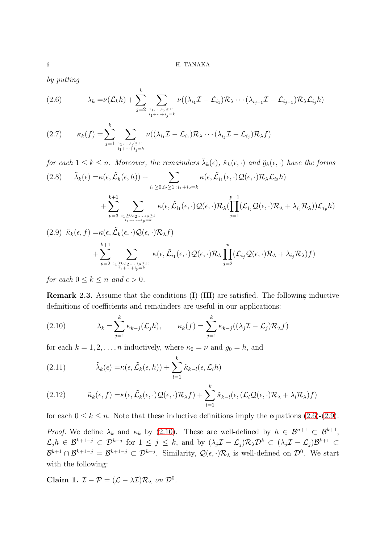by putting

<span id="page-5-0"></span>(2.6) 
$$
\lambda_k = \nu(\mathcal{L}_k h) + \sum_{j=2}^k \sum_{\substack{i_1,\ldots,i_j \geq 1 \\ i_1 + \cdots + i_j = k}} \nu((\lambda_{i_1} \mathcal{I} - \mathcal{L}_{i_1}) \mathcal{R}_{\lambda} \cdots (\lambda_{i_{j-1}} \mathcal{I} - \mathcal{L}_{i_{j-1}}) \mathcal{R}_{\lambda} \mathcal{L}_{i_j} h)
$$

<span id="page-5-6"></span>
$$
(2.7) \qquad \kappa_k(f) = \sum_{j=1}^k \sum_{\substack{i_1,\dots,i_j \geq 1:\\i_1+\dots+i_j=k}} \nu((\lambda_{i_1} \mathcal{I} - \mathcal{L}_{i_1}) \mathcal{R}_{\lambda} \cdots (\lambda_{i_j} \mathcal{I} - \mathcal{L}_{i_j}) \mathcal{R}_{\lambda} f)
$$

<span id="page-5-4"></span>for each  $1 \leq k \leq n$ . Moreover, the remainders  $\tilde{\lambda}_k(\epsilon)$ ,  $\tilde{\kappa}_k(\epsilon, \cdot)$  and  $\tilde{g}_k(\epsilon, \cdot)$  have the forms  $\tilde{\lambda}_k(\epsilon) = \kappa(\epsilon, \tilde{\mathcal{L}}_k(\epsilon, h)) + \sum$ (2.8)  $\tilde{\lambda}_k(\epsilon) = \kappa(\epsilon, \tilde{\mathcal{L}}_k(\epsilon, h)) + \sum_{\kappa(\epsilon, \tilde{\mathcal{L}}_{i_1}(\epsilon, \cdot) \mathcal{Q}(\epsilon, \cdot) \mathcal{R}_{\lambda} \mathcal{L}_{i_2} h)$ 

$$
+\sum_{p=3}^{k+1}\sum_{\stackrel{i_1\ge 0,i_2,\dots,i_p\ge 1}{i_1+\dots+i_p=k}}\kappa(\epsilon,\tilde{\mathcal{L}}_{i_1}(\epsilon,\cdot)\mathcal{Q}(\epsilon,\cdot)\mathcal{R}_{\lambda}(\prod_{j=1}^{p-1}(\mathcal{L}_{i_j}\mathcal{Q}(\epsilon,\cdot)\mathcal{R}_{\lambda}+\lambda_{i_j}\mathcal{R}_{\lambda}))\mathcal{L}_{i_p}h)
$$

<span id="page-5-1"></span>
$$
(2.9) \tilde{\kappa}_{k}(\epsilon, f) = \kappa(\epsilon, \tilde{\mathcal{L}}_{k}(\epsilon, \cdot) \mathcal{Q}(\epsilon, \cdot) \mathcal{R}_{\lambda} f) + \sum_{p=2}^{k+1} \sum_{\substack{i_1 \geq 0, i_2, \dots, i_p \geq 1: \\ i_1 + \dots + i_p = k}} \kappa(\epsilon, \tilde{\mathcal{L}}_{i_1}(\epsilon, \cdot) \mathcal{Q}(\epsilon, \cdot) \mathcal{R}_{\lambda} \prod_{j=2}^p (\mathcal{L}_{i_j} \mathcal{Q}(\epsilon, \cdot) \mathcal{R}_{\lambda} + \lambda_{i_j} \mathcal{R}_{\lambda}) f)
$$

for each  $0 \leq k \leq n$  and  $\epsilon > 0$ .

Remark 2.3. Assume that the conditions (I)-(III) are satisfied. The following inductive definitions of coefficients and remainders are useful in our applications:

<span id="page-5-2"></span>(2.10) 
$$
\lambda_k = \sum_{j=1}^k \kappa_{k-j}(\mathcal{L}_j h), \qquad \kappa_k(f) = \sum_{j=1}^k \kappa_{k-j}((\lambda_j \mathcal{I} - \mathcal{L}_j) \mathcal{R}_{\lambda} f)
$$

for each  $k = 1, 2, ..., n$  inductively, where  $\kappa_0 = \nu$  and  $g_0 = h$ , and

<span id="page-5-3"></span>(2.11) 
$$
\tilde{\lambda}_k(\epsilon) = \kappa(\epsilon, \tilde{\mathcal{L}}_k(\epsilon, h)) + \sum_{l=1}^k \tilde{\kappa}_{k-l}(\epsilon, \mathcal{L}_l h)
$$

<span id="page-5-5"></span>(2.12) 
$$
\tilde{\kappa}_k(\epsilon, f) = \kappa(\epsilon, \tilde{\mathcal{L}}_k(\epsilon, \cdot) \mathcal{Q}(\epsilon, \cdot) \mathcal{R}_{\lambda} f) + \sum_{l=1}^k \tilde{\kappa}_{k-l}(\epsilon, (\mathcal{L}_l \mathcal{Q}(\epsilon, \cdot) \mathcal{R}_{\lambda} + \lambda_l \mathcal{R}_{\lambda}) f)
$$

for each  $0 \le k \le n$ . Note that these inductive definitions imply the equations  $(2.6)-(2.9)$  $(2.6)-(2.9)$ .

*Proof.* We define  $\lambda_k$  and  $\kappa_k$  by [\(2.10\)](#page-5-2). These are well-defined by  $h \in \mathcal{B}^{n+1} \subset \mathcal{B}^{k+1}$ ,  $\mathcal{L}_j h \in \mathcal{B}^{k+1-j} \subset \mathcal{D}^{k-j}$  for  $1 \leq j \leq k$ , and by  $(\lambda_j \mathcal{I} - \mathcal{L}_j) \mathcal{R}_{\lambda} \mathcal{D}^{k} \subset (\lambda_j \mathcal{I} - \mathcal{L}_j) \mathcal{B}^{k+1} \subset$  $\mathcal{B}^{k+1}\cap\mathcal{B}^{k+1-j}=\mathcal{B}^{k+1-j}\subset\mathcal{D}^{k-j}$ . Similarity,  $\mathcal{Q}(\epsilon,\cdot)\mathcal{R}_{\lambda}$  is well-defined on  $\mathcal{D}^0$ . We start with the following:

Claim 1.  $\mathcal{I} - \mathcal{P} = (\mathcal{L} - \lambda \mathcal{I}) \mathcal{R}_{\lambda}$  on  $\mathcal{D}^{0}$ .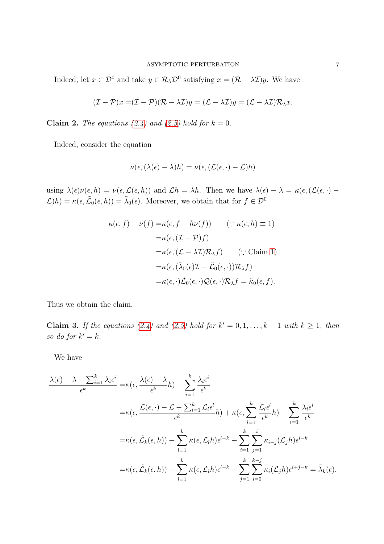Indeed, let  $x \in \mathcal{D}^0$  and take  $y \in \mathcal{R}_{\lambda} \mathcal{D}^0$  satisfying  $x = (\mathcal{R} - \lambda \mathcal{I})y$ . We have

$$
(\mathcal{I} - \mathcal{P})x = (\mathcal{I} - \mathcal{P})(\mathcal{R} - \lambda \mathcal{I})y = (\mathcal{L} - \lambda \mathcal{I})y = (\mathcal{L} - \lambda \mathcal{I})\mathcal{R}_{\lambda}x.
$$

Claim 2. The equations [\(2.4\)](#page-4-3) and [\(2.5\)](#page-4-4) hold for  $k = 0$ .

Indeed, consider the equation

$$
\nu(\epsilon,(\lambda(\epsilon)-\lambda)h)=\nu(\epsilon,(\mathcal{L}(\epsilon,\cdot)-\mathcal{L})h)
$$

using  $\lambda(\epsilon)\nu(\epsilon, h) = \nu(\epsilon, \mathcal{L}(\epsilon, h))$  and  $\mathcal{L}h = \lambda h$ . Then we have  $\lambda(\epsilon) - \lambda = \kappa(\epsilon, (\mathcal{L}(\epsilon, \cdot) - \lambda))$  $\mathcal{L}(h) = \kappa(\epsilon, \tilde{\mathcal{L}}_0(\epsilon, h)) = \tilde{\lambda}_0(\epsilon)$ . Moreover, we obtain that for  $f \in \mathcal{D}^0$ 

$$
\kappa(\epsilon, f) - \nu(f) = \kappa(\epsilon, f - h\nu(f)) \qquad (\because \kappa(\epsilon, h) \equiv 1)
$$
  
\n
$$
= \kappa(\epsilon, (\mathcal{I} - \mathcal{P})f)
$$
  
\n
$$
= \kappa(\epsilon, (\mathcal{L} - \lambda \mathcal{I})\mathcal{R}_{\lambda}f) \qquad (\because \text{Claim 1})
$$
  
\n
$$
= \kappa(\epsilon, (\tilde{\lambda}_{0}(\epsilon)\mathcal{I} - \tilde{\mathcal{L}}_{0}(\epsilon, \cdot))\mathcal{R}_{\lambda}f)
$$
  
\n
$$
= \kappa(\epsilon, \cdot)\tilde{\mathcal{L}}_{0}(\epsilon, \cdot)\mathcal{Q}(\epsilon, \cdot)\mathcal{R}_{\lambda}f = \tilde{\kappa}_{0}(\epsilon, f).
$$

Thus we obtain the claim.

**Claim 3.** If the equations [\(2.4\)](#page-4-3) and [\(2.5\)](#page-4-4) hold for  $k' = 0, 1, ..., k - 1$  with  $k \ge 1$ , then so do for  $k' = k$ .

We have

$$
\frac{\lambda(\epsilon) - \lambda - \sum_{i=1}^{k} \lambda_i \epsilon^i}{\epsilon^k} = \kappa(\epsilon, \frac{\lambda(\epsilon) - \lambda}{\epsilon^k} h) - \sum_{i=1}^{k} \frac{\lambda_i \epsilon^i}{\epsilon^k}
$$
\n
$$
= \kappa(\epsilon, \frac{\mathcal{L}(\epsilon, \cdot) - \mathcal{L} - \sum_{l=1}^{k} \mathcal{L}_l \epsilon^l}{\epsilon^k} h) + \kappa(\epsilon, \sum_{l=1}^{k} \frac{\mathcal{L}_l \epsilon^l}{\epsilon^k} h) - \sum_{i=1}^{k} \frac{\lambda_i \epsilon^i}{\epsilon^k}
$$
\n
$$
= \kappa(\epsilon, \tilde{\mathcal{L}}_k(\epsilon, h)) + \sum_{l=1}^{k} \kappa(\epsilon, \mathcal{L}_l h) \epsilon^{l-k} - \sum_{i=1}^{k} \sum_{j=1}^{i} \kappa_{i-j} (\mathcal{L}_j h) \epsilon^{i-k}
$$
\n
$$
= \kappa(\epsilon, \tilde{\mathcal{L}}_k(\epsilon, h)) + \sum_{l=1}^{k} \kappa(\epsilon, \mathcal{L}_l h) \epsilon^{l-k} - \sum_{j=1}^{k} \sum_{i=0}^{k-j} \kappa_i (\mathcal{L}_j h) \epsilon^{i+j-k} = \tilde{\lambda}_k(\epsilon),
$$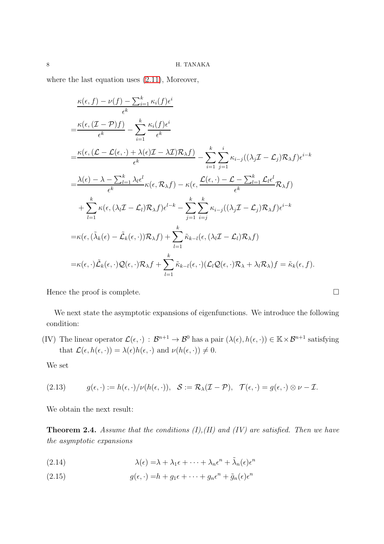where the last equation uses [\(2.11\)](#page-5-3), Moreover,

$$
\frac{\kappa(\epsilon, f) - \nu(f) - \sum_{i=1}^{k} \kappa_i(f)\epsilon^i}{\epsilon^k}
$$
\n
$$
= \frac{\kappa(\epsilon, (\mathcal{I} - \mathcal{P})f)}{\epsilon^k} - \sum_{i=1}^{k} \frac{\kappa_i(f)\epsilon^i}{\epsilon^k}
$$
\n
$$
= \frac{\kappa(\epsilon, (\mathcal{L} - \mathcal{L}(\epsilon, \cdot) + \lambda(\epsilon)\mathcal{I} - \lambda\mathcal{I})\mathcal{R}_{\lambda}f)}{\epsilon^k} - \sum_{i=1}^{k} \sum_{j=1}^{i} \kappa_{i-j}((\lambda_j\mathcal{I} - \mathcal{L}_j)\mathcal{R}_{\lambda}f)\epsilon^{i-k}
$$
\n
$$
= \frac{\lambda(\epsilon) - \lambda - \sum_{l=1}^{k} \lambda_l \epsilon^l}{\epsilon^k} \kappa(\epsilon, \mathcal{R}_{\lambda}f) - \kappa(\epsilon, \frac{\mathcal{L}(\epsilon, \cdot) - \mathcal{L} - \sum_{l=1}^{k} \mathcal{L}_l \epsilon^l}{\epsilon^k} \mathcal{R}_{\lambda}f)
$$
\n
$$
+ \sum_{l=1}^{k} \kappa(\epsilon, (\lambda_l \mathcal{I} - \mathcal{L}_l)\mathcal{R}_{\lambda}f)\epsilon^{l-k} - \sum_{j=1}^{k} \sum_{i=j}^{k} \kappa_{i-j}((\lambda_j \mathcal{I} - \mathcal{L}_j)\mathcal{R}_{\lambda}f)\epsilon^{i-k}
$$
\n
$$
= \kappa(\epsilon, (\tilde{\lambda}_k(\epsilon) - \tilde{\mathcal{L}}_k(\epsilon, \cdot))\mathcal{R}_{\lambda}f) + \sum_{l=1}^{k} \tilde{\kappa}_{k-l}(\epsilon, (\lambda_l \mathcal{I} - \mathcal{L}_l)\mathcal{R}_{\lambda}f)
$$
\n
$$
= \kappa(\epsilon, \cdot)\tilde{\mathcal{L}}_k(\epsilon, \cdot)\mathcal{Q}(\epsilon, \cdot)\mathcal{R}_{\lambda}f + \sum_{l=1}^{k} \tilde{\kappa}_{k-l}(\epsilon, \cdot)(\mathcal{L}_l\mathcal{Q}(\epsilon, \cdot)\mathcal{R}_{\lambda} + \lambda_l \mathcal{R}_{\lambda})f = \tilde{\kappa}_k(\epsilon, f).
$$

Hence the proof is complete.  $\Box$ 

We next state the asymptotic expansions of eigenfunctions. We introduce the following condition:

(IV) The linear operator  $\mathcal{L}(\epsilon, \cdot) : \mathcal{B}^{n+1} \to \mathcal{B}^0$  has a pair  $(\lambda(\epsilon), h(\epsilon, \cdot)) \in \mathbb{K} \times \mathcal{B}^{n+1}$  satisfying that  $\mathcal{L}(\epsilon, h(\epsilon, \cdot)) = \lambda(\epsilon)h(\epsilon, \cdot)$  and  $\nu(h(\epsilon, \cdot)) \neq 0$ .

We set

<span id="page-7-3"></span>(2.13) 
$$
g(\epsilon, \cdot) := h(\epsilon, \cdot) / \nu(h(\epsilon, \cdot)), \quad \mathcal{S} := \mathcal{R}_{\lambda}(\mathcal{I} - \mathcal{P}), \quad \mathcal{T}(\epsilon, \cdot) = g(\epsilon, \cdot) \otimes \nu - \mathcal{I}.
$$

We obtain the next result:

<span id="page-7-0"></span>**Theorem 2.4.** Assume that the conditions  $(I), (II)$  and  $(IV)$  are satisfied. Then we have the asymptotic expansions

<span id="page-7-1"></span> $\lambda(\epsilon) = \lambda + \lambda_1 \epsilon + \cdots + \lambda_n \epsilon^n + \tilde{\lambda}_n(\epsilon) \epsilon^n$ (2.14)

<span id="page-7-2"></span>(2.15) 
$$
g(\epsilon, \cdot) = h + g_1 \epsilon + \dots + g_n \epsilon^n + \tilde{g}_n(\epsilon) \epsilon^n
$$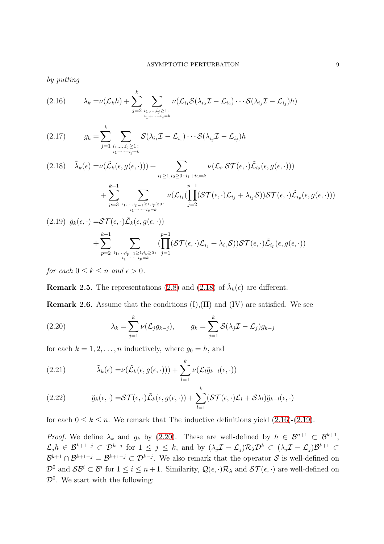by putting

<span id="page-8-1"></span>
$$
(2.16) \qquad \lambda_k = \nu(\mathcal{L}_k h) + \sum_{j=2}^k \sum_{\substack{i_1,\ldots,i_j \geq 1:\\i_1+\cdots+i_j=k}} \nu(\mathcal{L}_{i_1} \mathcal{S}(\lambda_{i_2} \mathcal{I} - \mathcal{L}_{i_2}) \cdots \mathcal{S}(\lambda_{i_j} \mathcal{I} - \mathcal{L}_{i_j}) h)
$$

<span id="page-8-5"></span>
$$
(2.17) \t g_k = \sum_{j=1}^k \sum_{\substack{i_1,\ldots,i_j \geq 1:\\i_1+\cdots+i_j=k}} S(\lambda_{i_1} \mathcal{I} - \mathcal{L}_{i_1}) \cdots S(\lambda_{i_j} \mathcal{I} - \mathcal{L}_{i_j}) h
$$

 $i_1 + \cdots + i_p = k$ 

<span id="page-8-0"></span>
$$
(2.18) \quad \tilde{\lambda}_{k}(\epsilon) = \nu(\tilde{\mathcal{L}}_{k}(\epsilon, g(\epsilon, \cdot))) + \sum_{i_{1} \geq 1, i_{2} \geq 0 \colon i_{1} + i_{2} = k} \nu(\mathcal{L}_{i_{1}} \mathcal{ST}(\epsilon, \cdot) \tilde{\mathcal{L}}_{i_{2}}(\epsilon, g(\epsilon, \cdot))) + \sum_{p=3}^{k+1} \sum_{i_{1}, \dots, i_{p-1} \geq 1, i_{p} \geq 0 \colon i_{p-1} \geq 0} \nu(\mathcal{L}_{i_{1}}(\prod_{j=2}^{p-1} (\mathcal{ST}(\epsilon, \cdot) \mathcal{L}_{i_{j}} + \lambda_{i_{j}} \mathcal{S})) \mathcal{ST}(\epsilon, \cdot) \tilde{\mathcal{L}}_{i_{p}}(\epsilon, g(\epsilon, \cdot)))
$$

<span id="page-8-2"></span>
$$
(2.19) \tilde{g}_k(\epsilon, \cdot) = S\mathcal{T}(\epsilon, \cdot) \tilde{\mathcal{L}}_k(\epsilon, g(\epsilon, \cdot)) + \sum_{p=2}^{k+1} \sum_{\substack{i_1, \dots, i_{p-1} \ge 1, i_p \ge 0 \\ i_1 + \dots + i_p = k}} \left( \prod_{j=1}^{p-1} (\mathcal{ST}(\epsilon, \cdot) \mathcal{L}_{i_j} + \lambda_{i_j} \mathcal{S}) \right) S\mathcal{T}(\epsilon, \cdot) \tilde{\mathcal{L}}_{i_p}(\epsilon, g(\epsilon, \cdot))
$$

for each  $0 \leq k \leq n$  and  $\epsilon > 0$ .

**Remark 2.5.** The representations [\(2.8\)](#page-5-4) and [\(2.18\)](#page-8-0) of  $\tilde{\lambda}_k(\epsilon)$  are different.

**Remark 2.6.** Assume that the conditions  $(I), (II)$  and  $(IV)$  are satisfied. We see

<span id="page-8-3"></span>(2.20) 
$$
\lambda_k = \sum_{j=1}^k \nu(\mathcal{L}_j g_{k-j}), \qquad g_k = \sum_{j=1}^k \mathcal{S}(\lambda_j \mathcal{I} - \mathcal{L}_j) g_{k-j}
$$

for each  $k = 1, 2, \ldots, n$  inductively, where  $g_0 = h$ , and

(2.21) 
$$
\tilde{\lambda}_{k}(\epsilon) = \nu(\tilde{\mathcal{L}}_{k}(\epsilon, g(\epsilon, \cdot))) + \sum_{l=1}^{k} \nu(\mathcal{L}_{l} \tilde{g}_{k-l}(\epsilon, \cdot))
$$

<span id="page-8-4"></span>(2.22) 
$$
\tilde{g}_k(\epsilon, \cdot) = \mathcal{ST}(\epsilon, \cdot) \tilde{\mathcal{L}}_k(\epsilon, g(\epsilon, \cdot)) + \sum_{l=1}^k (\mathcal{ST}(\epsilon, \cdot) \mathcal{L}_l + \mathcal{S} \lambda_l) \tilde{g}_{k-l}(\epsilon, \cdot)
$$

for each  $0 \le k \le n$ . We remark that The inductive definitions yield [\(2.16\)](#page-8-1)-[\(2.19\)](#page-8-2).

*Proof.* We define  $\lambda_k$  and  $g_k$  by [\(2.20\)](#page-8-3). These are well-defined by  $h \in \mathcal{B}^{n+1} \subset \mathcal{B}^{k+1}$ ,  $\mathcal{L}_j h$  ∈  $\mathcal{B}^{k+1-j}$  ⊂  $\mathcal{D}^{k-j}$  for  $1 \leq j \leq k$ , and by  $(\lambda_j \mathcal{I} - \mathcal{L}_j) \mathcal{R}_{\lambda} \mathcal{D}^{k}$  ⊂  $(\lambda_j \mathcal{I} - \mathcal{L}_j) \mathcal{B}^{k+1}$  ⊂  $\mathcal{B}^{k+1} \cap \mathcal{B}^{k+1-j} = \mathcal{B}^{k+1-j} \subset \mathcal{D}^{k-j}$ . We also remark that the operator S is well-defined on  $\mathcal{D}^0$  and  $\mathcal{SB}^i \subset \mathcal{B}^i$  for  $1 \leq i \leq n+1$ . Similarity,  $\mathcal{Q}(\epsilon, \cdot)\mathcal{R}_\lambda$  and  $\mathcal{ST}(\epsilon, \cdot)$  are well-defined on  $\mathcal{D}^0$ . We start with the following: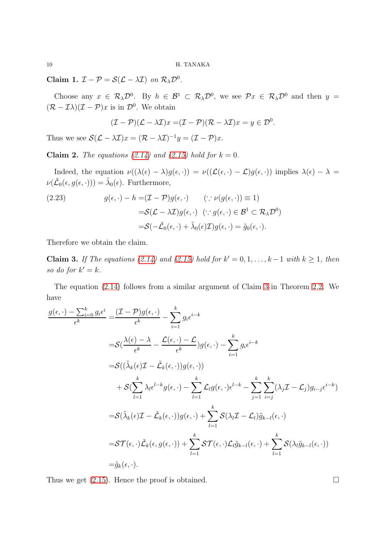Claim 1.  $\mathcal{I} - \mathcal{P} = \mathcal{S}(\mathcal{L} - \lambda \mathcal{I})$  on  $\mathcal{R}_{\lambda} \mathcal{D}^{0}$ .

Choose any  $x \in \mathcal{R}_{\lambda} \mathcal{D}^0$ . By  $h \in \mathcal{B}^1 \subset \mathcal{R}_{\lambda} \mathcal{D}^0$ , we see  $\mathcal{P}x \in \mathcal{R}_{\lambda} \mathcal{D}^0$  and then  $y =$  $(\mathcal{R} - \mathcal{I}\lambda)(\mathcal{I} - \mathcal{P})x$  is in  $\mathcal{D}^0$ . We obtain

$$
(\mathcal{I} - \mathcal{P})(\mathcal{L} - \lambda \mathcal{I})x = (\mathcal{I} - \mathcal{P})(\mathcal{R} - \lambda \mathcal{I})x = y \in \mathcal{D}^0.
$$

Thus we see  $\mathcal{S}(\mathcal{L} - \lambda \mathcal{I})x = (\mathcal{R} - \lambda \mathcal{I})^{-1}y = (\mathcal{I} - \mathcal{P})x$ .

Claim 2. The equations [\(2.14\)](#page-7-1) and [\(2.15\)](#page-7-2) hold for  $k = 0$ .

Indeed, the equation  $\nu((\lambda(\epsilon)-\lambda)g(\epsilon,\cdot)) = \nu((\mathcal{L}(\epsilon,\cdot)-\mathcal{L})g(\epsilon,\cdot))$  implies  $\lambda(\epsilon)-\lambda =$  $\nu(\tilde{\mathcal{L}}_0(\epsilon, g(\epsilon, \cdot))) = \tilde{\lambda}_0(\epsilon)$ . Furthermore,

<span id="page-9-0"></span>(2.23) 
$$
g(\epsilon, \cdot) - h = (\mathcal{I} - \mathcal{P})g(\epsilon, \cdot) \quad (\because \nu(g(\epsilon, \cdot)) \equiv 1) = \mathcal{S}(\mathcal{L} - \lambda \mathcal{I})g(\epsilon, \cdot) \quad (\because g(\epsilon, \cdot) \in \mathcal{B}^1 \subset \mathcal{R}_{\lambda} \mathcal{D}^0) = \mathcal{S}(-\tilde{\mathcal{L}}_0(\epsilon, \cdot) + \tilde{\lambda}_0(\epsilon)\mathcal{I})g(\epsilon, \cdot) = \tilde{g}_0(\epsilon, \cdot).
$$

Therefore we obtain the claim.

**Claim 3.** If The equations [\(2.14\)](#page-7-1) and [\(2.15\)](#page-7-2) hold for  $k' = 0, 1, ..., k-1$  with  $k \ge 1$ , then so do for  $k' = k$ .

The equation [\(2.14\)](#page-7-1) follows from a similar argument of Claim [3](#page-23-0) in Theorem [2.2.](#page-4-2) We have

$$
\frac{g(\epsilon, \cdot) - \sum_{i=0}^{k} g_i \epsilon^i}{\epsilon^k} = \frac{(\mathcal{I} - \mathcal{P})g(\epsilon, \cdot)}{\epsilon^k} - \sum_{i=1}^{k} g_i \epsilon^{i-k}
$$
\n
$$
= S\left(\frac{\lambda(\epsilon) - \lambda}{\epsilon^k} - \frac{\mathcal{L}(\epsilon, \cdot) - \mathcal{L}}{\epsilon^k}\right)g(\epsilon, \cdot) - \sum_{i=1}^{k} g_i \epsilon^{i-k}
$$
\n
$$
= S\left((\tilde{\lambda}_k(\epsilon)\mathcal{I} - \tilde{\mathcal{L}}_k(\epsilon, \cdot))g(\epsilon, \cdot)\right)
$$
\n
$$
+ S\left(\sum_{l=1}^k \lambda_l \epsilon^{l-k} g(\epsilon, \cdot) - \sum_{l=1}^k \mathcal{L}_l g(\epsilon, \cdot) \epsilon^{l-k} - \sum_{j=1}^k \sum_{i=j}^k (\lambda_j \mathcal{I} - \mathcal{L}_j)g_{i-j}\epsilon^{i-k}\right)
$$
\n
$$
= S(\tilde{\lambda}_k(\epsilon)\mathcal{I} - \tilde{\mathcal{L}}_k(\epsilon, \cdot))g(\epsilon, \cdot) + \sum_{l=1}^k S(\lambda_l \mathcal{I} - \mathcal{L}_l)\tilde{g}_{k-l}(\epsilon, \cdot)
$$
\n
$$
= S\mathcal{T}(\epsilon, \cdot)\tilde{\mathcal{L}}_k(\epsilon, g(\epsilon, \cdot)) + \sum_{l=1}^k S\mathcal{T}(\epsilon, \cdot)\mathcal{L}_l\tilde{g}_{k-l}(\epsilon, \cdot) + \sum_{l=1}^k S(\lambda_l \tilde{g}_{k-l}(\epsilon, \cdot))
$$
\n
$$
= \tilde{g}_k(\epsilon, \cdot).
$$

Thus we get  $(2.15)$ . Hence the proof is obtained.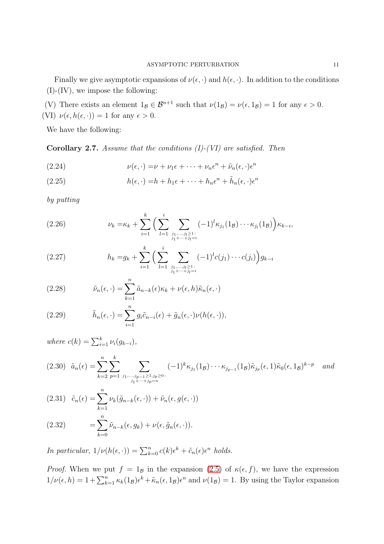Finally we give asymptotic expansions of  $\nu(\epsilon, \cdot)$  and  $h(\epsilon, \cdot)$ . In addition to the conditions  $(I)$ - $(IV)$ , we impose the following:

(V) There exists an element  $1_B \in \mathcal{B}^{n+1}$  such that  $\nu(1_B) = \nu(\epsilon, 1_B) = 1$  for any  $\epsilon > 0$ . (VI)  $\nu(\epsilon, h(\epsilon, \cdot)) = 1$  for any  $\epsilon > 0$ .

We have the following:

**Corollary 2.7.** Assume that the conditions  $(I)$ - $(VI)$  are satisfied. Then

<span id="page-10-0"></span>(2.24) 
$$
\nu(\epsilon, \cdot) = \nu + \nu_1 \epsilon + \dots + \nu_n \epsilon^n + \tilde{\nu}_n(\epsilon, \cdot) \epsilon^n
$$

<span id="page-10-1"></span>(2.25) 
$$
h(\epsilon, \cdot) = h + h_1 \epsilon + \dots + h_n \epsilon^n + \tilde{h}_n(\epsilon, \cdot) \epsilon^n
$$

by putting

<span id="page-10-4"></span>(2.26) 
$$
\nu_{k} = \kappa_{k} + \sum_{i=1}^{k} \Big( \sum_{l=1}^{i} \sum_{\substack{j_{1}, \dots, j_{l} \geq 1: \\ j_{1} + \dots + j_{l} = i}} (-1)^{l} \kappa_{j_{1}}(1_{\mathcal{B}}) \cdots \kappa_{j_{l}}(1_{\mathcal{B}}) \Big) \kappa_{k-i},
$$

(2.27) 
$$
h_k = g_k + \sum_{i=1}^k \Big( \sum_{l=1}^i \sum_{\substack{j_1, \dots, j_l \geq 1: \\ j_1 + \dots + j_l = i}} (-1)^l c(j_1) \cdots c(j_i) \Big) g_{k-i}
$$

(2.28) 
$$
\tilde{\nu}_n(\epsilon, \cdot) = \sum_{k=1}^n \tilde{a}_{n-k}(\epsilon) \kappa_k + \nu(\epsilon, h) \tilde{\kappa}_n(\epsilon, \cdot)
$$

<span id="page-10-2"></span>(2.29) 
$$
\tilde{h}_n(\epsilon, \cdot) = \sum_{i=1}^n g_i \tilde{c}_{n-i}(\epsilon) + \tilde{g}_n(\epsilon, \cdot) \nu(h(\epsilon, \cdot)),
$$

where  $c(k) = \sum_{i=1}^{k} \nu_i(g_{k-i}),$  $\tilde{a}_n(\epsilon) = \sum^n$  $_{k=2}$  $\sum$ k  $_{p=1}$  $\sum$  $j_1,...,j_{p-1} \geq 1, j_p \geq 0$ :  $j_1 + \cdots + j_p = n$ (2.30)  $\tilde{a}_n(\epsilon) = \sum \sum$   $\sum$   $(-1)^k \kappa_{j_1}(1_\mathcal{B}) \cdots \kappa_{j_{p-1}}(1_\mathcal{B}) \tilde{\kappa}_{j_p}(\epsilon, 1) \tilde{\kappa}_0(\epsilon, 1_\mathcal{B})^{k-p}$  and

<span id="page-10-3"></span>(2.31) 
$$
\tilde{c}_n(\epsilon) = \sum_{k=1}^n \nu_k(\tilde{g}_{n-k}(\epsilon, \cdot)) + \tilde{\nu}_n(\epsilon, g(\epsilon, \cdot))
$$

<span id="page-10-5"></span>(2.32) 
$$
= \sum_{k=0}^{n} \tilde{\nu}_{n-k}(\epsilon, g_k) + \nu(\epsilon, \tilde{g}_n(\epsilon, \cdot)).
$$

In particular,  $1/\nu(h(\epsilon, \cdot)) = \sum_{k=0}^{n} c(k)\epsilon^{k} + \tilde{c}_{n}(\epsilon)\epsilon^{n}$  holds.

*Proof.* When we put  $f = 1_B$  in the expansion [\(2.5\)](#page-4-4) of  $\kappa(\epsilon, f)$ , we have the expression  $1/\nu(\epsilon, h) = 1 + \sum_{k=1}^n \kappa_k(1_B) \epsilon^k + \tilde{\kappa}_n(\epsilon, 1_B) \epsilon^n$  and  $\nu(1_B) = 1$ . By using the Taylor expansion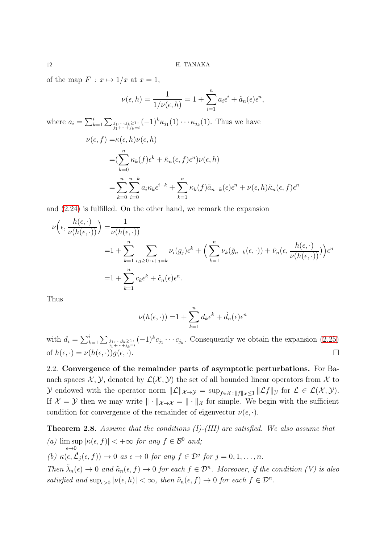of the map  $F : x \mapsto 1/x$  at  $x = 1$ ,

$$
\nu(\epsilon, h) = \frac{1}{1/\nu(\epsilon, h)} = 1 + \sum_{i=1}^{n} a_i \epsilon^i + \tilde{a}_n(\epsilon) \epsilon^n,
$$
  
where  $a_i = \sum_{j_1, \dots, j_k \ge 1}^{i} (-1)^k \kappa_{j_1}(1) \cdots \kappa_{j_k}(1)$ . Thus we have  

$$
\nu(\epsilon, f) = \kappa(\epsilon, h)\nu(\epsilon, h)
$$

$$
= (\sum_{k=0}^{n} \kappa_k(f)\epsilon^k + \tilde{\kappa}_n(\epsilon, f)\epsilon^n)\nu(\epsilon, h)
$$

$$
= \sum_{k=0}^{n} \sum_{i=0}^{n-k} a_i \kappa_k \epsilon^{i+k} + \sum_{k=1}^{n} \kappa_k(f)\tilde{a}_{n-k}(\epsilon) \epsilon^n + \nu(\epsilon, h)\tilde{\kappa}_n(\epsilon, f)\epsilon^n
$$

and [\(2.24\)](#page-10-0) is fulfilled. On the other hand, we remark the expansion

$$
\nu\left(\epsilon, \frac{h(\epsilon, \cdot)}{\nu(h(\epsilon, \cdot))}\right) = \frac{1}{\nu(h(\epsilon, \cdot))}
$$
  
=1 +  $\sum_{k=1}^{n} \sum_{i,j \ge 0 \colon i+j=k} \nu_i(g_j) \epsilon^k + \left(\sum_{k=1}^{n} \nu_k(\tilde{g}_{n-k}(\epsilon, \cdot)) + \tilde{\nu}_n(\epsilon, \frac{h(\epsilon, \cdot)}{\nu(h(\epsilon, \cdot))})\right) \epsilon^n$   
=1 +  $\sum_{k=1}^{n} c_k \epsilon^k + \tilde{c}_n(\epsilon) \epsilon^n$ .

Thus

$$
\nu(h(\epsilon, \cdot)) = 1 + \sum_{k=1}^{n} d_k \epsilon^k + \tilde{d}_n(\epsilon) \epsilon^n
$$

with  $d_i = \sum_{k=1}^i \sum_{\substack{j_1,\dots,j_k\geq 1:\j_1+\cdots+j_k=i}} (-1)^k c_{j_1}\cdots c_{j_k}$ . Consequently we obtain the expansion [\(2.25\)](#page-10-1) of  $h(\epsilon, \cdot) = \nu(h(\epsilon, \cdot))q(\epsilon, \cdot).$ 

<span id="page-11-0"></span>2.2. Convergence of the remainder parts of asymptotic perturbations. For Banach spaces  $\mathcal{X}, \mathcal{Y}$ , denoted by  $\mathcal{L}(\mathcal{X}, \mathcal{Y})$  the set of all bounded linear operators from  $\mathcal{X}$  to y endowed with the operator norm  $||\mathcal{L}||_{\mathcal{X}\to\mathcal{Y}} = \sup_{f\in\mathcal{X}} \sum_{\|f\|_{\mathcal{X}}\leq 1} ||\mathcal{L}f||_{\mathcal{Y}}$  for  $\mathcal{L} \in \mathcal{L}(\mathcal{X}, \mathcal{Y})$ . If  $\mathcal{X} = \mathcal{Y}$  then we may write  $\|\cdot\|_{\mathcal{X}\to\mathcal{X}} = \|\cdot\|_{\mathcal{X}}$  for simple. We begin with the sufficient condition for convergence of the remainder of eigenvector  $\nu(\epsilon, \cdot)$ .

<span id="page-11-1"></span>Theorem 2.8. Assume that the conditions (I)-(III) are satisfied. We also assume that  $(a)$  lim sup  $\max_{\epsilon \to 0} |\kappa(\epsilon, f)| < +\infty$  for any  $f \in \mathcal{B}^0$  and; (b)  $\kappa(\epsilon, \tilde{\mathcal{L}}_j(\epsilon, f)) \to 0$  as  $\epsilon \to 0$  for any  $f \in \mathcal{D}^j$  for  $j = 0, 1, \ldots, n$ . Then  $\tilde{\lambda}_n(\epsilon) \to 0$  and  $\tilde{\kappa}_n(\epsilon, f) \to 0$  for each  $f \in \mathcal{D}^n$ . Moreover, if the condition (V) is also satisfied and  $\sup_{\epsilon>0} |\nu(\epsilon, h)| < \infty$ , then  $\tilde{\nu}_n(\epsilon, f) \to 0$  for each  $f \in \mathcal{D}^n$ .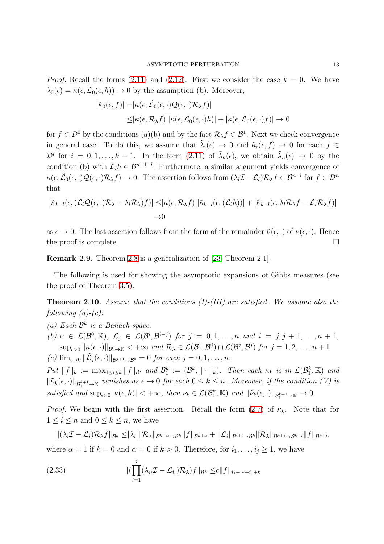*Proof.* Recall the forms  $(2.11)$  and  $(2.12)$ . First we consider the case  $k = 0$ . We have  $\tilde{\lambda}_0(\epsilon) = \kappa(\epsilon, \tilde{\mathcal{L}}_0(\epsilon, h)) \to 0$  by the assumption (b). Moreover,

$$
|\tilde{\kappa}_0(\epsilon, f)| = |\kappa(\epsilon, \tilde{\mathcal{L}}_0(\epsilon, \cdot) \mathcal{Q}(\epsilon, \cdot) \mathcal{R}_{\lambda} f)|
$$
  
\$\leq |\kappa(\epsilon, \mathcal{R}\_{\lambda} f)| |\kappa(\epsilon, \tilde{\mathcal{L}}\_0(\epsilon, \cdot) h)| + |\kappa(\epsilon, \tilde{\mathcal{L}}\_0(\epsilon, \cdot) f)| \to 0

for  $f \in \mathcal{D}^0$  by the conditions (a)(b) and by the fact  $\mathcal{R}_{\lambda} f \in \mathcal{B}^1$ . Next we check convergence in general case. To do this, we assume that  $\tilde{\lambda}_i(\epsilon) \to 0$  and  $\tilde{\kappa}_i(\epsilon, f) \to 0$  for each  $f \in$  $\mathcal{D}^i$  for  $i = 0, 1, \ldots, k - 1$ . In the form  $(2.11)$  of  $\tilde{\lambda}_k(\epsilon)$ , we obtain  $\tilde{\lambda}_n(\epsilon) \to 0$  by the condition (b) with  $\mathcal{L}_l h \in \mathcal{B}^{n+1-l}$ . Furthermore, a similar argument yields convergence of  $\kappa(\epsilon, \tilde{\mathcal{L}}_0(\epsilon, \cdot) \mathcal{Q}(\epsilon, \cdot) \mathcal{R}_{\lambda} f) \to 0$ . The assertion follows from  $(\lambda_l \mathcal{I} - \mathcal{L}_l) \mathcal{R}_{\lambda} f \in \mathcal{B}^{n-l}$  for  $f \in \mathcal{D}^n$ that

$$
|\tilde{\kappa}_{k-l}(\epsilon,(\mathcal{L}_l\mathcal{Q}(\epsilon,\cdot)\mathcal{R}_\lambda+\lambda_l\mathcal{R}_\lambda)f)| \leq |\kappa(\epsilon,\mathcal{R}_\lambda f)||\tilde{\kappa}_{k-l}(\epsilon,(\mathcal{L}_lh))| + |\tilde{\kappa}_{k-l}(\epsilon,\lambda_l\mathcal{R}_\lambda f - \mathcal{L}_l\mathcal{R}_\lambda f)|
$$
  

$$
\to 0
$$

as  $\epsilon \to 0$ . The last assertion follows from the form of the remainder  $\tilde{\nu}(\epsilon, \cdot)$  of  $\nu(\epsilon, \cdot)$ . Hence the proof is complete.  $\Box$ 

Remark 2.9. Theorem [2.8](#page-11-1) is a generalization of [\[23,](#page-39-0) Theorem 2.1].

The following is used for showing the asymptotic expansions of Gibbs measures (see the proof of Theorem [3.5\)](#page-21-0).

<span id="page-12-0"></span>**Theorem 2.10.** Assume that the conditions  $(I)$ - $(III)$  are satisfied. We assume also the following  $(a)-(c)$ :

(a) Each  $\mathcal{B}^k$  is a Banach space. (b)  $\nu \in \mathcal{L}(\mathcal{B}^0, \mathbb{K}), \mathcal{L}_j \in \mathcal{L}(\mathcal{B}^i, \mathcal{B}^{i-j})$  for  $j = 0, 1, \ldots, n$  and  $i = j, j + 1, \ldots, n + 1$ ,  $\sup_{\epsilon>0} \|\kappa(\epsilon,\cdot)\|_{\mathcal{B}^0\to\mathbb{K}} < +\infty$  and  $\mathcal{R}_{\lambda} \in \mathcal{L}(\mathcal{B}^1,\mathcal{B}^0) \cap \mathcal{L}(\mathcal{B}^j,\mathcal{B}^j)$  for  $j=1,2,\ldots,n+1$ (c)  $\lim_{\epsilon \to 0} \|\tilde{\mathcal{L}}_j(\epsilon, \cdot)\|_{\mathcal{B}^{j+1} \to \mathcal{B}^0} = 0$  for each  $j = 0, 1, \ldots, n$ .

 $Put \|f\|_k := \max_{1 \leq i \leq k} \|f\|_{\mathcal{B}^i} \text{ and } \mathcal{B}_1^k := (\mathcal{B}^k, \|\cdot\|_k). \text{ Then each } \kappa_k \text{ is in } \mathcal{L}(\mathcal{B}_1^k, \mathbb{K}) \text{ and }$  $\|\tilde{\kappa}_k(\epsilon,\cdot)\|_{\mathcal{B}^{k+1}_1\to\mathbb{K}}$  vanishes as  $\epsilon\to 0$  for each  $0\leq k\leq n$ . Moreover, if the condition (V) is satisfied and  $\sup_{\epsilon>0} |\nu(\epsilon, h)| < +\infty$ , then  $\nu_k \in \mathcal{L}(\mathcal{B}_1^k, \mathbb{K})$  and  $\|\tilde{\nu}_k(\epsilon, \cdot)\|_{\mathcal{B}_1^{k+1} \to \mathbb{K}} \to 0$ .

*Proof.* We begin with the first assertion. Recall the form  $(2.7)$  of  $\kappa_k$ . Note that for  $1 \leq i \leq n$  and  $0 \leq k \leq n$ , we have

 $\|(\lambda_i\mathcal{I}-\mathcal{L}_i)\mathcal{R}_\lambda f\|_{\mathcal{B}^k}\leq |\lambda_i|\|\mathcal{R}_\lambda\|_{\mathcal{B}^{k+\alpha}\to\mathcal{B}^k}\|f\|_{\mathcal{B}^{k+\alpha}}+\|\mathcal{L}_i\|_{\mathcal{B}^{i+l}\to\mathcal{B}^k}\|\mathcal{R}_\lambda\|_{\mathcal{B}^{k+i}\to\mathcal{B}^{k+i}}\|f\|_{\mathcal{B}^{k+i}},$ where  $\alpha = 1$  if  $k = 0$  and  $\alpha = 0$  if  $k > 0$ . Therefore, for  $i_1, \ldots, i_j \geq 1$ , we have

(2.33) 
$$
\|(\prod_{l=1}^{j}(\lambda_{i_{l}}\mathcal{I}-\mathcal{L}_{i_{l}})\mathcal{R}_{\lambda})f\|_{\mathcal{B}^{k}} \leq c\|f\|_{i_{1}+\cdots+i_{j}+k}
$$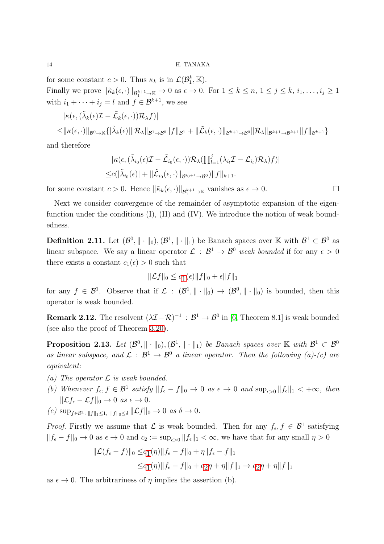for some constant  $c > 0$ . Thus  $\kappa_k$  is in  $\mathcal{L}(\mathcal{B}_1^k, \mathbb{K})$ .

Finally we prove  $\|\tilde{\kappa}_k(\epsilon, \cdot)\|_{\mathcal{B}^{k+1}_1\to \mathbb{K}} \to 0$  as  $\epsilon \to 0$ . For  $1 \leq k \leq n, 1 \leq j \leq k, i_1, \ldots, i_j \geq 1$ with  $i_1 + \cdots + i_j = l$  and  $f \in \mathcal{B}^{k+1}$ , we see

$$
|\kappa(\epsilon, (\tilde{\lambda}_k(\epsilon)\mathcal{I}-\tilde{\mathcal{L}}_k(\epsilon,\cdot))\mathcal{R}_{\lambda}f)|
$$
  
\n
$$
\leq ||\kappa(\epsilon,\cdot)||_{\mathcal{B}^0\to\mathbb{K}}\{|\tilde{\lambda}_k(\epsilon)||\mathcal{R}_{\lambda}||_{\mathcal{B}^1\to\mathcal{B}^0}||f||_{\mathcal{B}^1}+||\tilde{\mathcal{L}}_k(\epsilon,\cdot)||_{\mathcal{B}^{k+1}\to\mathcal{B}^0}||\mathcal{R}_{\lambda}||_{\mathcal{B}^{k+1}\to\mathcal{B}^{k+1}}||f||_{\mathcal{B}^{k+1}}\}
$$

and therefore

$$
|\kappa(\epsilon, (\tilde{\lambda}_{i_0}(\epsilon)\mathcal{I} - \tilde{\mathcal{L}}_{i_0}(\epsilon, \cdot))\mathcal{R}_{\lambda}(\prod_{l=1}^j (\lambda_{i_l}\mathcal{I} - \mathcal{L}_{i_l})\mathcal{R}_{\lambda})f)|
$$
  

$$
\leq c(|\tilde{\lambda}_{i_0}(\epsilon)| + ||\tilde{\mathcal{L}}_{i_0}(\epsilon, \cdot)||_{\mathcal{B}^{i_0+1}\to\mathcal{B}^0})||f||_{k+1}.
$$

for some constant  $c > 0$ . Hence  $\|\tilde{\kappa}_k(\epsilon, \cdot)\|_{\mathcal{B}_1^{k+1} \to \mathbb{K}}$  vanishes as  $\epsilon \to 0$ .

Next we consider convergence of the remainder of asymptotic expansion of the eigenfunction under the conditions  $(I)$ ,  $(II)$  and  $(IV)$ . We introduce the notion of weak boundedness.

<span id="page-13-0"></span>**Definition 2.11.** Let  $(\mathcal{B}^0, \|\cdot\|_0), (\mathcal{B}^1, \|\cdot\|_1)$  be Banach spaces over K with  $\mathcal{B}^1 \subset \mathcal{B}^0$  as linear subspace. We say a linear operator  $\mathcal{L}: \mathcal{B}^1 \to \mathcal{B}^0$  weak bounded if for any  $\epsilon > 0$ there exists a constant  $c_1(\epsilon) > 0$  such that

$$
\|\mathcal{L}f\|_0 \le c_1(\epsilon) \|f\|_0 + \epsilon \|f\|_1
$$

for any  $f \in \mathcal{B}^1$ . Observe that if  $\mathcal{L} : (\mathcal{B}^1, \|\cdot\|_0) \to (\mathcal{B}^0, \|\cdot\|_0)$  is bounded, then this operator is weak bounded.

**Remark 2.12.** The resolvent  $(\lambda \mathcal{I} - \mathcal{R})^{-1}$  :  $\mathcal{B}^1 \to \mathcal{B}^0$  in [\[6,](#page-38-1) Theorem 8.1] is weak bounded (see also the proof of Theorem [3.20\)](#page-34-0).

<span id="page-13-1"></span>**Proposition 2.13.** Let  $(\mathcal{B}^0, \|\cdot\|_0), (\mathcal{B}^1, \|\cdot\|_1)$  be Banach spaces over  $\mathbb{K}$  with  $\mathcal{B}^1 \subset \mathcal{B}^0$ as linear subspace, and  $\mathcal{L} : \mathcal{B}^1 \to \mathcal{B}^0$  a linear operator. Then the following (a)-(c) are equivalent:

- (a) The operator  $\mathcal L$  is weak bounded.
- (b) Whenever  $f_{\epsilon}, f \in \mathcal{B}^1$  satisfy  $||f_{\epsilon} f||_0 \to 0$  as  $\epsilon \to 0$  and  $\sup_{\epsilon > 0} ||f_{\epsilon}||_1 < +\infty$ , then  $\|\mathcal{L}f_{\epsilon} - \mathcal{L}f\|_{0} \to 0 \text{ as } \epsilon \to 0.$
- (c)  $\sup_{f \in \mathcal{B}^1 : ||f||_1 \leq 1, ||f||_0 \leq \delta} ||\mathcal{L}f||_0 \to 0 \text{ as } \delta \to 0.$

*Proof.* Firstly we assume that  $\mathcal{L}$  is weak bounded. Then for any  $f_{\epsilon}, f \in \mathcal{B}^1$  satisfying  $||f_{\epsilon} - f||_0 \to 0$  as  $\epsilon \to 0$  and  $c_2 := \sup_{\epsilon > 0} ||f_{\epsilon}||_1 < \infty$ , we have that for any small  $\eta > 0$ 

$$
\|\mathcal{L}(f_{\epsilon} - f)\|_{0} \leq c_{1}(\eta)\|f_{\epsilon} - f\|_{0} + \eta\|f_{\epsilon} - f\|_{1}
$$
  

$$
\leq c_{1}(\eta)\|f_{\epsilon} - f\|_{0} + c_{2}\eta + \eta\|f\|_{1} \to c_{2}\eta + \eta\|f\|_{1}
$$

as  $\epsilon \to 0$ . The arbitrariness of  $\eta$  implies the assertion (b).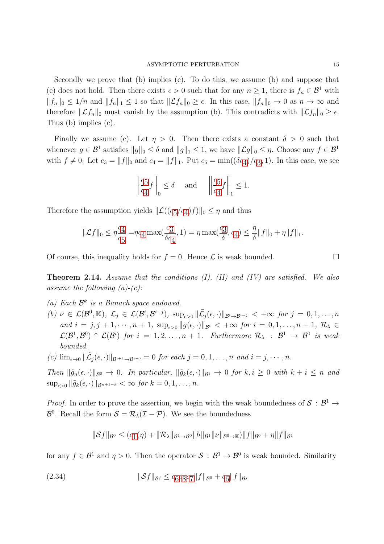Secondly we prove that (b) implies (c). To do this, we assume (b) and suppose that (c) does not hold. Then there exists  $\epsilon > 0$  such that for any  $n \geq 1$ , there is  $f_n \in \mathcal{B}^1$  with  $||f_n||_0 \leq 1/n$  and  $||f_n||_1 \leq 1$  so that  $||\mathcal{L}f_n||_0 \geq \epsilon$ . In this case,  $||f_n||_0 \to 0$  as  $n \to \infty$  and therefore  $||\mathcal{L}f_n||_0$  must vanish by the assumption (b). This contradicts with  $||\mathcal{L}f_n||_0 \geq \epsilon$ . Thus (b) implies (c).

Finally we assume (c). Let  $\eta > 0$ . Then there exists a constant  $\delta > 0$  such that whenever  $g \in \mathcal{B}^1$  satisfies  $||g||_0 \leq \delta$  and  $||g||_1 \leq 1$ , we have  $||\mathcal{L}g||_0 \leq \eta$ . Choose any  $f \in \mathcal{B}^1$ with  $f \neq 0$ . Let  $c_3 = ||f||_0$  $c_3 = ||f||_0$  $c_3 = ||f||_0$  and  $c_4 = ||f||_1$  $c_4 = ||f||_1$  $c_4 = ||f||_1$ . Put  $c_5 = \min((\delta c_4)/c_3, 1)$ . In this case, we see

$$
\left\| \frac{c_5}{c_4} f \right\|_0 \le \delta \quad \text{ and } \quad \left\| \frac{c_5}{c_4} f \right\|_1 \le 1.
$$

Therefore the assumption yields  $\|\mathcal{L}((c_5/c_4)f)\|_0 \leq \eta$  $\|\mathcal{L}((c_5/c_4)f)\|_0 \leq \eta$  $\|\mathcal{L}((c_5/c_4)f)\|_0 \leq \eta$  $\|\mathcal{L}((c_5/c_4)f)\|_0 \leq \eta$  $\|\mathcal{L}((c_5/c_4)f)\|_0 \leq \eta$  and thus

$$
\|\mathcal{L}f\|_{0} \leq \eta \frac{c_4}{c_5} = \eta c_4 \max(\frac{c_3}{\delta c_4}, 1) = \eta \max(\frac{c_3}{\delta}, c_4) \leq \frac{\eta}{\delta}\|f\|_{0} + \eta \|f\|_{1}.
$$

Of course, this inequality holds for  $f = 0$ . Hence  $\mathcal L$  is weak bounded.

<span id="page-14-0"></span>**Theorem 2.14.** Assume that the conditions  $(I)$ ,  $(II)$  and  $(IV)$  are satisfied. We also assume the following  $(a)-(c)$ :

- (a) Each  $\mathcal{B}^k$  is a Banach space endowed.
- (b)  $\nu \in \mathcal{L}(\mathcal{B}^0, \mathbb{K}), \mathcal{L}_j \in \mathcal{L}(\mathcal{B}^i, \mathcal{B}^{i-j}), \sup_{\epsilon > 0} \|\tilde{\mathcal{L}}_j(\epsilon, \cdot)\|_{\mathcal{B}^i \to \mathcal{B}^{i-j}} < +\infty \text{ for } j = 0, 1, \ldots, n$ and  $i = j, j + 1, \cdots, n + 1$ ,  $\sup_{\epsilon > 0} ||g(\epsilon, \cdot)||_{\mathcal{B}^i} < +\infty$  for  $i = 0, 1, \ldots, n + 1$ ,  $\mathcal{R}_{\lambda} \in$  $\mathcal{L}(\mathcal{B}^1, \mathcal{B}^0) \cap \mathcal{L}(\mathcal{B}^i)$  for  $i = 1, 2, ..., n + 1$ . Furthermore  $\mathcal{R}_{\lambda} : \mathcal{B}^1 \to \mathcal{B}^0$  is weak bounded.
- (c)  $\lim_{\epsilon \to 0} \|\tilde{\mathcal{L}}_j(\epsilon, \cdot)\|_{\mathcal{B}^{i+1} \to \mathcal{B}^{i-j}} = 0$  for each  $j = 0, 1, \ldots, n$  and  $i = j, \cdots, n$ .

Then  $\|\tilde{g}_n(\epsilon, \cdot)\|_{\mathcal{B}^0} \to 0$ . In particular,  $\|\tilde{g}_k(\epsilon, \cdot)\|_{\mathcal{B}^i} \to 0$  for  $k, i \geq 0$  with  $k + i \leq n$  and  $\sup_{\epsilon>0} \|\tilde{g}_k(\epsilon, \cdot)\|_{\mathcal{B}^{n+1-k}} < \infty$  for  $k = 0, 1, \ldots, n$ .

*Proof.* In order to prove the assertion, we begin with the weak boundedness of  $S : \mathcal{B}^1 \to$  $\mathcal{B}^0$ . Recall the form  $\mathcal{S} = \mathcal{R}_{\lambda}(\mathcal{I} - \mathcal{P})$ . We see the boundedness

$$
\|\mathcal{S}f\|_{\mathcal{B}^{0}} \leq (c_{1}(\eta) + \|\mathcal{R}_{\lambda}\|_{\mathcal{B}^{1}\to\mathcal{B}^{0}} \|h\|_{\mathcal{B}^{1}} \|\nu\|_{\mathcal{B}^{0}\to\mathbb{K}}) \|f\|_{\mathcal{B}^{0}} + \eta \|f\|_{\mathcal{B}^{1}}
$$

for any  $f \in \mathcal{B}^1$  and  $\eta > 0$ . Then the operator  $\mathcal{S} : \mathcal{B}^1 \to \mathcal{B}^0$  is weak bounded. Similarity

<span id="page-14-1"></span>(2.34) 
$$
\|\mathcal{S}f\|_{\mathcal{B}^j} \leq c_6 c_8 c_7 \|f\|_{\mathcal{B}^0} + c_6 \|f\|_{\mathcal{B}^j}
$$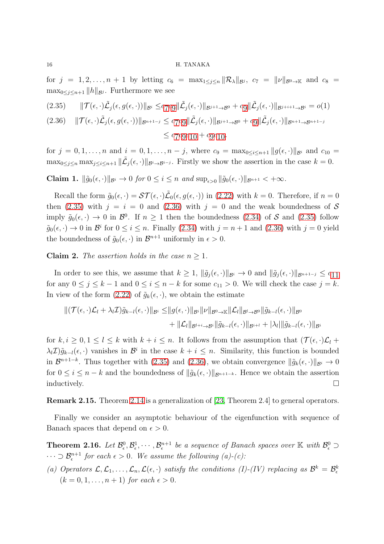for  $j = 1, 2, ..., n + 1$  by letting  $c_6 = \max_{1 \leq j \leq n} ||R_{\lambda}||_{\mathcal{B}^j}$ ,  $c_7 = ||\nu||_{\mathcal{B}^0 \to \mathbb{K}}$  and  $c_8 =$  $\max_{0 \leq j \leq n+1} ||h||_{\mathcal{B}^j}$ . Furthermore we see

<span id="page-15-2"></span><span id="page-15-1"></span>
$$
(2.35) \qquad \|\mathcal{T}(\epsilon,\cdot)\tilde{\mathcal{L}}_j(\epsilon,g(\epsilon,\cdot))\|_{\mathcal{B}^i} \leq c_7 c_9 \|\tilde{\mathcal{L}}_j(\epsilon,\cdot)\|_{\mathcal{B}^{j+1}\to\mathcal{B}^0} + c_9 \|\tilde{\mathcal{L}}_j(\epsilon,\cdot)\|_{\mathcal{B}^{j+i+1}\to\mathcal{B}^i} = o(1)
$$
\n
$$
(2.36) \qquad \|\mathcal{T}(\epsilon,\cdot)\tilde{\mathcal{L}}_j(\epsilon,g(\epsilon,\cdot))\|_{\mathcal{B}^{n+1-j}} \leq c_7 c_9 \|\tilde{\mathcal{L}}_j(\epsilon,\cdot)\|_{\mathcal{B}^{j+1}\to\mathcal{B}^0} + c_9 \|\tilde{\mathcal{L}}_j(\epsilon,\cdot)\|_{\mathcal{B}^{n+1}\to\mathcal{B}^{n+1-j}}
$$
\n
$$
\leq c_7 c_9 c_{10} + c_9 c_{10}.
$$

for  $j = 0, 1, \ldots, n$  and  $i = 0, 1, \ldots, n - j$ , where  $c_9 = \max_{0 \le i \le n+1} ||g(\epsilon, \cdot)||_{\mathcal{B}^i}$  and  $c_{10} =$  $\max_{0 \leq j \leq n} \max_{j \leq i \leq n+1} ||\tilde{L}_j(\epsilon, \cdot)||_{\mathcal{B}^i \to \mathcal{B}^{i-j}}$ . Firstly we show the assertion in the case  $k = 0$ .

**Claim 1.**  $\|\tilde{g}_0(\epsilon, \cdot)\|_{\mathcal{B}^i} \to 0$  for  $0 \leq i \leq n$  and  $\sup_{\epsilon > 0} \|\tilde{g}_0(\epsilon, \cdot)\|_{\mathcal{B}^{n+1}} < +\infty$ .

Recall the form  $\tilde{g}_0(\epsilon, \cdot) = \mathcal{ST}(\epsilon, \cdot) \tilde{\mathcal{L}}_0(\epsilon, g(\epsilon, \cdot))$  in [\(2.22\)](#page-8-4) with  $k = 0$ . Therefore, if  $n = 0$ then [\(2.35\)](#page-15-2) with  $j = i = 0$  and [\(2.36\)](#page-15-1) with  $j = 0$  and the weak boundedness of S imply  $\tilde{g}_0(\epsilon, \cdot) \to 0$  in  $\mathcal{B}^0$ . If  $n \ge 1$  then the boundedness [\(2.34\)](#page-14-1) of S and [\(2.35\)](#page-15-2) follow  $\tilde{g}_0(\epsilon, \cdot) \to 0$  in  $\mathcal{B}^i$  for  $0 \le i \le n$ . Finally [\(2.34\)](#page-14-1) with  $j = n + 1$  and [\(2.36\)](#page-15-1) with  $j = 0$  yield the boundedness of  $\tilde{g}_0(\epsilon, \cdot)$  in  $\mathcal{B}^{n+1}$  uniformly in  $\epsilon > 0$ .

**Claim 2.** The assertion holds in the case  $n \geq 1$ .

In order to see this, we assume that  $k \geq 1$ ,  $\|\tilde{g}_j(\epsilon, \cdot)\|_{\mathcal{B}^{i}} \to 0$  and  $\|\tilde{g}_j(\epsilon, \cdot)\|_{\mathcal{B}^{n+1-j}} \leq c_{11}$  $\|\tilde{g}_j(\epsilon, \cdot)\|_{\mathcal{B}^{n+1-j}} \leq c_{11}$  $\|\tilde{g}_j(\epsilon, \cdot)\|_{\mathcal{B}^{n+1-j}} \leq c_{11}$ for any  $0 \le j \le k-1$  and  $0 \le i \le n-k$  for some  $c_{11} > 0$ . We will check the case  $j = k$ . In view of the form [\(2.22\)](#page-8-4) of  $\tilde{g}_k(\epsilon, \cdot)$ , we obtain the estimate

$$
\|(\mathcal{T}(\epsilon,\cdot)\mathcal{L}_l + \lambda_l \mathcal{I})\tilde{g}_{k-l}(\epsilon,\cdot)\|_{\mathcal{B}^i} \leq \|g(\epsilon,\cdot)\|_{\mathcal{B}^i} \|\nu\|_{\mathcal{B}^0 \to \mathbb{K}} \|\mathcal{L}_l\|_{\mathcal{B}^l \to \mathcal{B}^0} \|\tilde{g}_{k-l}(\epsilon,\cdot)\|_{\mathcal{B}^0} + \|\mathcal{L}_l\|_{\mathcal{B}^{l+i} \to \mathcal{B}^i} \|\tilde{g}_{k-l}(\epsilon,\cdot)\|_{\mathcal{B}^{i+l}} + |\lambda_l| \|\tilde{g}_{k-l}(\epsilon,\cdot)\|_{\mathcal{B}^i}
$$

for  $k, i \geq 0, 1 \leq l \leq k$  with  $k + i \leq n$ . It follows from the assumption that  $(\mathcal{T}(\epsilon, \cdot)\mathcal{L}_l +$  $\lambda_l \mathcal{I}(\tilde{g}_{k-l}(\epsilon, \cdot))$  vanishes in  $\mathcal{B}^i$  in the case  $k + i \leq n$ . Similarity, this function is bounded in  $\mathcal{B}^{n+1-k}$ . Thus together with [\(2.35\)](#page-15-2) and [\(2.36\)](#page-15-1), we obtain convergence  $\|\tilde{g}_k(\epsilon,\cdot)\|_{\mathcal{B}^i} \to 0$ for  $0 \leq i \leq n-k$  and the boundedness of  $\|\tilde{q}_k(\epsilon, \cdot)\|_{\mathcal{B}^{n+1-k}}$ . Hence we obtain the assertion  $\Box$ inductively.

Remark 2.15. Theorem [2.14](#page-14-0) is a generalization of [\[23,](#page-39-0) Theorem 2.4] to general operators.

Finally we consider an asymptotic behaviour of the eigenfunction with sequence of Banach spaces that depend on  $\epsilon > 0$ .

<span id="page-15-0"></span>**Theorem 2.16.** Let  $\mathcal{B}^0_{\epsilon}, \mathcal{B}^1_{\epsilon}, \cdots, \mathcal{B}^{n+1}_{\epsilon}$  be a sequence of Banach spaces over  $\mathbb{K}$  with  $\mathcal{B}^0_{\epsilon} \supset$  $\cdots \supset \mathcal{B}_{\epsilon}^{n+1}$  for each  $\epsilon > 0$ . We assume the following (a)-(c):

(a) Operators  $\mathcal{L}, \mathcal{L}_1, \ldots, \mathcal{L}_n, \mathcal{L}(\epsilon, \cdot)$  satisfy the conditions (I)-(IV) replacing as  $\mathcal{B}^k = \mathcal{B}^k_{\epsilon}$  $(k = 0, 1, \ldots, n + 1)$  for each  $\epsilon > 0$ .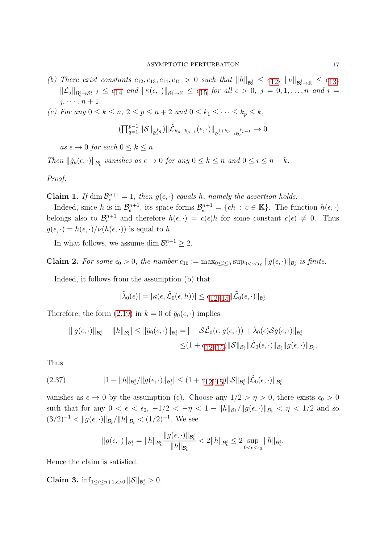- (b) There exist constants  $c_{12}, c_{13}, c_{14}, c_{15} > 0$  $c_{12}, c_{13}, c_{14}, c_{15} > 0$  $c_{12}, c_{13}, c_{14}, c_{15} > 0$  $c_{12}, c_{13}, c_{14}, c_{15} > 0$  $c_{12}, c_{13}, c_{14}, c_{15} > 0$  such that  $||h||_{\mathcal{B}^j_{\epsilon}} \leq c_{12}, ||\nu||_{\mathcal{B}^j_{\epsilon} \to \mathbb{K}} \leq c_{13}$ ,  $\|\mathcal{L}_j\|_{\mathcal{B}^i_\epsilon \to \mathcal{B}^{i-j}_\epsilon} \leq c_{14}$  $\|\mathcal{L}_j\|_{\mathcal{B}^i_\epsilon \to \mathcal{B}^{i-j}_\epsilon} \leq c_{14}$  $\|\mathcal{L}_j\|_{\mathcal{B}^i_\epsilon \to \mathcal{B}^{i-j}_\epsilon} \leq c_{14}$  and  $\|\kappa(\epsilon, \cdot)\|_{\mathcal{B}^j_\epsilon \to \mathbb{K}} \leq c_{15}$  $\|\kappa(\epsilon, \cdot)\|_{\mathcal{B}^j_\epsilon \to \mathbb{K}} \leq c_{15}$  $\|\kappa(\epsilon, \cdot)\|_{\mathcal{B}^j_\epsilon \to \mathbb{K}} \leq c_{15}$  for all  $\epsilon > 0$ ,  $j = 0, 1, \ldots, n$  and  $i =$  $j, \cdots, n+1.$
- (c) For any  $0 \le k \le n$ ,  $2 \le p \le n+2$  and  $0 \le k_1 \le \cdots \le k_p \le k$ ,

$$
(\textstyle{\prod_{q=1}^{p-1}\|\mathcal{S}\|_{\mathcal{B}^{k_q}_\epsilon}}\|\tilde{\mathcal{L}}_{k_p-k_{p-1}}(\epsilon,\cdot)\|_{\mathcal{B}^{1+k_p}_\epsilon\to\mathcal{B}^{k_{p-1}}_\epsilon}\to 0
$$

as  $\epsilon \to 0$  for each  $0 \leq k \leq n$ .

Then  $\|\tilde{g}_k(\epsilon, \cdot)\|_{\mathcal{B}^i_{\epsilon}}$  vanishes as  $\epsilon \to 0$  for any  $0 \leq k \leq n$  and  $0 \leq i \leq n - k$ .

Proof.

**Claim 1.** If dim  $\mathcal{B}_{\epsilon}^{n+1} = 1$ , then  $g(\epsilon, \cdot)$  equals h, namely the assertion holds.

Indeed, since h is in  $\mathcal{B}_{\epsilon}^{n+1}$ , its space forms  $\mathcal{B}_{\epsilon}^{n+1} = \{ch : c \in \mathbb{K}\}\.$  The function  $h(\epsilon, \cdot)$ belongs also to  $\mathcal{B}_{\epsilon}^{n+1}$  and therefore  $h(\epsilon, \cdot) = c(\epsilon)h$  for some constant  $c(\epsilon) \neq 0$ . Thus  $g(\epsilon, \cdot) = h(\epsilon, \cdot)/\nu(h(\epsilon, \cdot))$  is equal to h.

In what follows, we assume dim  $\mathcal{B}_{\epsilon}^{n+1} \geq 2$ .

**Claim 2.** For some  $\epsilon_0 > 0$ , the number  $c_{16} := \max_{0 \le i \le n} \sup_{0 \le \epsilon \le \epsilon_0} ||g(\epsilon, \cdot)||_{\mathcal{B}^i_{\epsilon}}$  is finite.

Indeed, it follows from the assumption (b) that

$$
|\tilde{\lambda}_0(\epsilon)| = |\kappa(\epsilon, \tilde{\mathcal{L}}_0(\epsilon, h))| \leq c_{12}c_{15} \|\tilde{\mathcal{L}}_0(\epsilon, \cdot)\|_{\mathcal{B}^i_{\epsilon}}
$$

Therefore, the form [\(2.19\)](#page-8-2) in  $k = 0$  of  $\tilde{g}_0(\epsilon, \cdot)$  implies

$$
|\|g(\epsilon,\cdot)\|_{\mathcal{B}^i_{\epsilon}} - \|h\|_{\mathcal{B}^i_{\epsilon}}| \leq \|\tilde{g}_0(\epsilon,\cdot)\|_{\mathcal{B}^i_{\epsilon}} = \|-S\tilde{\mathcal{L}}_0(\epsilon,g(\epsilon,\cdot)) + \tilde{\lambda}_0(\epsilon)Sg(\epsilon,\cdot)\|_{\mathcal{B}^i_{\epsilon}}
$$
  

$$
\leq (1 + c_1 2c_1 5) \|\mathcal{S}\|_{\mathcal{B}^i_{\epsilon}} \|\tilde{\mathcal{L}}_0(\epsilon,\cdot)\|_{\mathcal{B}^i_{\epsilon}} \|g(\epsilon,\cdot)\|_{\mathcal{B}^i_{\epsilon}}.
$$

Thus

<span id="page-16-0"></span>
$$
(2.37) \t\t |1 - ||h||_{\mathcal{B}^i_{\epsilon}}/||g(\epsilon, \cdot)||_{\mathcal{B}^i_{\epsilon}}| \leq (1 + c_{12}c_{15})||\mathcal{S}||_{\mathcal{B}^i_{\epsilon}}||\tilde{\mathcal{L}}_0(\epsilon, \cdot)||_{\mathcal{B}^i_{\epsilon}}
$$

vanishes as  $\epsilon \to 0$  by the assumption (c). Choose any  $1/2 > \eta > 0$ , there exists  $\epsilon_0 > 0$ such that for any  $0 < \epsilon < \epsilon_0, -1/2 < -\eta < 1 - ||h||_{\mathcal{B}^i_{\epsilon}}/||g(\epsilon, \cdot)||_{\mathcal{B}^i_{\epsilon}} < \eta < 1/2$  and so  $(3/2)^{-1} < ||g(\epsilon, \cdot)||_{\mathcal{B}^i_{\epsilon}}/||h||_{\mathcal{B}^i_{\epsilon}} < (1/2)^{-1}$ . We see

$$
||g(\epsilon,\cdot)||_{\mathcal{B}_{\epsilon}^{i}}=||h||_{\mathcal{B}_{\epsilon}^{i}}\frac{||g(\epsilon,\cdot)||_{\mathcal{B}_{\epsilon}^{i}}}{||h||_{\mathcal{B}_{\epsilon}^{i}}}<2||h||_{\mathcal{B}_{\epsilon}^{i}}\leq 2\sup_{0<\epsilon<\epsilon_{0}}||h||_{\mathcal{B}_{\epsilon}^{i}}.
$$

Hence the claim is satisfied.

Claim 3.  $\inf_{1 \leq i \leq n+1, \epsilon > 0} ||\mathcal{S}||_{\mathcal{B}_{\epsilon}^i} > 0.$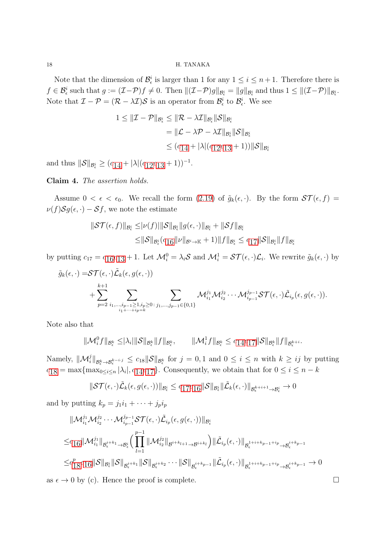Note that the dimension of  $\mathcal{B}_{\epsilon}^{i}$  is larger than 1 for any  $1 \leq i \leq n+1$ . Therefore there is  $f \in \mathcal{B}_{\epsilon}^{i}$  such that  $g := (\mathcal{I} - \mathcal{P})f \neq 0$ . Then  $\|(\mathcal{I} - \mathcal{P})g\|_{\mathcal{B}_{\epsilon}^{i}} = \|g\|_{\mathcal{B}_{\epsilon}^{i}}$  and thus  $1 \leq \|(\mathcal{I} - \mathcal{P})\|_{\mathcal{B}_{\epsilon}^{i}}$ . Note that  $\mathcal{I} - \mathcal{P} = (\mathcal{R} - \lambda \mathcal{I})\mathcal{S}$  is an operator from  $\mathcal{B}_{\epsilon}^{i}$  to  $\mathcal{B}_{\epsilon}^{i}$ . We see

$$
1 \leq \|\mathcal{I} - \mathcal{P}\|_{\mathcal{B}^i_{\epsilon}} \leq \|\mathcal{R} - \lambda \mathcal{I}\|_{\mathcal{B}^i_{\epsilon}} \|\mathcal{S}\|_{\mathcal{B}^i_{\epsilon}}
$$
  

$$
= \|\mathcal{L} - \lambda \mathcal{P} - \lambda \mathcal{I}\|_{\mathcal{B}^i_{\epsilon}} \|\mathcal{S}\|_{\mathcal{B}^i_{\epsilon}}
$$
  

$$
\leq (c_{14} + |\lambda| (c_{12}c_{13} + 1)) \|\mathcal{S}\|_{\mathcal{B}^i_{\epsilon}}
$$

and thus  $\|\mathcal{S}\|_{\mathcal{B}^i_{\epsilon}} \ge (c_{14} + |\lambda| (c_{12}c_{13} + 1))^{-1}.$  $\|\mathcal{S}\|_{\mathcal{B}^i_{\epsilon}} \ge (c_{14} + |\lambda| (c_{12}c_{13} + 1))^{-1}.$  $\|\mathcal{S}\|_{\mathcal{B}^i_{\epsilon}} \ge (c_{14} + |\lambda| (c_{12}c_{13} + 1))^{-1}.$  $\|\mathcal{S}\|_{\mathcal{B}^i_{\epsilon}} \ge (c_{14} + |\lambda| (c_{12}c_{13} + 1))^{-1}.$  $\|\mathcal{S}\|_{\mathcal{B}^i_{\epsilon}} \ge (c_{14} + |\lambda| (c_{12}c_{13} + 1))^{-1}.$  $\|\mathcal{S}\|_{\mathcal{B}^i_{\epsilon}} \ge (c_{14} + |\lambda| (c_{12}c_{13} + 1))^{-1}.$  $\|\mathcal{S}\|_{\mathcal{B}^i_{\epsilon}} \ge (c_{14} + |\lambda| (c_{12}c_{13} + 1))^{-1}.$ 

Claim 4. The assertion holds.

Assume  $0 < \epsilon < \epsilon_0$ . We recall the form  $(2.19)$  of  $\tilde{g}_k(\epsilon, \cdot)$ . By the form  $\mathcal{ST}(\epsilon, f)$  =  $\nu(f)Sg(\epsilon, \cdot) - Sf$ , we note the estimate

$$
\|\mathcal{ST}(\epsilon, f)\|_{\mathcal{B}^i_{\epsilon}} \leq |\nu(f)| \|\mathcal{S}\|_{\mathcal{B}^i_{\epsilon}} \|g(\epsilon, \cdot)\|_{\mathcal{B}^i_{\epsilon}} + \|\mathcal{S}f\|_{\mathcal{B}^i_{\epsilon}}
$$
  

$$
\leq \|\mathcal{S}\|_{\mathcal{B}^i_{\epsilon}} (c_{16} \|\nu\|_{\mathcal{B}^i \to \mathbb{K}} + 1) \|f\|_{\mathcal{B}^i_{\epsilon}} \leq c_{17} \|\mathcal{S}\|_{\mathcal{B}^i_{\epsilon}} \|f\|_{\mathcal{B}^i_{\epsilon}}
$$

by putting  $c_{17} = c_{16}c_{13} + 1$  $c_{17} = c_{16}c_{13} + 1$  $c_{17} = c_{16}c_{13} + 1$  $c_{17} = c_{16}c_{13} + 1$  $c_{17} = c_{16}c_{13} + 1$ . Let  $\mathcal{M}_{i}^{0} = \lambda_{i} \mathcal{S}$  and  $\mathcal{M}_{i}^{1} = \mathcal{ST}(\epsilon, \cdot)\mathcal{L}_{i}$ . We rewrite  $\tilde{g}_{k}(\epsilon, \cdot)$  by

$$
\tilde{g}_k(\epsilon, \cdot) = \mathcal{ST}(\epsilon, \cdot) \tilde{\mathcal{L}}_k(\epsilon, g(\epsilon, \cdot)) + \sum_{p=2}^{k+1} \sum_{\substack{i_1,\ldots,i_{p-1}\geq 1, i_p\geq 0}} \sum_{\substack{j_1,\ldots,j_{p-1}\geq 1, i_p\geq 0, j_1,\ldots,j_{p-1}\in\{0,1\}}} \mathcal{M}_{i_1}^{j_1} \mathcal{M}_{i_2}^{j_2} \cdots \mathcal{M}_{i_{p-1}}^{j_{p-1}} \mathcal{ST}(\epsilon, \cdot) \tilde{\mathcal{L}}_{i_p}(\epsilon, g(\epsilon, \cdot)).
$$

Note also that

$$
\|\mathcal{M}_i^0 f\|_{\mathcal{B}^k_{\epsilon}} \leq |\lambda_i| \|\mathcal{S}\|_{\mathcal{B}^k_{\epsilon}} \|f\|_{\mathcal{B}^k_{\epsilon}}, \qquad \|\mathcal{M}_i^1 f\|_{\mathcal{B}^k_{\epsilon}} \leq c_1 4 c_1 7 \|\mathcal{S}\|_{\mathcal{B}^k_{\epsilon}} \|f\|_{\mathcal{B}^{k+i}_{\epsilon}}.
$$

Namely,  $\|\mathcal{M}_{i}^{j}\|_{\mathcal{B}_{\epsilon}^{k}\to\mathcal{B}_{\epsilon}^{k-i\cdot j}} \leq c_{18}\|\mathcal{S}\|_{\mathcal{B}_{\epsilon}^{k}}$  for  $j=0,1$  and  $0 \leq i \leq n$  with  $k \geq ij$  by putting  $c_{18} = \max\{\max_{0 \le i \le n} |\lambda_i|, c_{14}c_{17}\}.$  $c_{18} = \max\{\max_{0 \le i \le n} |\lambda_i|, c_{14}c_{17}\}.$  $c_{18} = \max\{\max_{0 \le i \le n} |\lambda_i|, c_{14}c_{17}\}.$  $c_{18} = \max\{\max_{0 \le i \le n} |\lambda_i|, c_{14}c_{17}\}.$  $c_{18} = \max\{\max_{0 \le i \le n} |\lambda_i|, c_{14}c_{17}\}.$  $c_{18} = \max\{\max_{0 \le i \le n} |\lambda_i|, c_{14}c_{17}\}.$  $c_{18} = \max\{\max_{0 \le i \le n} |\lambda_i|, c_{14}c_{17}\}.$  Consequently, we obtain that for  $0 \le i \le n - k$ 

$$
\|\mathcal{ST}(\epsilon,\cdot)\tilde{\mathcal{L}}_k(\epsilon,g(\epsilon,\cdot))\|_{\mathcal{B}^i_{\epsilon}} \leq c_1 7 c_1 6 \|\mathcal{S}\|_{\mathcal{B}^i_{\epsilon}} \|\tilde{\mathcal{L}}_k(\epsilon,\cdot)\|_{\mathcal{B}^{k+i+1}_{\epsilon}\to\mathcal{B}^i_{\epsilon}} \to 0
$$

and by putting  $k_p = j_1 i_1 + \cdots + j_p i_p$ 

$$
\|\mathcal{M}_{i_1}^{j_1}\mathcal{M}_{i_2}^{j_2}\cdots\mathcal{M}_{i_{p-1}}^{j_{p-1}}\mathcal{ST}(\epsilon,\cdot)\tilde{\mathcal{L}}_{i_p}(\epsilon,g(\epsilon,\cdot))\|_{\mathcal{B}_{\epsilon}^i}
$$
  
\n
$$
\leq c_{16} \|\mathcal{M}_{i_1}^{j_1}\|_{\mathcal{B}_{\epsilon}^{i+k_1}\to\mathcal{B}_{\epsilon}^i} \Big(\prod_{l=1}^{p-1} \|\mathcal{M}_{i_2}^{j_2}\|_{\mathcal{B}^{i+k_{l+1}}\to\mathcal{B}^{i+k_l}}\Big) \|\tilde{\mathcal{L}}_{i_p}(\epsilon,\cdot)\|_{\mathcal{B}_{\epsilon}^{1+i+k_{p-1}+i_p}\to\mathcal{B}_{\epsilon}^{i+k_{p-1}}}
$$
  
\n
$$
\leq c_{18}^p c_{16} \|\mathcal{S}\|_{\mathcal{B}_{\epsilon}^i} \|\mathcal{S}\|_{\mathcal{B}_{\epsilon}^{i+k_1}} \|\mathcal{S}\|_{\mathcal{B}_{\epsilon}^{i+k_2}} \cdots \|\mathcal{S}\|_{\mathcal{B}_{\epsilon}^{i+k_{p-1}}} \|\tilde{\mathcal{L}}_{i_p}(\epsilon,\cdot)\|_{\mathcal{B}_{\epsilon}^{1+i+k_{p-1}+i_p}\to\mathcal{B}_{\epsilon}^{i+k_{p-1}}} \to 0
$$

as  $\epsilon \to 0$  by (c). Hence the proof is complete.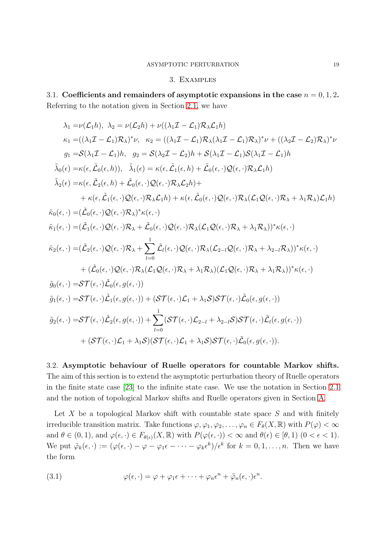## 3. Examples

<span id="page-18-1"></span><span id="page-18-0"></span>3.1. Coefficients and remainders of asymptotic expansions in the case  $n = 0, 1, 2$ . Referring to the notation given in Section [2.1,](#page-4-1) we have

$$
\lambda_1 = \nu(\mathcal{L}_1 h), \ \lambda_2 = \nu(\mathcal{L}_2 h) + \nu((\lambda_1 \mathcal{I} - \mathcal{L}_1) \mathcal{R}_\lambda \mathcal{L}_1 h)
$$
\n
$$
\kappa_1 = ((\lambda_1 \mathcal{I} - \mathcal{L}_1) \mathcal{R}_\lambda)^* \nu, \ \kappa_2 = ((\lambda_1 \mathcal{I} - \mathcal{L}_1) \mathcal{R}_\lambda (\lambda_1 \mathcal{I} - \mathcal{L}_1) \mathcal{R}_\lambda)^* \nu + ((\lambda_2 \mathcal{I} - \mathcal{L}_2) \mathcal{R}_\lambda)^* \nu
$$
\n
$$
g_1 = S(\lambda_1 \mathcal{I} - \mathcal{L}_1) h, \ g_2 = S(\lambda_2 \mathcal{I} - \mathcal{L}_2) h + S(\lambda_1 \mathcal{I} - \mathcal{L}_1) S(\lambda_1 \mathcal{I} - \mathcal{L}_1) h
$$
\n
$$
\tilde{\lambda}_0(\epsilon) = \kappa(\epsilon, \tilde{\mathcal{L}}_0(\epsilon, h)), \ \tilde{\lambda}_1(\epsilon) = \kappa(\epsilon, \tilde{\mathcal{L}}_1(\epsilon, h) + \tilde{\mathcal{L}}_0(\epsilon, \cdot) \mathcal{Q}(\epsilon, \cdot) \mathcal{R}_\lambda \mathcal{L}_1 h)
$$
\n
$$
\tilde{\lambda}_2(\epsilon) = \kappa(\epsilon, \tilde{\mathcal{L}}_2(\epsilon, h) + \tilde{\mathcal{L}}_0(\epsilon, \cdot) \mathcal{Q}(\epsilon, \cdot) \mathcal{R}_\lambda \mathcal{L}_2 h) +
$$
\n
$$
+ \kappa(\epsilon, \tilde{\mathcal{L}}_1(\epsilon, \cdot) \mathcal{Q}(\epsilon, \cdot) \mathcal{R}_\lambda \mathcal{L}_1 h) + \kappa(\epsilon, \tilde{\mathcal{L}}_0(\epsilon, \cdot) \mathcal{Q}(\epsilon, \cdot) \mathcal{R}_\lambda (\mathcal{L}_1 \mathcal{Q}(\epsilon, \cdot) \mathcal{R}_\lambda + \lambda_1 \mathcal{R}_\lambda) \mathcal{L}_1 h)
$$
\n
$$
\tilde{\kappa}_0(\epsilon, \cdot) = (\tilde{\mathcal{L}}_0(\epsilon, \cdot) \mathcal{Q}(\epsilon, \cdot) \mathcal{R}_\lambda)^* \kappa(\epsilon,
$$

<span id="page-18-2"></span>3.2. Asymptotic behaviour of Ruelle operators for countable Markov shifts. The aim of this section is to extend the asymptotic perturbation theory of Ruelle operators in the finite state case [\[23\]](#page-39-0) to the infinite state case. We use the notation in Section [2.1](#page-4-1) and the notion of topological Markov shifts and Ruelle operators given in Section [A.](#page-35-0)

Let  $X$  be a topological Markov shift with countable state space  $S$  and with finitely irreducible transition matrix. Take functions  $\varphi, \varphi_1, \varphi_2, \ldots, \varphi_n \in F_\theta(X, \mathbb{R})$  with  $P(\varphi) < \infty$ and  $\theta \in (0,1)$ , and  $\varphi(\epsilon, \cdot) \in F_{\theta(\epsilon)}(X, \mathbb{R})$  with  $P(\varphi(\epsilon, \cdot)) < \infty$  and  $\theta(\epsilon) \in [\theta, 1)$   $(0 < \epsilon < 1)$ . We put  $\tilde{\varphi}_k(\epsilon, \cdot) := (\varphi(\epsilon, \cdot) - \varphi - \varphi_1 \epsilon - \cdots - \varphi_k \epsilon^k)/\epsilon^k$  for  $k = 0, 1, \ldots, n$ . Then we have the form

(3.1) 
$$
\varphi(\epsilon, \cdot) = \varphi + \varphi_1 \epsilon + \cdots + \varphi_n \epsilon^n + \tilde{\varphi}_n(\epsilon, \cdot) \epsilon^n.
$$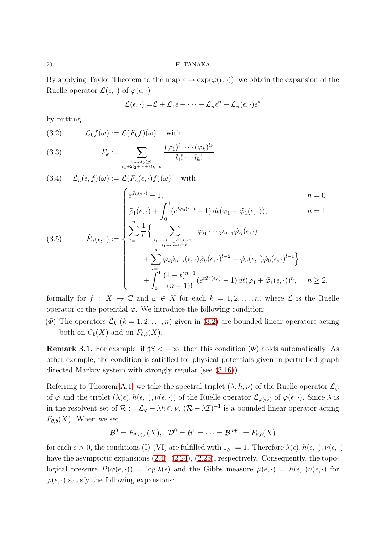By applying Taylor Theorem to the map  $\epsilon \mapsto \exp(\varphi(\epsilon, \cdot))$ , we obtain the expansion of the Ruelle operator  $\mathcal{L}(\epsilon, \cdot)$  of  $\varphi(\epsilon, \cdot)$ 

$$
\mathcal{L}(\epsilon,\cdot) = \mathcal{L} + \mathcal{L}_1 \epsilon + \cdots + \mathcal{L}_n \epsilon^n + \tilde{\mathcal{L}}_n (\epsilon,\cdot) \epsilon^n
$$

by putting

<span id="page-19-0"></span>(3.2) 
$$
\mathcal{L}_k f(\omega) := \mathcal{L}(F_k f)(\omega) \quad \text{with}
$$

<span id="page-19-2"></span>(3.3) 
$$
F_k := \sum_{\substack{l_1,\ldots,l_k \geq 0:\\l_1 + 2l_2 + \cdots + kl_k = k}} \frac{(\varphi_1)^{l_1} \cdots (\varphi_k)^{l_k}}{l_1! \cdots l_k!}
$$

<span id="page-19-3"></span><span id="page-19-1"></span>
$$
(3.4) \quad \tilde{\mathcal{L}}_n(\epsilon, f)(\omega) := \mathcal{L}(\tilde{F}_n(\epsilon, \cdot) f)(\omega) \quad \text{with}
$$
\n
$$
n = 0
$$
\n
$$
\tilde{\varphi}_1(\epsilon, \cdot) + \int_0^1 (e^{t\tilde{\varphi}_0(\epsilon, \cdot)} - 1) dt(\varphi_1 + \tilde{\varphi}_1(\epsilon, \cdot)), \qquad n = 1
$$
\n
$$
(3.5) \qquad \tilde{F}_n(\epsilon, \cdot) := \begin{cases}\n\tilde{\varphi}_1(\epsilon, \cdot) + \int_0^1 (e^{t\tilde{\varphi}_0(\epsilon, \cdot)} - 1) dt(\varphi_1 + \tilde{\varphi}_1(\epsilon, \cdot)), & n = 1 \\
\sum_{l=1}^n \frac{1}{l!} \left\{ \sum_{i_1, \dots, i_{l-1} \ge 1, i_l \ge 0} \varphi_{i_1} \cdots \varphi_{i_{l-1}} \tilde{\varphi}_{i_l}(\epsilon, \cdot) \right. \\
\left. + \sum_{i_l=1}^n \varphi_i \tilde{\varphi}_{n-i}(\epsilon, \cdot) \tilde{\varphi}_0(\epsilon, \cdot)^{l-2} + \tilde{\varphi}_n(\epsilon, \cdot) \tilde{\varphi}_0(\epsilon, \cdot)^{l-1} \right\} \\
+ \int_0^1 \frac{(1-t)^{n-1}}{(n-1)!} (e^{t\tilde{\varphi}_0(\epsilon, \cdot)} - 1) dt(\varphi_1 + \tilde{\varphi}_1(\epsilon, \cdot))^n, \qquad n \ge 2.\n\end{cases}
$$

formally for  $f : X \to \mathbb{C}$  and  $\omega \in X$  for each  $k = 1, 2, ..., n$ , where  $\mathcal{L}$  is the Ruelle operator of the potential  $\varphi$ . We introduce the following condition:

( $\Phi$ ) The operators  $\mathcal{L}_k$  ( $k = 1, 2, ..., n$ ) given in [\(3.2\)](#page-19-0) are bounded linear operators acting both on  $C_b(X)$  and on  $F_{\theta,b}(X)$ .

**Remark 3.1.** For example, if  $\sharp S < +\infty$ , then this condition  $(\Phi)$  holds automatically. As other example, the condition is satisfied for physical potentials given in perturbed graph directed Markov system with strongly regular (see [\(3.16\)](#page-27-1)).

Referring to Theorem [A.1,](#page-37-0) we take the spectral triplet  $(\lambda, h, \nu)$  of the Ruelle operator  $\mathcal{L}_{\varphi}$ of  $\varphi$  and the triplet  $(\lambda(\epsilon), h(\epsilon, \cdot), \nu(\epsilon, \cdot))$  of the Ruelle operator  $\mathcal{L}_{\varphi(\epsilon, \cdot)}$  of  $\varphi(\epsilon, \cdot)$ . Since  $\lambda$  is in the resolvent set of  $\mathcal{R} := \mathcal{L}_{\varphi} - \lambda h \otimes \nu$ ,  $(\mathcal{R} - \lambda \mathcal{I})^{-1}$  is a bounded linear operator acting  $F_{\theta,b}(X)$ . When we set

$$
\mathcal{B}^0 = F_{\theta(\epsilon),b}(X), \quad \mathcal{D}^0 = \mathcal{B}^1 = \cdots = \mathcal{B}^{n+1} = F_{\theta,b}(X)
$$

for each  $\epsilon > 0$ , the conditions (I)-(VI) are fulfilled with  $1_B := 1$ . Therefore  $\lambda(\epsilon)$ ,  $h(\epsilon, \cdot)$ ,  $\nu(\epsilon, \cdot)$ have the asymptotic expansions  $(2.4)$ ,  $(2.24)$ ,  $(2.25)$ , respectively. Consequently, the topological pressure  $P(\varphi(\epsilon, \cdot)) = \log \lambda(\epsilon)$  and the Gibbs measure  $\mu(\epsilon, \cdot) = h(\epsilon, \cdot)\nu(\epsilon, \cdot)$  for  $\varphi(\epsilon, \cdot)$  satisfy the following expansions: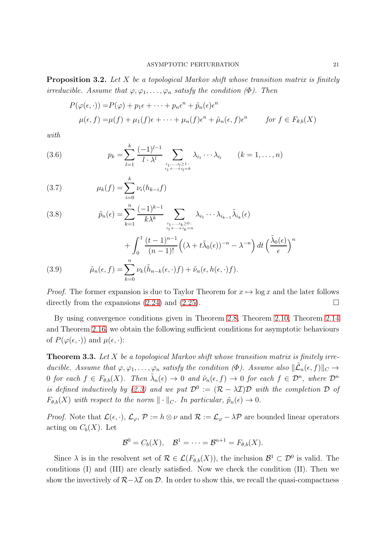Proposition 3.2. Let X be a topological Markov shift whose transition matrix is finitely irreducible. Assume that  $\varphi, \varphi_1, \ldots, \varphi_n$  satisfy the condition  $(\Phi)$ . Then

$$
P(\varphi(\epsilon, \cdot)) = P(\varphi) + p_1 \epsilon + \dots + p_n \epsilon^n + \tilde{p}_n(\epsilon) \epsilon^n
$$
  

$$
\mu(\epsilon, f) = \mu(f) + \mu_1(f)\epsilon + \dots + \mu_n(f)\epsilon^n + \tilde{\mu}_n(\epsilon, f)\epsilon^n \quad \text{for } f \in F_{\theta, b}(X)
$$

with

(3.6) 
$$
p_k = \sum_{l=1}^k \frac{(-1)^{l-1}}{l \cdot \lambda^l} \sum_{\substack{i_1, \dots, i_l \geq 1: \\ i_1 + \dots + i_l = k}} \lambda_{i_1} \cdots \lambda_{i_l} \qquad (k = 1, \dots, n)
$$

(3.7) 
$$
\mu_k(f) = \sum_{i=0}^k \nu_i(h_{k-i}f)
$$

(3.8) 
$$
\tilde{p}_n(\epsilon) = \sum_{k=1}^n \frac{(-1)^{k-1}}{k\lambda^k} \sum_{\substack{i_1,\ldots,i_k \geq 0:\\i_1+\cdots+i_k=n}} \lambda_{i_1} \cdots \lambda_{i_{k-1}} \tilde{\lambda}_{i_k}(\epsilon)
$$

$$
+\int_0^1 \frac{(t-1)^{n-1}}{(n-1)!} \left((\lambda + t\tilde{\lambda}_0(\epsilon))^{-n} - \lambda^{-n}\right) dt \left(\frac{\tilde{\lambda}_0(\epsilon)}{\epsilon}\right)^n
$$

<span id="page-20-1"></span>(3.9) 
$$
\tilde{\mu}_n(\epsilon, f) = \sum_{k=0}^n \nu_k(\tilde{h}_{n-k}(\epsilon, \cdot) f) + \tilde{\nu}_n(\epsilon, h(\epsilon, \cdot) f).
$$

*Proof.* The former expansion is due to Taylor Theorem for  $x \mapsto \log x$  and the later follows directly from the expansions [\(2.24\)](#page-10-0) and [\(2.25\)](#page-10-1).

By using convergence conditions given in Theorem [2.8,](#page-11-1) Theorem [2.10,](#page-12-0) Theorem [2.14](#page-14-0) and Theorem [2.16,](#page-15-0) we obtain the following sufficient conditions for asymptotic behaviours of  $P(\varphi(\epsilon, \cdot))$  and  $\mu(\epsilon, \cdot)$ :

<span id="page-20-0"></span>**Theorem 3.3.** Let  $X$  be a topological Markov shift whose transition matrix is finitely irreducible. Assume that  $\varphi, \varphi_1, \ldots, \varphi_n$  satisfy the condition  $(\Phi)$ . Assume also  $\|\tilde{\mathcal{L}}_n(\epsilon, f)\|_C \to$ 0 for each  $f \in F_{\theta,b}(X)$ . Then  $\tilde{\lambda}_n(\epsilon) \to 0$  and  $\tilde{\nu}_n(\epsilon, f) \to 0$  for each  $f \in \mathcal{D}^n$ , where  $\mathcal{D}^n$ is defined inductively by [\(2.3\)](#page-4-5) and we put  $\mathcal{D}^0 := (\mathcal{R} - \lambda \mathcal{I})\mathcal{D}$  with the completion  $\mathcal D$  of  $F_{\theta,b}(X)$  with respect to the norm  $\|\cdot\|_{C}$ . In particular,  $\tilde{p}_n(\epsilon) \to 0$ .

*Proof.* Note that  $\mathcal{L}(\epsilon, \cdot), \mathcal{L}_{\varphi}, \mathcal{P} := h \otimes \nu$  and  $\mathcal{R} := \mathcal{L}_{\varphi} - \lambda \mathcal{P}$  are bounded linear operators acting on  $C_b(X)$ . Let

$$
\mathcal{B}^0 = C_b(X), \quad \mathcal{B}^1 = \cdots = \mathcal{B}^{n+1} = F_{\theta,b}(X).
$$

Since  $\lambda$  is in the resolvent set of  $\mathcal{R} \in \mathcal{L}(F_{\theta,b}(X))$ , the inclusion  $\mathcal{B}^1 \subset \mathcal{D}^0$  is valid. The conditions (I) and (III) are clearly satisfied. Now we check the condition (II). Then we show the invectively of  $\mathcal{R}-\lambda\mathcal{I}$  on  $\mathcal{D}$ . In order to show this, we recall the quasi-compactness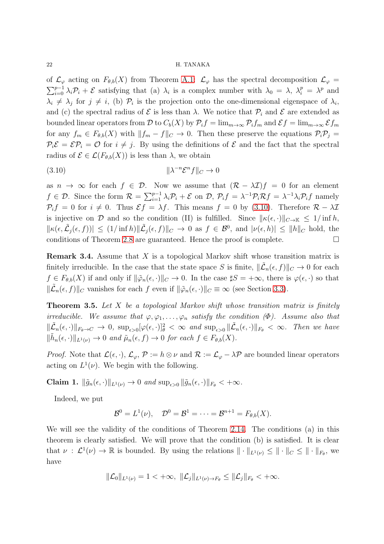of  $\mathcal{L}_{\varphi}$  acting on  $F_{\theta,b}(X)$  from Theorem [A.1:](#page-37-0)  $\mathcal{L}_{\varphi}$  has the spectral decomposition  $\mathcal{L}_{\varphi}$  =  $\sum_{i=0}^{p-1} \lambda_i \mathcal{P}_i + \mathcal{E}$  satisfying that (a)  $\lambda_i$  is a complex number with  $\lambda_0 = \lambda$ ,  $\lambda_i^p = \lambda^p$  and  $\lambda_i \neq \lambda_j$  for  $j \neq i$ , (b)  $\mathcal{P}_i$  is the projection onto the one-dimensional eigenspace of  $\lambda_i$ , and (c) the spectral radius of  $\mathcal E$  is less than  $\lambda$ . We notice that  $\mathcal P_i$  and  $\mathcal E$  are extended as bounded linear operators from D to  $C_b(X)$  by  $\mathcal{P}_i f = \lim_{m\to\infty} \mathcal{P}_i f_m$  and  $\mathcal{E} f = \lim_{m\to\infty} \mathcal{E} f_m$ for any  $f_m \in F_{\theta,b}(X)$  with  $||f_m - f||_C \to 0$ . Then these preserve the equations  $\mathcal{P}_i \mathcal{P}_j =$  $\mathcal{P}_i \mathcal{E} = \mathcal{E} \mathcal{P}_i = \mathcal{O}$  for  $i \neq j$ . By using the definitions of  $\mathcal{E}$  and the fact that the spectral radius of  $\mathcal{E} \in \mathcal{L}(F_{\theta,b}(X))$  is less than  $\lambda$ , we obtain

<span id="page-21-2"></span>
$$
(3.10)\t\t\t\t\t\|\lambda^{-n}\mathcal{E}^n f\|_C \to 0
$$

as  $n \to \infty$  for each  $f \in \mathcal{D}$ . Now we assume that  $(\mathcal{R} - \lambda \mathcal{I})f = 0$  for an element  $f \in \mathcal{D}$ . Since the form  $\mathcal{R} = \sum_{i=1}^{p-1} \lambda_i \mathcal{P}_i + \mathcal{E}$  on  $\mathcal{D}, \mathcal{P}_i f = \lambda^{-1} \mathcal{P}_i \mathcal{R} f = \lambda^{-1} \lambda_i \mathcal{P}_i f$  namely  $P_i f = 0$  for  $i \neq 0$ . Thus  $\mathcal{E} f = \lambda f$ . This means  $f = 0$  by [\(3.10\)](#page-21-2). Therefore  $\mathcal{R} - \lambda \mathcal{I}$ is injective on D and so the condition (II) is fulfilled. Since  $\|\kappa(\epsilon, \cdot)\|_{C\to\mathbb{K}} \leq 1/\inf h$ ,  $\|\kappa(\epsilon,\tilde{L}_j(\epsilon,f))\| \leq (1/\inf h) \|\tilde{L}_j(\epsilon,f)\|_{C} \to 0$  as  $f \in \mathcal{B}^0$ , and  $|\nu(\epsilon,h)| \leq \|h\|_{C}$  hold, the conditions of Theorem [2.8](#page-11-1) are guaranteed. Hence the proof is complete.  $\Box$ 

Remark 3.4. Assume that X is a topological Markov shift whose transition matrix is finitely irreducible. In the case that the state space S is finite,  $\|\tilde{\mathcal{L}}_n(\epsilon, f)\|_C \to 0$  for each  $f \in F_{\theta,b}(X)$  if and only if  $\|\tilde{\varphi}_n(\epsilon, \cdot)\|_C \to 0$ . In the case  $\sharp S = +\infty$ , there is  $\varphi(\epsilon, \cdot)$  so that  $\|\tilde{\mathcal{L}}_n(\epsilon, f)\|_C$  vanishes for each f even if  $\|\tilde{\varphi}_n(\epsilon, \cdot)\|_C \equiv \infty$  (see Section [3.3\)](#page-24-0).

<span id="page-21-0"></span>**Theorem 3.5.** Let X be a topological Markov shift whose transition matrix is finitely irreducible. We assume that  $\varphi, \varphi_1, \ldots, \varphi_n$  satisfy the condition  $(\Phi)$ . Assume also that  $\|\tilde{\mathcal{L}}_n(\epsilon,\cdot)\|_{F_{\theta}\to C} \to 0$ ,  $\sup_{\epsilon>0}[\varphi(\epsilon,\cdot)]_{\theta}^2 < \infty$  and  $\sup_{\epsilon>0} \|\tilde{\mathcal{L}}_n(\epsilon,\cdot)\|_{F_{\theta}} < \infty$ . Then we have  $\|\tilde{h}_n(\epsilon, \cdot)\|_{L^1(\nu)} \to 0$  and  $\tilde{\mu}_n(\epsilon, f) \to 0$  for each  $f \in F_{\theta,b}(X)$ .

*Proof.* Note that  $\mathcal{L}(\epsilon, \cdot), \mathcal{L}_{\varphi}, \mathcal{P} := h \otimes \nu$  and  $\mathcal{R} := \mathcal{L}_{\varphi} - \lambda \mathcal{P}$  are bounded linear operators acting on  $L^1(\nu)$ . We begin with the following.

<span id="page-21-1"></span>Claim 1.  $\|\tilde{g}_n(\epsilon, \cdot)\|_{L^1(\nu)} \to 0$  and  $\sup_{\epsilon > 0} \|\tilde{g}_n(\epsilon, \cdot)\|_{F_{\theta}} < +\infty$ .

Indeed, we put

$$
\mathcal{B}^0=L^1(\nu),\quad \mathcal{D}^0=\mathcal{B}^1=\cdots=\mathcal{B}^{n+1}=F_{\theta,b}(X).
$$

We will see the validity of the conditions of Theorem [2.14.](#page-14-0) The conditions (a) in this theorem is clearly satisfied. We will prove that the condition (b) is satisfied. It is clear that  $\nu : \mathcal{L}^1(\nu) \to \mathbb{R}$  is bounded. By using the relations  $\|\cdot\|_{L^1(\nu)} \leq \|\cdot\|_{C} \leq \|\cdot\|_{F_\theta}$ , we have

$$
\|\mathcal{L}_0\|_{L^1(\nu)}=1<+\infty, \ \|\mathcal{L}_j\|_{L^1(\nu)\to F_\theta}\leq \|\mathcal{L}_j\|_{F_\theta}<+\infty.
$$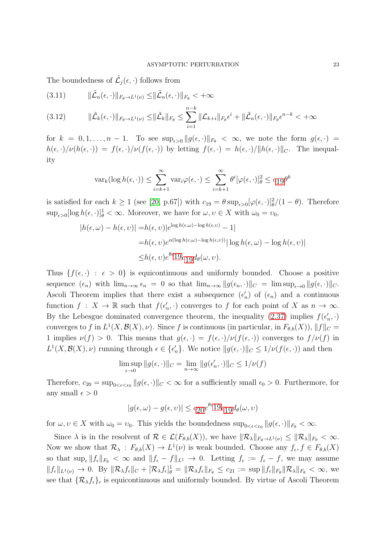The boundedness of  $\tilde{\mathcal{L}}_j(\epsilon, \cdot)$  follows from

$$
(3.11) \t\t ||\tilde{\mathcal{L}}_n(\epsilon,\cdot)||_{F_{\theta}\to L^1(\nu)} \leq ||\tilde{\mathcal{L}}_n(\epsilon,\cdot)||_{F_{\theta}} < +\infty
$$

<span id="page-22-0"></span>
$$
(3.12) \qquad \|\tilde{\mathcal{L}}_k(\epsilon,\cdot)\|_{F_{\theta}\to L^1(\nu)} \leq \|\tilde{\mathcal{L}}_k\|_{F_{\theta}} \leq \sum_{i=1}^{n-k} \|\mathcal{L}_{k+i}\|_{F_{\theta}} \epsilon^i + \|\tilde{\mathcal{L}}_n(\epsilon,\cdot)\|_{F_{\theta}} \epsilon^{n-k} < +\infty
$$

for  $k = 0, 1, \ldots, n - 1$ . To see  $\sup_{\epsilon > 0} ||g(\epsilon, \cdot)||_{F_{\theta}} < \infty$ , we note the form  $g(\epsilon, \cdot) =$  $h(\epsilon, \cdot)/\nu(h(\epsilon, \cdot)) = f(\epsilon, \cdot)/\nu(f(\epsilon, \cdot))$  by letting  $f(\epsilon, \cdot) = h(\epsilon, \cdot)/\|h(\epsilon, \cdot)\|_{C}$ . The inequality

$$
\operatorname{var}_k(\log h(\epsilon, \cdot)) \le \sum_{i=k+1}^{\infty} \operatorname{var}_i \varphi(\epsilon, \cdot) \le \sum_{i=k+1}^{\infty} \theta^i [\varphi(\epsilon, \cdot)]_{\theta}^2 \le c_1 \theta^{k}
$$

is satisfied for each  $k \ge 1$  (see [\[20,](#page-39-2) p.67]) with  $c_{19} = \theta \sup_{\epsilon > 0} [\varphi(\epsilon, \cdot)]_{\theta}^2/(1 - \theta)$ . Therefore  $\sup_{\epsilon>0} [\log h(\epsilon, \cdot)]_{\theta}^1 < \infty$ . Moreover, we have for  $\omega, \upsilon \in X$  with  $\omega_0 = \upsilon_0$ ,

$$
|h(\epsilon,\omega) - h(\epsilon,\nu)| = h(\epsilon,\nu)|e^{\log h(\epsilon,\omega) - \log h(\epsilon,\nu)} - 1|
$$
  
=  $h(\epsilon,\nu)e^{\alpha(\log h(\epsilon,\omega) - \log h(\epsilon,\nu))}|\log h(\epsilon,\omega) - \log h(\epsilon,\nu)|$   
 $\leq h(\epsilon,\nu)e^{\theta c}19c_1gd_\theta(\omega,\nu).$ 

Thus  $\{f(\epsilon, \cdot) : \epsilon > 0\}$  is equicontinuous and uniformly bounded. Choose a positive sequence  $(\epsilon_n)$  with  $\lim_{n\to\infty} \epsilon_n = 0$  so that  $\lim_{n\to\infty} ||g(\epsilon_n, \cdot)||_C = \limsup_{\epsilon \to 0} ||g(\epsilon, \cdot)||_C$ . Ascoli Theorem implies that there exist a subsequence  $(\epsilon'_n)$  of  $(\epsilon_n)$  and a continuous function  $f: X \to \mathbb{R}$  such that  $f(\epsilon'_n, \cdot)$  converges to f for each point of X as  $n \to \infty$ . By the Lebesgue dominated convergence theorem, the inequality [\(2.37\)](#page-16-0) implies  $f(\epsilon_n', \cdot)$ converges to f in  $L^1(X, \mathcal{B}(X), \nu)$ . Since f is continuous (in particular, in  $F_{\theta,b}(X)$ ),  $||f||_C =$ 1 implies  $\nu(f) > 0$ . This means that  $g(\epsilon, \cdot) = f(\epsilon, \cdot)/\nu(f(\epsilon, \cdot))$  converges to  $f/\nu(f)$  in  $L^1(X,\mathcal{B}(X),\nu)$  running through  $\epsilon \in {\{\epsilon'_n\}}$ . We notice  $||g(\epsilon,\cdot)||_C \leq 1/\nu(f(\epsilon,\cdot))$  and then

$$
\limsup_{\epsilon \to 0} ||g(\epsilon, \cdot)||_C = \lim_{n \to \infty} ||g(\epsilon'_n, \cdot)||_C \le 1/\nu(f)
$$

Therefore,  $c_{20} = \sup_{0 \le \epsilon \le \epsilon_0} ||g(\epsilon, \cdot)||_C < \infty$  for a sufficiently small  $\epsilon_0 > 0$ . Furthermore, for any small  $\epsilon > 0$ 

$$
|g(\epsilon,\omega) - g(\epsilon,v)| \le c_{20} e^{\theta c_1} 19 c_{19} d_{\theta}(\omega,v)
$$

for  $\omega, \upsilon \in X$  with  $\omega_0 = \upsilon_0$ . This yields the boundedness  $\sup_{0 \leq \epsilon \leq \epsilon_0} ||g(\epsilon, \cdot)||_{F_\theta} < \infty$ .

Since  $\lambda$  is in the resolvent of  $\mathcal{R} \in \mathcal{L}(F_{\theta,b}(X))$ , we have  $\|\mathcal{R}_{\lambda}\|_{F_{\theta}\to L^1(\nu)} \leq \|\mathcal{R}_{\lambda}\|_{F_{\theta}} < \infty$ . Now we show that  $\mathcal{R}_\lambda$ :  $F_{\theta,b}(X) \to L^1(\nu)$  is weak bounded. Choose any  $f_{\epsilon}, f \in F_{\theta,b}(X)$ so that  $\sup_{\epsilon} ||f_{\epsilon}||_{F_{\theta}} < \infty$  and  $||f_{\epsilon} - f||_{L^1} \to 0$ . Letting  $f_{\epsilon} := f_{\epsilon} - f$ , we may assume  $||f_{\epsilon}||_{L^{1}(\nu)} \to 0$ . By  $||\mathcal{R}_{\lambda}f_{\epsilon}||_{C} + [\mathcal{R}_{\lambda}f_{\epsilon}]_{\theta}^{1} = ||\mathcal{R}_{\lambda}f_{\epsilon}||_{F_{\theta}} \leq c_{21} := \sup ||f_{\epsilon}||_{F_{\theta}} ||\mathcal{R}_{\lambda}||_{F_{\theta}} < \infty$ , we see that  $\{\mathcal{R}_{\lambda}f_{\epsilon}\}_\epsilon$  is equicontinuous and uniformly bounded. By virtue of Ascoli Theorem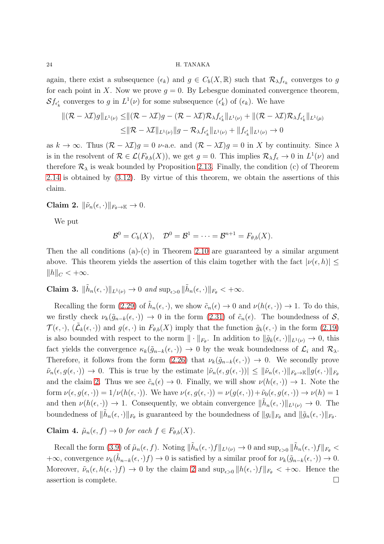again, there exist a subsequence  $(\epsilon_k)$  and  $g \in C_b(X, \mathbb{R})$  such that  $\mathcal{R}_{\lambda} f_{\epsilon_k}$  converges to g for each point in X. Now we prove  $g = 0$ . By Lebesgue dominated convergence theorem,  $\mathcal{S}f_{\epsilon'_{k}}$  converges to g in  $L^{1}(\nu)$  for some subsequence  $(\epsilon'_{k})$  of  $(\epsilon_{k})$ . We have

$$
\begin{aligned} \|(\mathcal{R} - \lambda \mathcal{I})g\|_{L^1(\nu)} &\leq \|\left(\mathcal{R} - \lambda \mathcal{I}\right)g - (\mathcal{R} - \lambda \mathcal{I})\mathcal{R}_{\lambda}f_{\epsilon'_{k}}\|_{L^1(\nu)} + \|(\mathcal{R} - \lambda \mathcal{I})\mathcal{R}_{\lambda}f_{\epsilon'_{k}}\|_{L^1(\mu)} \\ &\leq \|\mathcal{R} - \lambda \mathcal{I}\|_{L^1(\nu)}\|g - \mathcal{R}_{\lambda}f_{\epsilon'_{k}}\|_{L^1(\nu)} + \|f_{\epsilon'_{k}}\|_{L^1(\nu)} \to 0 \end{aligned}
$$

as  $k \to \infty$ . Thus  $(\mathcal{R} - \lambda \mathcal{I})q = 0$  *v*-a.e. and  $(\mathcal{R} - \lambda \mathcal{I})q = 0$  in X by continuity. Since  $\lambda$ is in the resolvent of  $\mathcal{R} \in \mathcal{L}(F_{\theta,b}(X))$ , we get  $g = 0$ . This implies  $\mathcal{R}_{\lambda} f_{\epsilon} \to 0$  in  $L^1(\nu)$  and therefore  $\mathcal{R}_{\lambda}$  is weak bounded by Proposition [2.13.](#page-13-1) Finally, the condition (c) of Theorem [2.14](#page-14-0) is obtained by [\(3.12\)](#page-22-0). By virtue of this theorem, we obtain the assertions of this claim.

<span id="page-23-1"></span>Claim 2.  $\|\tilde{\nu}_n(\epsilon, \cdot)\|_{F_{\theta}\to\mathbb{K}} \to 0.$ 

We put

$$
\mathcal{B}^0=C_b(X), \quad \mathcal{D}^0=\mathcal{B}^1=\cdots=\mathcal{B}^{n+1}=F_{\theta,b}(X).
$$

Then the all conditions  $(a)-(c)$  in Theorem [2.10](#page-12-0) are guaranteed by a similar argument above. This theorem yields the assertion of this claim together with the fact  $|\nu(\epsilon, h)| \leq$  $||h||_C < +\infty$ .

<span id="page-23-0"></span>Claim 3.  $\|\tilde{h}_n(\epsilon, \cdot)\|_{L^1(\nu)} \to 0$  and  $\sup_{\epsilon > 0} \|\tilde{h}_n(\epsilon, \cdot)\|_{F_\theta} < +\infty$ .

Recalling the form [\(2.29\)](#page-10-2) of  $\tilde{h}_n(\epsilon, \cdot)$ , we show  $\tilde{c}_n(\epsilon) \to 0$  and  $\nu(h(\epsilon, \cdot)) \to 1$ . To do this, we firstly check  $\nu_k(\tilde{g}_{n-k}(\epsilon,\cdot)) \to 0$  in the form  $(2.31)$  of  $\tilde{c}_n(\epsilon)$ . The boundedness of  $\mathcal{S}$ ,  $\mathcal{T}(\epsilon, \cdot), (\tilde{\mathcal{L}}_k(\epsilon, \cdot))$  and  $g(\epsilon, \cdot)$  in  $F_{\theta,b}(X)$  imply that the function  $\tilde{g}_k(\epsilon, \cdot)$  in the form [\(2.19\)](#page-8-2) is also bounded with respect to the norm  $\|\cdot\|_{F_{\theta}}$ . In addition to  $\|\tilde{g}_k(\epsilon,\cdot)\|_{L^1(\nu)} \to 0$ , this fact yields the convergence  $\kappa_k(\tilde{g}_{n-k}(\epsilon, \cdot)) \to 0$  by the weak boundedness of  $\mathcal{L}_i$  and  $\mathcal{R}_\lambda$ . Therefore, it follows from the form [\(2.26\)](#page-10-4) that  $\nu_k(\tilde{g}_{n-k}(\epsilon, \cdot)) \to 0$ . We secondly prove  $\tilde{\nu}_n(\epsilon, g(\epsilon, \cdot)) \to 0$ . This is true by the estimate  $|\tilde{\nu}_n(\epsilon, g(\epsilon, \cdot))| \leq ||\tilde{\nu}_n(\epsilon, \cdot)||_{F_{\theta} \to \mathbb{K}} ||g(\epsilon, \cdot)||_{F_{\theta}}$ and the claim [2.](#page-23-1) Thus we see  $\tilde{c}_n(\epsilon) \to 0$ . Finally, we will show  $\nu(h(\epsilon, \cdot)) \to 1$ . Note the form  $\nu(\epsilon, g(\epsilon, \cdot)) = 1/\nu(h(\epsilon, \cdot))$ . We have  $\nu(\epsilon, g(\epsilon, \cdot)) = \nu(g(\epsilon, \cdot)) + \tilde{\nu}_0(\epsilon, g(\epsilon, \cdot)) \rightarrow \nu(h) = 1$ and then  $\nu(h(\epsilon, \cdot)) \to 1$ . Consequently, we obtain convergence  $\|\tilde{h}_n(\epsilon, \cdot)\|_{L^1(\nu)} \to 0$ . The boundedness of  $\|\tilde{h}_n(\epsilon,\cdot)\|_{F_\theta}$  is guaranteed by the boundedness of  $\|g_i\|_{F_\theta}$  and  $\|\tilde{g}_n(\epsilon,\cdot)\|_{F_\theta}$ .

<span id="page-23-2"></span>Claim 4.  $\tilde{\mu}_n(\epsilon, f) \to 0$  for each  $f \in F_{\theta, b}(X)$ .

Recall the form [\(3.9\)](#page-20-1) of  $\tilde{\mu}_n(\epsilon, f)$ . Noting  $\|\tilde{h}_n(\epsilon, \cdot)f\|_{L^1(\nu)} \to 0$  and  $\sup_{\epsilon>0} \|\tilde{h}_n(\epsilon, \cdot)f\|_{F_{\theta}} <$  $+\infty$ , convergence  $\nu_k(\tilde{h}_{n-k}(\epsilon,\cdot)f) \to 0$  is satisfied by a similar proof for  $\nu_k(\tilde{g}_{n-k}(\epsilon,\cdot)) \to 0$ . Moreover,  $\tilde{\nu}_n(\epsilon, h(\epsilon, \cdot)f) \to 0$  by the claim [2](#page-23-1) and  $\sup_{\epsilon > 0} ||h(\epsilon, \cdot)f||_{F_{\theta}} < +\infty$ . Hence the assertion is complete.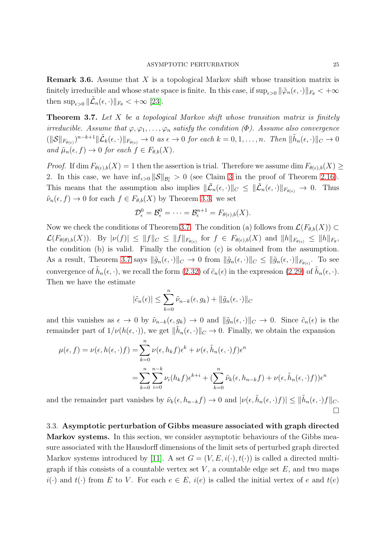**Remark 3.6.** Assume that  $X$  is a topological Markov shift whose transition matrix is finitely irreducible and whose state space is finite. In this case, if  $\sup_{\epsilon>0} ||\tilde{\varphi}_n(\epsilon,\cdot)||_{F_\theta} < +\infty$ then  $\sup_{\epsilon>0} \|\tilde{\mathcal{L}}_n(\epsilon,\cdot)\|_{F_\theta} < +\infty$  [\[23\]](#page-39-0).

<span id="page-24-1"></span>Theorem 3.7. Let X be a topological Markov shift whose transition matrix is finitely irreducible. Assume that  $\varphi, \varphi_1, \ldots, \varphi_n$  satisfy the condition  $(\Phi)$ . Assume also convergence  $(||\mathcal{S}||_{F_{\theta(\epsilon)}})^{n-k+1} \|\tilde{\mathcal{L}}_k(\epsilon,\cdot)\|_{F_{\theta(\epsilon)}} \to 0 \text{ as } \epsilon \to 0 \text{ for each } k = 0, 1, \ldots, n. \text{ Then } \|\tilde{h}_n(\epsilon,\cdot)\|_{C} \to 0$ and  $\tilde{\mu}_n(\epsilon, f) \to 0$  for each  $f \in F_{\theta,b}(X)$ .

*Proof.* If  $\dim F_{\theta(\epsilon),b}(X) = 1$  then the assertion is trial. Therefore we assume  $\dim F_{\theta(\epsilon),b}(X) \geq$ 2. In this case, we have  $\inf_{\epsilon>0} \|\mathcal{S}\|_{\mathcal{B}^i_{\epsilon}}>0$  (see Claim [3](#page-23-0) in the proof of Theorem [2.16\)](#page-15-0). This means that the assumption also implies  $\|\tilde{\mathcal{L}}_n(\epsilon, \cdot)\|_C \leq \|\tilde{\mathcal{L}}_n(\epsilon, \cdot)\|_{F_{\theta(\epsilon)}} \to 0$ . Thus  $\tilde{\nu}_n(\epsilon, f) \to 0$  for each  $f \in F_{\theta,b}(X)$  by Theorem [3.3.](#page-20-0) we set

$$
\mathcal{D}_{\epsilon}^0=\mathcal{B}_{\epsilon}^0=\cdots=\mathcal{B}_{\epsilon}^{n+1}=F_{\theta(\epsilon),b}(X).
$$

Now we check the conditions of Theorem [3.7.](#page-24-1) The condition (a) follows from  $\mathcal{L}(F_{\theta,b}(X)) \subset$  $\mathcal{L}(F_{\theta(\theta),b}(X))$ . By  $|\nu(f)| \leq ||f||_{C} \leq ||f||_{F_{\theta(\epsilon)}}$  for  $f \in F_{\theta(\epsilon),b}(X)$  and  $||h||_{F_{\theta(\epsilon)}} \leq ||h||_{F_{\theta}}$ , the condition (b) is valid. Finally the condition (c) is obtained from the assumption. As a result, Theorem [3.7](#page-24-1) says  $\|\tilde{g}_n(\epsilon, \cdot)\|_C \to 0$  from  $\|\tilde{g}_n(\epsilon, \cdot)\|_C \le \|\tilde{g}_n(\epsilon, \cdot)\|_{F_{\theta(\epsilon)}}$ . To see convergence of  $\tilde{h}_n(\epsilon, \cdot)$ , we recall the form  $(2.32)$  of  $\tilde{c}_n(\epsilon)$  in the expression  $(2.29)$  of  $\tilde{h}_n(\epsilon, \cdot)$ . Then we have the estimate

$$
|\tilde{c}_n(\epsilon)| \leq \sum_{k=0}^n \tilde{\nu}_{n-k}(\epsilon, g_k) + ||\tilde{g}_n(\epsilon, \cdot)||_C
$$

and this vanishes as  $\epsilon \to 0$  by  $\tilde{\nu}_{n-k}(\epsilon, g_k) \to 0$  and  $\|\tilde{g}_n(\epsilon, \cdot)\|_C \to 0$ . Since  $\tilde{c}_n(\epsilon)$  is the remainder part of  $1/\nu(h(\epsilon, \cdot))$ , we get  $\|\tilde{h}_n(\epsilon, \cdot)\|_C \to 0$ . Finally, we obtain the expansion

$$
\mu(\epsilon, f) = \nu(\epsilon, h(\epsilon, \cdot)f) = \sum_{k=0}^{n} \nu(\epsilon, h_k f) \epsilon^k + \nu(\epsilon, \tilde{h}_n(\epsilon, \cdot)f) \epsilon^n
$$

$$
= \sum_{k=0}^{n} \sum_{i=0}^{n-k} \nu_i(h_k f) \epsilon^{k+i} + \left(\sum_{k=0}^{n} \tilde{\nu}_k(\epsilon, h_{n-k} f) + \nu(\epsilon, \tilde{h}_n(\epsilon, \cdot)f)\right) \epsilon^n
$$

and the remainder part vanishes by  $\tilde{\nu}_k(\epsilon, h_{n-k}f) \to 0$  and  $|\nu(\epsilon, \tilde{h}_n(\epsilon, \cdot)f)| \leq ||\tilde{h}_n(\epsilon, \cdot)f||_C$ .  $\Box$ 

<span id="page-24-0"></span>3.3. Asymptotic perturbation of Gibbs measure associated with graph directed Markov systems. In this section, we consider asymptotic behaviours of the Gibbs measure associated with the Hausdorff dimensions of the limit sets of perturbed graph directed Markov systems introduced by [\[11\]](#page-38-7). A set  $G = (V, E, i(\cdot), t(\cdot))$  is called a directed multigraph if this consists of a countable vertex set  $V$ , a countable edge set  $E$ , and two maps  $i(\cdot)$  and  $t(\cdot)$  from E to V. For each  $e \in E$ ,  $i(e)$  is called the initial vertex of e and  $t(e)$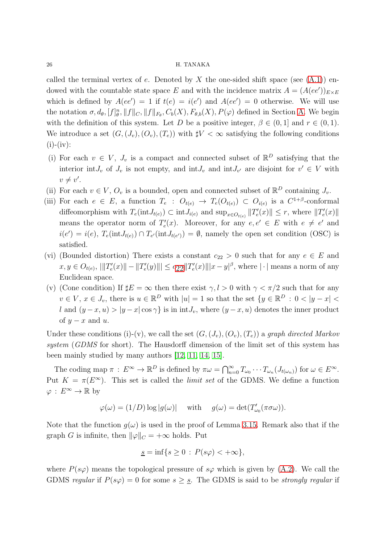called the terminal vertex of e. Denoted by X the one-sided shift space (see  $(A.1)$ ) endowed with the countable state space E and with the incidence matrix  $A = (A(ee'))_{E \times E}$ which is defined by  $A(ee') = 1$  if  $t(e) = i(e')$  and  $A(ee') = 0$  otherwise. We will use the notation  $\sigma, d_\theta, [f]_\theta^n, \|f\|_C, \|f\|_{F_\theta}, C_b(X), F_{\theta,b}(X), P(\varphi)$  defined in Section [A.](#page-35-0) We begin with the definition of this system. Let D be a positive integer,  $\beta \in (0,1]$  and  $r \in (0,1)$ . We introduce a set  $(G,(J_v),(O_v),(T_e))$  with  $\sharp V < \infty$  satisfying the following conditions  $(i)-(iv):$ 

- (i) For each  $v \in V$ ,  $J_v$  is a compact and connected subset of  $\mathbb{R}^D$  satisfying that the interior int $J_v$  of  $J_v$  is not empty, and int $J_v$  and int $J_{v'}$  are disjoint for  $v' \in V$  with  $v \neq v'.$
- (ii) For each  $v \in V$ ,  $O_v$  is a bounded, open and connected subset of  $\mathbb{R}^D$  containing  $J_v$ .
- (iii) For each  $e \in E$ , a function  $T_e$ :  $O_{t(e)} \to T_e(O_{t(e)}) \subset O_{i(e)}$  is a  $C^{1+\beta}$ -conformal diffeomorphism with  $T_e(\text{int}J_{t(e)}) \subset \text{int}J_{i(e)}$  and  $\sup_{x \in O_{t(e)}} ||T'_e(x)|| \leq r$ , where  $||T'_e(x)||$ means the operator norm of  $T'_{e}(x)$ . Moreover, for any  $e, e' \in E$  with  $e \neq e'$  and  $i(e') = i(e)$ ,  $T_e(\text{int}J_{t(e)}) \cap T_{e'}(\text{int}J_{t(e')}) = \emptyset$ , namely the open set condition (OSC) is satisfied.
- (vi) (Bounded distortion) There exists a constant  $c_{22} > 0$  such that for any  $e \in E$  and  $x, y \in O_{t(e)},$   $|||T'_e(x)|| - ||T'_e(y)||| \le c_{22} ||T'_e(x)|| |x - y|^{\beta}$  $|||T'_e(x)|| - ||T'_e(y)||| \le c_{22} ||T'_e(x)|| |x - y|^{\beta}$  $|||T'_e(x)|| - ||T'_e(y)||| \le c_{22} ||T'_e(x)|| |x - y|^{\beta}$ , where  $|\cdot|$  means a norm of any Euclidean space.
- (v) (Cone condition) If  $\sharp E = \infty$  then there exist  $\gamma, l > 0$  with  $\gamma < \pi/2$  such that for any  $v \in V$ ,  $x \in J_v$ , there is  $u \in \mathbb{R}^D$  with  $|u|=1$  so that the set  $\{y \in \mathbb{R}^D : 0 < |y-x| < \infty\}$ l and  $(y-x, u) > |y-x|\cos\gamma$  is in int $J_v$ , where  $(y-x, u)$  denotes the inner product of  $y - x$  and u.

Under these conditions (i)-(v), we call the set  $(G,(J_v),(O_v),(T_e))$  a graph directed Markov system (GDMS for short). The Hausdorff dimension of the limit set of this system has been mainly studied by many authors [\[12,](#page-38-8) [11,](#page-38-7) [14,](#page-38-9) [15\]](#page-38-10).

The coding map  $\pi : E^{\infty} \to \mathbb{R}^D$  is defined by  $\pi \omega = \bigcap_{n=0}^{\infty} T_{\omega_0} \cdots T_{\omega_n} (J_{t(\omega_n)})$  for  $\omega \in E^{\infty}$ . Put  $K = \pi(E^{\infty})$ . This set is called the *limit set* of the GDMS. We define a function  $\varphi: E^{\infty} \to \mathbb{R}$  by

$$
\varphi(\omega) = (1/D) \log |g(\omega)| \quad \text{ with } \quad g(\omega) = \det(T'_{\omega_0}(\pi \sigma \omega)).
$$

Note that the function  $g(\omega)$  is used in the proof of Lemma [3.15.](#page-28-0) Remark also that if the graph G is infinite, then  $\|\varphi\|_C = +\infty$  holds. Put

$$
\underline{s} = \inf\{s \ge 0 : P(s\varphi) < +\infty\},\
$$

where  $P(s\varphi)$  means the topological pressure of  $s\varphi$  which is given by [\(A.2\)](#page-37-1). We call the GDMS regular if  $P(s\varphi) = 0$  for some  $s \geq s$ . The GDMS is said to be *strongly regular* if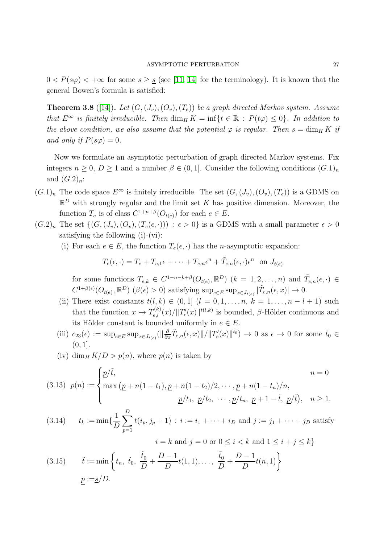$0 < P(s\varphi) < +\infty$  for some  $s \geq s$  (see [\[11,](#page-38-7) [14\]](#page-38-9) for the terminology). It is known that the general Bowen's formula is satisfied:

<span id="page-26-0"></span>**Theorem 3.8** ([\[14\]](#page-38-9)). Let  $(G, (J_v), (O_v), (T_e))$  be a graph directed Markov system. Assume that  $E^{\infty}$  is finitely irreducible. Then  $\dim_H K = \inf\{t \in \mathbb{R} : P(t\varphi) \leq 0\}$ . In addition to the above condition, we also assume that the potential  $\varphi$  is regular. Then  $s = \dim_H K$  if and only if  $P(s\varphi) = 0$ .

Now we formulate an asymptotic perturbation of graph directed Markov systems. Fix integers  $n \geq 0$ ,  $D \geq 1$  and a number  $\beta \in (0, 1]$ . Consider the following conditions  $(G.1)<sub>n</sub>$ and  $(G.2)<sub>n</sub>$ :

- $(G.1)_n$  The code space  $E^{\infty}$  is finitely irreducible. The set  $(G, (J_v), (O_v), (T_e))$  is a GDMS on  $\mathbb{R}^D$  with strongly regular and the limit set K has positive dimension. Moreover, the function  $T_e$  is of class  $C^{1+n+\beta}(O_{t(e)})$  for each  $e \in E$ .
- $(G.2)_n$  The set  $\{(G,(J_v),(O_v),(T_e(\epsilon, \cdot))) : \epsilon > 0\}$  is a GDMS with a small parameter  $\epsilon > 0$ satisfying the following (i)-(vi):
	- (i) For each  $e \in E$ , the function  $T_e(\epsilon, \cdot)$  has the *n*-asymptotic expansion:

$$
T_e(\epsilon, \cdot) = T_e + T_{e,1}\epsilon + \dots + T_{e,n}\epsilon^n + \tilde{T}_{e,n}(\epsilon, \cdot)\epsilon^n
$$
 on  $J_{t(e)}$ 

for some functions  $T_{e,k} \in C^{1+n-k+\beta}(O_{t(e)},\mathbb{R}^D)$   $(k = 1,2,...,n)$  and  $\tilde{T}_{e,n}(\epsilon, \cdot) \in$  $C^{1+\beta(\epsilon)}(O_{t(e)}, \mathbb{R}^D)$  ( $\beta(\epsilon) > 0$ ) satisfying  $\sup_{e \in E} \sup_{x \in J_{t(e)}} |\tilde{T}_{e,n}(\epsilon, x)| \to 0$ .

- (ii) There exist constants  $t(l, k) \in (0, 1]$   $(l = 0, 1, ..., n, k = 1, ..., n l + 1)$  such that the function  $x \mapsto T_{e,l}^{(k)}(x) / ||T'_e(x)||^{t(l,k)}$  is bounded,  $\beta$ -Hölder continuous and its Hölder constant is bounded uniformly in  $e \in E$ .
- (iii)  $c_{23}(\epsilon) := \sup_{e \in E} \sup_{x \in J_{t(e)}} (\|\frac{\partial}{\partial x}\tilde{T}_{e,n}(\epsilon,x)\| / \|T'_e(x)\|^{\tilde{t}_0}) \to 0$  as  $\epsilon \to 0$  for some  $\tilde{t}_0 \in$  $(0, 1].$
- (iv) dim<sub>H</sub>  $K/D > p(n)$ , where  $p(n)$  is taken by

(3.13) 
$$
p(n) := \begin{cases} \frac{p}{t}, & n = 0 \\ \max(\underline{p} + n(1-t_1), \underline{p} + n(1-t_2)/2, \cdots, \underline{p} + n(1-t_n)/n, \\ & \underline{p}/t_1, \ \underline{p}/t_2, \ \cdots, \underline{p}/t_n, \ \underline{p} + 1 - \tilde{t}, \ \underline{p}/\tilde{t}), & n \ge 1. \end{cases}
$$

(3.14) 
$$
t_k := \min\{\frac{1}{D}\sum_{p=1}^{D} t(i_p, j_p + 1) : i := i_1 + \cdots + i_D \text{ and } j := j_1 + \cdots + j_D \text{ satisfy}
$$

(3.15) 
$$
i = k
$$
 and  $j = 0$  or  $0 \le i < k$  and  $1 \le i + j \le k$   
\n $\tilde{t} := \min \left\{ t_n, \ \tilde{t}_0, \ \frac{\tilde{t}_0}{D} + \frac{D - 1}{D} t(1, 1), \dots, \ \frac{\tilde{t}_0}{D} + \frac{D - 1}{D} t(n, 1) \right\}$   
\n $\underline{p} := \underline{s}/D.$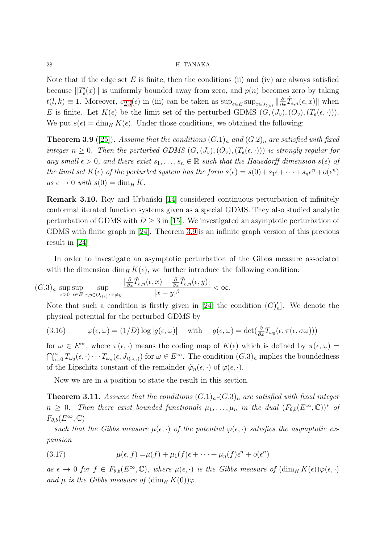Note that if the edge set  $E$  is finite, then the conditions (ii) and (iv) are always satisfied because  $||T'_{e}(x)||$  is uniformly bounded away from zero, and  $p(n)$  becomes zero by taking  $t(l,k) \equiv 1$ . Moreover,  $c_{23}(\epsilon)$  $c_{23}(\epsilon)$  $c_{23}(\epsilon)$  in (iii) can be taken as  $\sup_{e \in E} \sup_{x \in J_{t(e)}} || \frac{\partial}{\partial x} \tilde{T}_{e,n}(\epsilon, x) ||$  when E is finite. Let  $K(\epsilon)$  be the limit set of the perturbed GDMS  $(G,(J_v),(O_v),(T_e(\epsilon,\cdot))).$ We put  $s(\epsilon) = \dim_H K(\epsilon)$ . Under those conditions, we obtained the following:

<span id="page-27-2"></span>**Theorem 3.9** ([\[25\]](#page-39-3)). Assume that the conditions  $(G.1)<sub>n</sub>$  and  $(G.2)<sub>n</sub>$  are satisfied with fixed integer  $n \geq 0$ . Then the perturbed GDMS  $(G,(J_v),(O_v),(T_e(\epsilon,\cdot)))$  is strongly regular for any small  $\epsilon > 0$ , and there exist  $s_1, \ldots, s_n \in \mathbb{R}$  such that the Hausdorff dimension  $s(\epsilon)$  of the limit set  $K(\epsilon)$  of the perturbed system has the form  $s(\epsilon) = s(0) + s_1\epsilon + \cdots + s_n\epsilon^n + o(\epsilon^n)$  $as \epsilon \to 0 \text{ with } s(0) = \dim_H K.$ 

**Remark 3.10.** Roy and Urbanski [\[14\]](#page-38-9) considered continuous perturbation of infinitely conformal iterated function systems given as a special GDMS. They also studied analytic perturbation of GDMS with  $D \geq 3$  in [\[15\]](#page-38-10). We investigated an asymptotic perturbation of GDMS with finite graph in [\[24\]](#page-39-1). Theorem [3.9](#page-27-2) is an infinite graph version of this previous result in [\[24\]](#page-39-1)

In order to investigate an asymptotic perturbation of the Gibbs measure associated with the dimension dim<sub>H</sub> K( $\epsilon$ ), we further introduce the following condition:

$$
(G.3)_n \sup_{\epsilon>0} \sup_{\epsilon\in E} \sup_{x,y\in O_{t(\epsilon)}:\,x\neq y} \frac{|\frac{\partial}{\partial x}\tilde{T}_{e,n}(\epsilon,x)-\frac{\partial}{\partial x}\tilde{T}_{e,n}(\epsilon,y)|}{|x-y|^\beta} < \infty.
$$

Note that such a condition is firstly given in [\[24,](#page-39-1) the condition  $(G)'_n$ ]. We denote the physical potential for the perturbed GDMS by

<span id="page-27-1"></span>(3.16) 
$$
\varphi(\epsilon,\omega) = (1/D) \log |g(\epsilon,\omega)| \quad \text{with} \quad g(\epsilon,\omega) = \det(\frac{\partial}{\partial x}T_{\omega_0}(\epsilon,\pi(\epsilon,\sigma\omega)))
$$

for  $\omega \in E^{\infty}$ , where  $\pi(\epsilon, \cdot)$  means the coding map of  $K(\epsilon)$  which is defined by  $\pi(\epsilon, \omega) =$  $\bigcap_{n=0}^{\infty} T_{\omega_0}(\epsilon,\cdot) \cdots T_{\omega_n}(\epsilon, J_{t(\omega_n)})$  for  $\omega \in E^{\infty}$ . The condition  $(G.3)_n$  implies the boundedness of the Lipschitz constant of the remainder  $\tilde{\varphi}_n(\epsilon, \cdot)$  of  $\varphi(\epsilon, \cdot)$ .

Now we are in a position to state the result in this section.

<span id="page-27-0"></span>**Theorem 3.11.** Assume that the conditions  $(G.1)<sub>n</sub>$ - $(G.3)<sub>n</sub>$  are satisfied with fixed integer  $n \geq 0$ . Then there exist bounded functionals  $\mu_1, \ldots, \mu_n$  in the dual  $(F_{\theta,b}(E^{\infty}, \mathbb{C}))^*$  of  $F_{\theta,b}(E^{\infty},\mathbb{C})$ 

such that the Gibbs measure  $\mu(\epsilon, \cdot)$  of the potential  $\varphi(\epsilon, \cdot)$  satisfies the asymptotic expansion

(3.17) 
$$
\mu(\epsilon, f) = \mu(f) + \mu_1(f)\epsilon + \cdots + \mu_n(f)\epsilon^n + o(\epsilon^n)
$$

as  $\epsilon \to 0$  for  $f \in F_{\theta,b}(E^{\infty},\mathbb{C})$ , where  $\mu(\epsilon,\cdot)$  is the Gibbs measure of  $(\dim_H K(\epsilon))\varphi(\epsilon,\cdot)$ and  $\mu$  is the Gibbs measure of  $(\dim_H K(0))\varphi$ .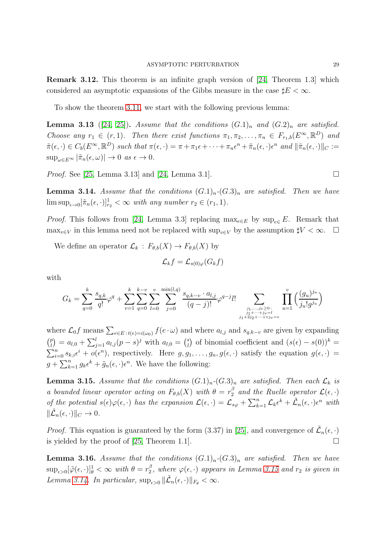Remark 3.12. This theorem is an infinite graph version of [\[24,](#page-39-1) Theorem 1.3] which considered an asymptotic expansions of the Gibbs measure in the case  $\sharp E < \infty$ .

To show the theorem [3.11,](#page-27-0) we start with the following previous lemma:

**Lemma 3.13** ([\[24,](#page-39-1) [25\]](#page-39-3)). Assume that the conditions  $(G.1)<sub>n</sub>$  and  $(G.2)<sub>n</sub>$  are satisfied. Choose any  $r_1 \in (r, 1)$ . Then there exist functions  $\pi_1, \pi_2, \ldots, \pi_n \in F_{r_1,b}(E^{\infty}, \mathbb{R}^D)$  and  $\tilde{\pi}(\epsilon, \cdot) \in C_b(E^{\infty}, \mathbb{R}^D)$  such that  $\pi(\epsilon, \cdot) = \pi + \pi_1 \epsilon + \cdots + \pi_n \epsilon^n + \tilde{\pi}_n(\epsilon, \cdot) \epsilon^n$  and  $\|\tilde{\pi}_n(\epsilon, \cdot)\|_C :=$  $\sup_{\omega \in E^{\infty}} |\tilde{\pi}_n(\epsilon, \omega)| \to 0 \text{ as } \epsilon \to 0.$ 

*Proof.* See [\[25,](#page-39-3) Lemma 3.13] and [\[24,](#page-39-1) Lemma 3.1].

<span id="page-28-1"></span>**Lemma 3.14.** Assume that the conditions  $(G.1)<sub>n</sub>-(G.3)<sub>n</sub>$  are satisfied. Then we have  $\limsup_{\epsilon \to 0} [\tilde{\pi}_n(\epsilon, \cdot)]_{r_2}^1 < \infty$  with any number  $r_2 \in (r_1, 1)$ .

*Proof.* This follows from [\[24,](#page-39-1) Lemma 3.3] replacing  $\max_{e \in E}$  by  $\sup_{e \in E} E$ . Remark that  $\max_{v \in V}$  in this lemma need not be replaced with  $\sup_{v \in V}$  by the assumption  $\sharp V < \infty$ .  $\Box$ 

We define an operator  $\mathcal{L}_k : F_{\theta,b}(X) \to F_{\theta,b}(X)$  by

$$
\mathcal{L}_k f = \mathcal{L}_{s(0)\varphi}(G_k f)
$$

with

$$
G_k = \sum_{q=0}^k \frac{s_{q,k}}{q!} \varphi^q + \sum_{v=1}^k \sum_{q=0}^{k-v} \sum_{l=0}^v \sum_{j=0}^{\min(l,q)} \frac{s_{q,k-v} \cdot a_{l,j}}{(q-j)!} \varphi^{q-j} l! \sum_{\substack{j_1, \dots, j_v \ge 0 \\ j_1 + \dots + j_v = l \\ j_1 + 2j_2 + \dots + v_j = v}} \prod_{u=1}^v \left( \frac{(g_u)^{j_u}}{j_u! g^{j_u}} \right)
$$

where  $\mathcal{L}_0 f$  means  $\sum_{e \in E \,:\, t(e) = i(\omega_0)} f(e \cdot \omega)$  and where  $a_{l,j}$  and  $s_{q,k-v}$  are given by expanding  $\binom{p}{l}$  $\binom{p}{l} = a_{l,0} + \sum_{j=1}^{l} a_{l,j} (p-s)^j$  with  $a_{l,0} = \binom{s}{l}$ <sup>s</sup><sup>b</sup></sup> of binomial coefficient and  $(s(\epsilon) - s(0))^k =$  $\sum_{i=0}^n s_{k,i} \epsilon^i + o(\epsilon^n)$ , respectively. Here  $g, g_1, \ldots, g_n, g(\epsilon, \cdot)$  satisfy the equation  $g(\epsilon, \cdot)$  $g + \sum_{k=1}^{n} g_k \epsilon^k + \tilde{g}_n(\epsilon, \cdot) \epsilon^n$ . We have the following:

<span id="page-28-0"></span>**Lemma 3.15.** Assume that the conditions  $(G.1)<sub>n</sub>-(G.3)<sub>n</sub>$  are satisfied. Then each  $\mathcal{L}_k$  is a bounded linear operator acting on  $F_{\theta,b}(X)$  with  $\theta = r_2^{\beta}$  $\frac{\beta}{2}$  and the Ruelle operator  $\mathcal{L}(\epsilon, \cdot)$ of the potential  $s(\epsilon)\varphi(\epsilon,\cdot)$  has the expansion  $\mathcal{L}(\epsilon,\cdot) = \mathcal{L}_{s\varphi} + \sum_{k=1}^n \mathcal{L}_k \epsilon^k + \tilde{\mathcal{L}}_n(\epsilon,\cdot) \epsilon^n$  with  $\|\tilde{\mathcal{L}}_n(\epsilon,\cdot)\|_C \to 0.$ 

*Proof.* This equation is guaranteed by the form (3.37) in [\[25\]](#page-39-3), and convergence of  $\tilde{\mathcal{L}}_n(\epsilon, \cdot)$ is yielded by the proof of [\[25,](#page-39-3) Theorem 1.1].

<span id="page-28-2"></span>**Lemma 3.16.** Assume that the conditions  $(G.1)<sub>n</sub>-(G.3)<sub>n</sub>$  are satisfied. Then we have  $\sup_{\epsilon>0}[\tilde{\varphi}(\epsilon,\cdot)]_{\theta}^1<\infty$  with  $\theta=r_2^{\beta}$  $_2^{\circ}$ , where  $\varphi(\epsilon, \cdot)$  appears in Lemma [3.15](#page-28-0) and  $r_2$  is given in Lemma [3.14.](#page-28-1) In particular,  $\sup_{\epsilon>0} \|\tilde{\mathcal{L}}_n(\epsilon,\cdot)\|_{F_{\theta}} < \infty$ .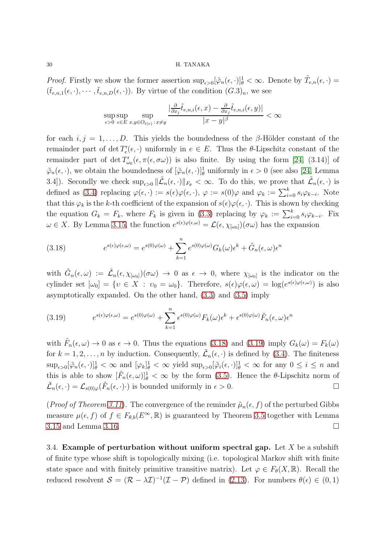*Proof.* Firstly we show the former assertion  $\sup_{\epsilon>0} [\tilde{\varphi}_n(\epsilon,\cdot)]_\theta^1 < \infty$ . Denote by  $\tilde{T}_{e,n}(\epsilon,\cdot)$  =  $(\tilde{t}_{e,n,1}(\epsilon,\cdot),\cdots,\tilde{t}_{e,n,D}(\epsilon,\cdot)).$  By virtue of the condition  $(G.3)_n$ , we see

$$
\sup_{\epsilon>0} \sup_{\epsilon \in E} \sup_{x,y \in O_{t(\epsilon)} : x \neq y} \frac{\left| \frac{\partial}{\partial x_j} \tilde{t}_{e,n,i}(\epsilon,x) - \frac{\partial}{\partial x_j} \tilde{t}_{e,n,i}(\epsilon,y) \right|}{|x - y|^{\beta}} < \infty
$$

for each  $i, j = 1, \ldots, D$ . This yields the boundedness of the β-Hölder constant of the remainder part of det  $T'_{e}(\epsilon, \cdot)$  uniformly in  $e \in E$ . Thus the  $\theta$ -Lipschitz constant of the remainder part of det  $T'_{\omega_0}(\epsilon, \pi(\epsilon, \sigma\omega))$  is also finite. By using the form [\[24,](#page-39-1) (3.14)] of  $\tilde{\varphi}_n(\epsilon, \cdot)$ , we obtain the boundedness of  $[\tilde{\varphi}_n(\epsilon, \cdot)]_\theta^1$  uniformly in  $\epsilon > 0$  (see also [\[24,](#page-39-1) Lemma 3.4]). Secondly we check  $\sup_{\epsilon>0} \|\tilde{\mathcal{L}}_n(\epsilon,\cdot)\|_{F_{\theta}} < \infty$ . To do this, we prove that  $\tilde{\mathcal{L}}_n(\epsilon,\cdot)$  is defined as [\(3.4\)](#page-19-1) replacing  $\varphi(\epsilon, \cdot) := s(\epsilon)\varphi(\epsilon, \cdot), \varphi := s(0)\varphi$  and  $\varphi_k := \sum_{i=0}^k s_i \varphi_{k-i}$ . Note that this  $\varphi_k$  is the k-th coefficient of the expansion of  $s(\epsilon)\varphi(\epsilon, \cdot)$ . This is shown by checking the equation  $G_k = F_k$ , where  $F_k$  is given in [\(3.3\)](#page-19-2) replacing by  $\varphi_k := \sum_{i=0}^k s_i \varphi_{k-i}$ . Fix  $\omega \in X$ . By Lemma [3.15,](#page-28-0) the function  $e^{s(\epsilon)\varphi(\epsilon,\omega)} = \mathcal{L}(\epsilon, \chi_{[\omega_0]})(\sigma\omega)$  has the expansion

<span id="page-29-1"></span>(3.18) 
$$
e^{s(\epsilon)\varphi(\epsilon,\omega)} = e^{s(0)\varphi(\omega)} + \sum_{k=1}^{n} e^{s(0)\varphi(\omega)} G_k(\omega) \epsilon^k + \tilde{G}_n(\epsilon,\omega) \epsilon^n
$$

with  $\tilde{G}_n(\epsilon,\omega) := \tilde{\mathcal{L}}_n(\epsilon,\chi_{[\omega_0]})(\sigma\omega) \to 0$  as  $\epsilon \to 0$ , where  $\chi_{[\omega_0]}$  is the indicator on the cylinder set  $[\omega_0] = \{v \in X : v_0 = \omega_0\}$ . Therefore,  $s(\epsilon) \varphi(\epsilon, \omega) = \log(e^{s(\epsilon) \varphi(\epsilon, \omega)})$  is also asymptotically expanded. On the other hand, [\(3.3\)](#page-19-2) and [\(3.5\)](#page-19-3) imply

<span id="page-29-2"></span>(3.19) 
$$
e^{s(\epsilon)\varphi(\epsilon,\omega)} = e^{s(0)\varphi(\omega)} + \sum_{k=1}^{n} \epsilon^{s(0)\varphi(\omega)} F_k(\omega) \epsilon^k + \epsilon^{s(0)\varphi(\omega)} \tilde{F}_n(\epsilon,\omega) \epsilon^n
$$

with  $\tilde{F}_n(\epsilon,\omega) \to 0$  as  $\epsilon \to 0$ . Thus the equations [\(3.18\)](#page-29-1) and [\(3.19\)](#page-29-2) imply  $G_k(\omega) = F_k(\omega)$ for  $k = 1, 2, ..., n$  by induction. Consequently,  $\tilde{\mathcal{L}}_n(\epsilon, \cdot)$  is defined by [\(3.4\)](#page-19-1). The finiteness  $\sup_{\epsilon>0}[\tilde{\varphi}_n(\epsilon,\cdot)]_{\theta}^1<\infty$  and  $[\varphi_k]_{\theta}^1<\infty$  yield  $\sup_{\epsilon>0}[\tilde{\varphi}_i(\epsilon,\cdot)]_{\theta}^1<\infty$  for any  $0\leq i\leq n$  and this is able to show  $[\tilde{F}_n(\epsilon,\omega)]_\theta^1 < \infty$  by the form [\(3.5\)](#page-19-3). Hence the  $\theta$ -Lipschitz norm of  $\tilde{\mathcal{L}}_n(\epsilon, \cdot) = \mathcal{L}_{s(0)\varphi}(\tilde{F}_n(\epsilon, \cdot) \cdot)$  is bounded uniformly in  $\epsilon > 0$ .

(*Proof of Theorem [3.11](#page-27-0)*). The convergence of the reminder  $\tilde{\mu}_n(\epsilon, f)$  of the perturbed Gibbs measure  $\mu(\epsilon, f)$  of  $f \in F_{\theta,b}(E^{\infty}, \mathbb{R})$  is guaranteed by Theorem [3.5](#page-21-0) together with Lemma  $3.15$  and Lemma [3.16.](#page-28-2)

<span id="page-29-0"></span>3.4. Example of perturbation without uniform spectral gap. Let  $X$  be a subshift of finite type whose shift is topologically mixing (i.e. topological Markov shift with finite state space and with finitely primitive transitive matrix). Let  $\varphi \in F_{\theta}(X,\mathbb{R})$ . Recall the reduced resolvent  $S = (\mathcal{R} - \lambda \mathcal{I})^{-1}(\mathcal{I} - \mathcal{P})$  defined in [\(2.13\)](#page-7-3). For numbers  $\theta(\epsilon) \in (0, 1)$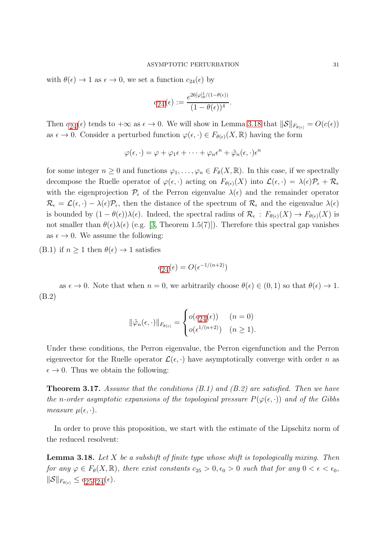with  $\theta(\epsilon) \to 1$  as  $\epsilon \to 0$ , we set a function  $c_{24}(\epsilon)$  by

$$
c_{24}(\epsilon) := \frac{e^{26[\varphi]_\theta^1/(1-\theta(\epsilon))}}{(1-\theta(\epsilon))^4}.
$$

Then  $c_{24}(\epsilon)$  $c_{24}(\epsilon)$  $c_{24}(\epsilon)$  tends to  $+\infty$  as  $\epsilon \to 0$ . We will show in Lemma [3.18](#page-30-1) that  $||\mathcal{S}||_{F_{\theta(\epsilon)}} = O(c(\epsilon))$ as  $\epsilon \to 0$ . Consider a perturbed function  $\varphi(\epsilon, \cdot) \in F_{\theta(\epsilon)}(X, \mathbb{R})$  having the form

$$
\varphi(\epsilon,\cdot) = \varphi + \varphi_1 \epsilon + \cdots + \varphi_n \epsilon^n + \tilde{\varphi}_n(\epsilon,\cdot) \epsilon^n
$$

for some integer  $n \geq 0$  and functions  $\varphi_1, \ldots, \varphi_n \in F_\theta(X, \mathbb{R})$ . In this case, if we spectrally decompose the Ruelle operator of  $\varphi(\epsilon, \cdot)$  acting on  $F_{\theta(\epsilon)}(X)$  into  $\mathcal{L}(\epsilon, \cdot) = \lambda(\epsilon)\mathcal{P}_{\epsilon} + \mathcal{R}_{\epsilon}$ with the eigenprojection  $\mathcal{P}_{\epsilon}$  of the Perron eigenvalue  $\lambda(\epsilon)$  and the remainder operator  $\mathcal{R}_{\epsilon} = \mathcal{L}(\epsilon, \cdot) - \lambda(\epsilon)\mathcal{P}_{\epsilon}$ , then the distance of the spectrum of  $\mathcal{R}_{\epsilon}$  and the eigenvalue  $\lambda(\epsilon)$ is bounded by  $(1-\theta(\epsilon))\lambda(\epsilon)$ . Indeed, the spectral radius of  $\mathcal{R}_{\epsilon}: F_{\theta(\epsilon)}(X) \to F_{\theta(\epsilon)}(X)$  is not smaller than  $\theta(\epsilon)\lambda(\epsilon)$  (e.g. [\[3,](#page-38-11) Theorem 1.5(7)]). Therefore this spectral gap vanishes as  $\epsilon \to 0$ . We assume the following:

(B.1) if  $n \geq 1$  then  $\theta(\epsilon) \to 1$  satisfies

$$
c_{24}(\epsilon) = O(\epsilon^{-1/(n+2)})
$$

as  $\epsilon \to 0$ . Note that when  $n = 0$ , we arbitrarily choose  $\theta(\epsilon) \in (0, 1)$  so that  $\theta(\epsilon) \to 1$ . (B.2)

$$
\|\tilde{\varphi}_n(\epsilon,\cdot)\|_{F_{\theta(\epsilon)}} = \begin{cases} o(c_{24}(\epsilon)) & (n=0) \\ o(\epsilon^{1/(n+2)}) & (n \ge 1). \end{cases}
$$

Under these conditions, the Perron eigenvalue, the Perron eigenfunction and the Perron eigenvector for the Ruelle operator  $\mathcal{L}(\epsilon, \cdot)$  have asymptotically converge with order n as  $\epsilon \to 0$ . Thus we obtain the following:

<span id="page-30-0"></span>**Theorem 3.17.** Assume that the conditions  $(B.1)$  and  $(B.2)$  are satisfied. Then we have the n-order asymptotic expansions of the topological pressure  $P(\varphi(\epsilon, \cdot))$  and of the Gibbs measure  $\mu(\epsilon, \cdot)$ .

In order to prove this proposition, we start with the estimate of the Lipschitz norm of the reduced resolvent:

<span id="page-30-1"></span>**Lemma 3.18.** Let  $X$  be a subshift of finite type whose shift is topologically mixing. Then for any  $\varphi \in F_{\theta}(X,\mathbb{R})$ , there exist constants  $c_{25} > 0, \epsilon_0 > 0$  such that for any  $0 < \epsilon < \epsilon_0$ ,  $\|\mathcal{S}\|_{F_{\theta(\epsilon)}} \leq c_{25}c_{24}(\epsilon).$  $\|\mathcal{S}\|_{F_{\theta(\epsilon)}} \leq c_{25}c_{24}(\epsilon).$  $\|\mathcal{S}\|_{F_{\theta(\epsilon)}} \leq c_{25}c_{24}(\epsilon).$  $\|\mathcal{S}\|_{F_{\theta(\epsilon)}} \leq c_{25}c_{24}(\epsilon).$  $\|\mathcal{S}\|_{F_{\theta(\epsilon)}} \leq c_{25}c_{24}(\epsilon).$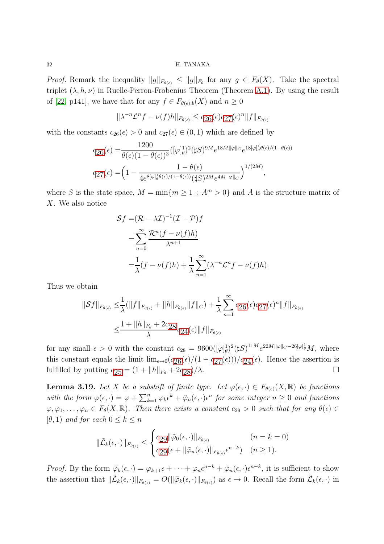*Proof.* Remark the inequality  $||g||_{F_{\theta(\epsilon)}} \leq ||g||_{F_{\theta}}$  for any  $g \in F_{\theta}(X)$ . Take the spectral triplet  $(\lambda, h, \nu)$  in Ruelle-Perron-Frobenius Theorem (Theorem [A.1\)](#page-37-0). By using the result of [\[22,](#page-39-4) p141], we have that for any  $f \in F_{\theta(\epsilon),b}(X)$  and  $n \geq 0$ 

$$
\|\lambda^{-n}\mathcal{L}^n f - \nu(f)h\|_{F_{\theta(\epsilon)}} \le c_{26}(\epsilon)c_{27}(\epsilon)^n \|f\|_{F_{\theta(\epsilon)}}
$$

with the constants  $c_{26}(\epsilon) > 0$  and  $c_{27}(\epsilon) \in (0,1)$  which are defined by

$$
c_{26}(\epsilon) = \frac{1200}{\theta(\epsilon)(1-\theta(\epsilon))^3} ([\varphi]_\theta^1)^2 (\sharp S)^{9M} e^{18M||\varphi||_C} e^{18[\varphi]_\theta^1 \theta(\epsilon)/(1-\theta(\epsilon))}
$$
  

$$
c_{27}(\epsilon) = \left(1 - \frac{1-\theta(\epsilon)}{4e^{8[\varphi]_\theta^1 \theta(\epsilon)/(1-\theta(\epsilon))} (\sharp S)^{2M} e^{4M||\varphi||_C}}\right)^{1/(2M)},
$$

where S is the state space,  $M = \min\{m \geq 1 : A^m > 0\}$  and A is the structure matrix of X. We also notice

$$
Sf = (\mathcal{R} - \lambda \mathcal{I})^{-1} (\mathcal{I} - \mathcal{P})f
$$
  
= 
$$
\sum_{n=0}^{\infty} \frac{\mathcal{R}^n (f - \nu(f)h)}{\lambda^{n+1}}
$$
  
= 
$$
\frac{1}{\lambda} (f - \nu(f)h) + \frac{1}{\lambda} \sum_{n=1}^{\infty} (\lambda^{-n} \mathcal{L}^n f - \nu(f)h).
$$

Thus we obtain

$$
\begin{aligned} \|\mathcal{S}f\|_{F_{\theta(\epsilon)}} &\leq & \frac{1}{\lambda} (\|f\|_{F_{\theta(\epsilon)}} + \|h\|_{F_{\theta(\epsilon)}} \|f\|_{C}) + \frac{1}{\lambda} \sum_{n=1}^{\infty} c_{26}(\epsilon) c_{27}(\epsilon)^n \|f\|_{F_{\theta(\epsilon)}} \\ &\leq & \frac{1 + \|h\|_{F_{\theta}} + 2c_{28}}{\lambda} c_{24}(\epsilon) \|f\|_{F_{\theta(\epsilon)}} \end{aligned}
$$

for any small  $\epsilon > 0$  with the constant  $c_{28} = 9600([\varphi]_\theta^1)^2(\sharp S)^{11M} e^{22M||\varphi||_C - 26[\varphi]_\theta^1}M$ , where this constant equals the limit  $\lim_{\epsilon \to 0} (c_{26}(\epsilon)/(1 - c_{27}(\epsilon)))/c_{24}(\epsilon)$  $\lim_{\epsilon \to 0} (c_{26}(\epsilon)/(1 - c_{27}(\epsilon)))/c_{24}(\epsilon)$  $\lim_{\epsilon \to 0} (c_{26}(\epsilon)/(1 - c_{27}(\epsilon)))/c_{24}(\epsilon)$  $\lim_{\epsilon \to 0} (c_{26}(\epsilon)/(1 - c_{27}(\epsilon)))/c_{24}(\epsilon)$  $\lim_{\epsilon \to 0} (c_{26}(\epsilon)/(1 - c_{27}(\epsilon)))/c_{24}(\epsilon)$  $\lim_{\epsilon \to 0} (c_{26}(\epsilon)/(1 - c_{27}(\epsilon)))/c_{24}(\epsilon)$  $\lim_{\epsilon \to 0} (c_{26}(\epsilon)/(1 - c_{27}(\epsilon)))/c_{24}(\epsilon)$ . Hence the assertion is fulfilled by putting  $c_{25} = (1 + ||h||_{F_{\theta}} + 2c_{28})/\lambda$  $c_{25} = (1 + ||h||_{F_{\theta}} + 2c_{28})/\lambda$  $c_{25} = (1 + ||h||_{F_{\theta}} + 2c_{28})/\lambda$  $c_{25} = (1 + ||h||_{F_{\theta}} + 2c_{28})/\lambda$  $c_{25} = (1 + ||h||_{F_{\theta}} + 2c_{28})/\lambda$ .

<span id="page-31-0"></span>**Lemma 3.19.** Let X be a subshift of finite type. Let  $\varphi(\epsilon, \cdot) \in F_{\theta(\epsilon)}(X, \mathbb{R})$  be functions with the form  $\varphi(\epsilon, \cdot) = \varphi + \sum_{k=1}^n \varphi_k \epsilon^k + \tilde{\varphi}_n(\epsilon, \cdot) \epsilon^n$  for some integer  $n \geq 0$  and functions  $\varphi, \varphi_1, \ldots, \varphi_n \in F_\theta(X, \mathbb{R})$ . Then there exists a constant  $c_{29} > 0$  such that for any  $\theta(\epsilon) \in$  $[\theta, 1)$  and for each  $0 \leq k \leq n$ 

$$
\|\tilde{\mathcal{L}}_k(\epsilon,\cdot)\|_{F_{\theta(\epsilon)}} \leq \begin{cases} c_{29} \|\tilde{\varphi}_0(\epsilon,\cdot)\|_{F_{\theta(\epsilon)}} & (n=k=0) \\ c_{29}(\epsilon+\|\tilde{\varphi}_n(\epsilon,\cdot)\|_{F_{\theta(\epsilon)}}\epsilon^{n-k}) & (n\geq 1). \end{cases}
$$

*Proof.* By the form  $\tilde{\varphi}_k(\epsilon, \cdot) = \varphi_{k+1}\epsilon + \cdots + \varphi_n\epsilon^{n-k} + \tilde{\varphi}_n(\epsilon, \cdot)\epsilon^{n-k}$ , it is sufficient to show the assertion that  $\|\tilde{\mathcal{L}}_k(\epsilon,\cdot)\|_{F_{\theta(\epsilon)}} = O(\|\tilde{\varphi}_k(\epsilon,\cdot)\|_{F_{\theta(\epsilon)}})$  as  $\epsilon \to 0$ . Recall the form  $\tilde{\mathcal{L}}_k(\epsilon,\cdot)$  in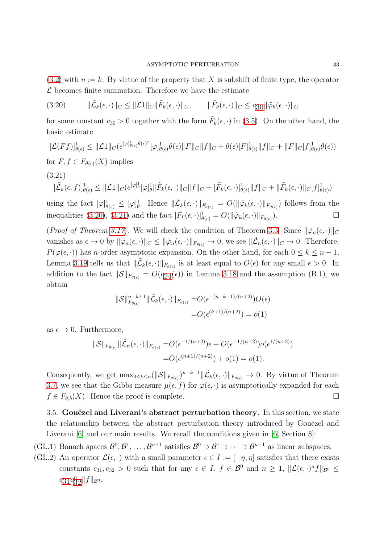$(3.2)$  with  $n := k$ . By virtue of the property that X is subshift of finite type, the operator  $\mathcal L$  becomes finite summation. Therefore we have the estimate

<span id="page-32-1"></span>(3.20)  $\|\tilde{\mathcal{L}}_k(\epsilon, \cdot)\|_C \leq \|\mathcal{L}1\|_C \|\tilde{F}_k(\epsilon, \cdot)\|_C, \qquad \|\tilde{F}_k(\epsilon, \cdot)\|_C \leq c_{30} \|\tilde{\varphi}_k(\epsilon, \cdot)\|_C$  $\|\tilde{\mathcal{L}}_k(\epsilon, \cdot)\|_C \leq \|\mathcal{L}1\|_C \|\tilde{F}_k(\epsilon, \cdot)\|_C, \qquad \|\tilde{F}_k(\epsilon, \cdot)\|_C \leq c_{30} \|\tilde{\varphi}_k(\epsilon, \cdot)\|_C$  $\|\tilde{\mathcal{L}}_k(\epsilon, \cdot)\|_C \leq \|\mathcal{L}1\|_C \|\tilde{F}_k(\epsilon, \cdot)\|_C, \qquad \|\tilde{F}_k(\epsilon, \cdot)\|_C \leq c_{30} \|\tilde{\varphi}_k(\epsilon, \cdot)\|_C$ 

for some constant  $c_{30} > 0$  together with the form  $\tilde{F}_k(\epsilon, \cdot)$  in [\(3.5\)](#page-19-3). On the other hand, the basic estimate

$$
[\mathcal{L}(Ff)]_{\theta(\epsilon)}^1 \leq ||\mathcal{L}1||_C \left(e^{[\varphi]_{\theta(\epsilon)}^1 \theta(\epsilon)^2} [\varphi]_{\theta(\epsilon)}^1 \theta(\epsilon) ||F||_C ||f||_C + \theta(\epsilon)[F]_{\theta(\epsilon)}^1 ||f||_C + ||F||_C [f]_{\theta(\epsilon)}^1 \theta(\epsilon)\right)
$$

for  $F, f \in F_{\theta(\epsilon)}(X)$  implies

<span id="page-32-2"></span>(3.21)

$$
[\tilde{\mathcal{L}}_k(\epsilon, f)]_{\theta(\epsilon)}^1 \leq \|\mathcal{L}1\|_{C} (e^{[\varphi]_{\theta}^1}[\varphi]_{\theta}^1 \|\tilde{F}_k(\epsilon, \cdot)\|_{C} \|f\|_{C} + [\tilde{F}_k(\epsilon, \cdot)]_{\theta(\epsilon)}^1 \|f\|_{C} + \|\tilde{F}_k(\epsilon, \cdot)\|_{C} [f]_{\theta(\epsilon)}^1)
$$

using the fact  $[\varphi]_{\theta(\epsilon)}^1 \leq [\varphi]_{\theta}^1$ . Hence  $\|\tilde{\mathcal{L}}_k(\epsilon,\cdot)\|_{F_{\theta(\epsilon)}} = O(\|\tilde{\varphi}_k(\epsilon,\cdot)\|_{F_{\theta(\epsilon)}})$  follows from the inequalities [\(3.20\)](#page-32-1), [\(3.21\)](#page-32-2) and the fact  $[\tilde{F}_k(\epsilon, \cdot)]_{\theta(\epsilon)}^1 = O(\|\tilde{\varphi}_k(\epsilon, \cdot)\|_{F_{\theta(\epsilon)}})$  $\Box$ 

(*Proof of Theorem [3.17](#page-30-0)*). We will check the condition of Theorem [3.3.](#page-20-0) Since  $\|\tilde{\varphi}_n(\epsilon, \cdot)\|_C$ vanishes as  $\epsilon \to 0$  by  $\|\tilde{\varphi}_n(\epsilon, \cdot)\|_{C} \le \|\tilde{\varphi}_n(\epsilon, \cdot)\|_{F_{\theta(\epsilon)}} \to 0$ , we see  $\|\tilde{\mathcal{L}}_n(\epsilon, \cdot)\|_{C} \to 0$ . Therefore,  $P(\varphi(\epsilon, \cdot))$  has n-order asymptotic expansion. On the other hand, for each  $0 \leq k \leq n-1$ , Lemma [3.19](#page-31-0) tells us that  $\|\tilde{\mathcal{L}}_k(\epsilon,\cdot)\|_{F_{\theta(\epsilon)}}$  is at least equal to  $O(\epsilon)$  for any small  $\epsilon > 0$ . In addition to the fact  $\|\mathcal{S}\|_{F_{\theta(\epsilon)}} = O(c_{24}(\epsilon))$  in Lemma [3.18](#page-30-1) and the assumption (B.1), we obtain

$$
\|\mathcal{S}\|_{F_{\theta(\epsilon)}}^{n-k+1} \|\tilde{\mathcal{L}}_k(\epsilon, \cdot)\|_{F_{\theta(\epsilon)}} = O(\epsilon^{-(n-k+1)/(n+2)})O(\epsilon)
$$
  
=  $O(\epsilon^{(k+1)/(n+2)}) = o(1)$ 

as  $\epsilon \to 0$ . Furthermore,

$$
\|\mathcal{S}\|_{F_{\theta(\epsilon)}} \|\tilde{\mathcal{L}}_n(\epsilon,\cdot)\|_{F_{\theta(\epsilon)}} = O(\epsilon^{-1/(n+2)})\epsilon + O(\epsilon^{-1/(n+2)})o(\epsilon^{1/(n+2)})
$$
  
=  $O(\epsilon^{(n+1)/(n+2)}) + o(1) = o(1).$ 

Consequently, we get  $\max_{0 \le k \le n} (||\mathcal{S}||_{F_{\theta(\epsilon)}})^{n-k+1} || \tilde{\mathcal{L}}_k(\epsilon, \cdot)||_{F_{\theta(\epsilon)}} \to 0$ . By virtue of Theorem [3.7,](#page-24-1) we see that the Gibbs measure  $\mu(\epsilon, f)$  for  $\varphi(\epsilon, \cdot)$  is asymptotically expanded for each  $f \in F_{\theta,b}(X)$ . Hence the proof is complete.

<span id="page-32-0"></span>3.5. Gouëzel and Liverani's abstract perturbation theory. In this section, we state the relationship between the abstract perturbation theory introduced by Gouezel and Liverani [\[6\]](#page-38-1) and our main results. We recall the conditions given in [\[6,](#page-38-1) Section 8]:

(GL.1) Banach spaces  $\mathcal{B}^0, \mathcal{B}^1, \ldots, \mathcal{B}^{n+1}$  satisfies  $\mathcal{B}^0 \supset \mathcal{B}^1 \supset \cdots \supset \mathcal{B}^{n+1}$  as linear subspaces.

(GL.2) An operator  $\mathcal{L}(\epsilon, \cdot)$  with a small parameter  $\epsilon \in I := [-\eta, \eta]$  satisfies that there exists constants  $c_{31}, c_{32} > 0$  such that for any  $\epsilon \in I$ ,  $f \in \mathcal{B}^0$  and  $n \geq 1$ ,  $\|\mathcal{L}(\epsilon, \cdot)^n f\|_{\mathcal{B}^0} \leq$  $c_{31}c_{32}^n\|f\|_{\mathcal{B}^0}.$  $c_{31}c_{32}^n\|f\|_{\mathcal{B}^0}.$  $c_{31}c_{32}^n\|f\|_{\mathcal{B}^0}.$  $c_{31}c_{32}^n\|f\|_{\mathcal{B}^0}.$  $c_{31}c_{32}^n\|f\|_{\mathcal{B}^0}.$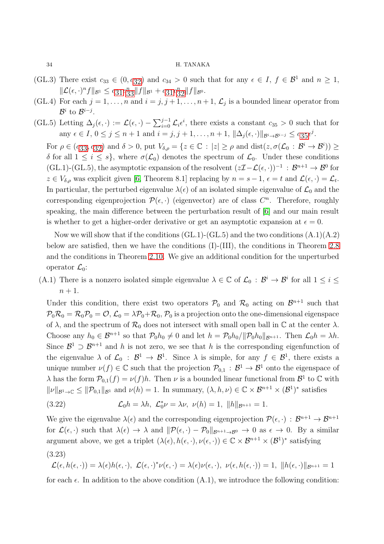- (GL.3) There exist  $c_{33} \in (0, c_{32})$  $c_{33} \in (0, c_{32})$  $c_{33} \in (0, c_{32})$  and  $c_{34} > 0$  such that for any  $\epsilon \in I$ ,  $f \in \mathcal{B}^1$  and  $n \ge 1$ ,  $\|\mathcal{L}(\epsilon, \cdot)^n f\|_{\mathcal{B}^1} \leq c_{31} c_{33}^n \|f\|_{\mathcal{B}^1} + c_{31} c_{32}^n \|f\|_{\mathcal{B}^0}.$  $\|\mathcal{L}(\epsilon, \cdot)^n f\|_{\mathcal{B}^1} \leq c_{31} c_{33}^n \|f\|_{\mathcal{B}^1} + c_{31} c_{32}^n \|f\|_{\mathcal{B}^0}.$  $\|\mathcal{L}(\epsilon, \cdot)^n f\|_{\mathcal{B}^1} \leq c_{31} c_{33}^n \|f\|_{\mathcal{B}^1} + c_{31} c_{32}^n \|f\|_{\mathcal{B}^0}.$  $\|\mathcal{L}(\epsilon, \cdot)^n f\|_{\mathcal{B}^1} \leq c_{31} c_{33}^n \|f\|_{\mathcal{B}^1} + c_{31} c_{32}^n \|f\|_{\mathcal{B}^0}.$  $\|\mathcal{L}(\epsilon, \cdot)^n f\|_{\mathcal{B}^1} \leq c_{31} c_{33}^n \|f\|_{\mathcal{B}^1} + c_{31} c_{32}^n \|f\|_{\mathcal{B}^0}.$  $\|\mathcal{L}(\epsilon, \cdot)^n f\|_{\mathcal{B}^1} \leq c_{31} c_{33}^n \|f\|_{\mathcal{B}^1} + c_{31} c_{32}^n \|f\|_{\mathcal{B}^0}.$  $\|\mathcal{L}(\epsilon, \cdot)^n f\|_{\mathcal{B}^1} \leq c_{31} c_{33}^n \|f\|_{\mathcal{B}^1} + c_{31} c_{32}^n \|f\|_{\mathcal{B}^0}.$
- (GL.4) For each  $j = 1, ..., n$  and  $i = j, j + 1, ..., n + 1, \mathcal{L}_j$  is a bounded linear operator from  $\mathcal{B}^i$  to  $\mathcal{B}^{i-j}$ .
- (GL.5) Letting  $\Delta_j(\epsilon, \cdot) := \mathcal{L}(\epsilon, \cdot) \sum_{i=0}^{j-1} \mathcal{L}_i \epsilon^i$ , there exists a constant  $c_{35} > 0$  such that for any  $\epsilon \in I$ ,  $0 \le j \le n + 1$  and  $i = j, j + 1, ..., n + 1$ ,  $\|\Delta_j(\epsilon, \cdot)\|_{\mathcal{B}^i \to \mathcal{B}^{i-j}} \le c_{35} \epsilon^j$  $\|\Delta_j(\epsilon, \cdot)\|_{\mathcal{B}^i \to \mathcal{B}^{i-j}} \le c_{35} \epsilon^j$  $\|\Delta_j(\epsilon, \cdot)\|_{\mathcal{B}^i \to \mathcal{B}^{i-j}} \le c_{35} \epsilon^j$ .

For  $\rho \in (c_{33}, c_{32})$  $\rho \in (c_{33}, c_{32})$  $\rho \in (c_{33}, c_{32})$  $\rho \in (c_{33}, c_{32})$  $\rho \in (c_{33}, c_{32})$  and  $\delta > 0$ , put  $V_{\delta,\rho} = \{z \in \mathbb{C} : |z| \ge \rho \text{ and } \text{dist}(z, \sigma(\mathcal{L}_0 : \mathcal{B}^i \to \mathcal{B}^i)) \ge$ δ for all  $1 \leq i \leq s$ , where  $\sigma(\mathcal{L}_0)$  denotes the spectrum of  $\mathcal{L}_0$ . Under these conditions  $(GL.1)-(GL.5)$ , the asymptotic expansion of the resolvent  $(z\mathcal{I}-\mathcal{L}(\epsilon, \cdot))^{-1} : \mathcal{B}^{n+1} \to \mathcal{B}^0$  for  $z \in V_{\delta,\rho}$  was explicit given [\[6,](#page-38-1) Theorem 8.1] replacing by  $n = s - 1$ ,  $\epsilon = t$  and  $\mathcal{L}(\epsilon, \cdot) = \mathcal{L}_t$ . In particular, the perturbed eigenvalue  $\lambda(\epsilon)$  of an isolated simple eigenvalue of  $\mathcal{L}_0$  and the corresponding eigenprojection  $\mathcal{P}(\epsilon, \cdot)$  (eigenvector) are of class  $C^n$ . Therefore, roughly speaking, the main difference between the perturbation result of [\[6\]](#page-38-1) and our main result is whether to get a higher-order derivative or get an asymptotic expansion at  $\epsilon = 0$ .

Now we will show that if the conditions  $(GL.1)-(GL.5)$  and the two conditions  $(A.1)(A.2)$ below are satisfied, then we have the conditions (I)-(III), the conditions in Theorem [2.8](#page-11-1) and the conditions in Theorem [2.10.](#page-12-0) We give an additional condition for the unperturbed operator  $\mathcal{L}_0$ :

(A.1) There is a nonzero isolated simple eigenvalue  $\lambda \in \mathbb{C}$  of  $\mathcal{L}_0 : \mathcal{B}^i \to \mathcal{B}^i$  for all  $1 \leq i \leq$  $n+1$ .

Under this condition, there exist two operators  $P_0$  and  $\mathcal{R}_0$  acting on  $\mathcal{B}^{n+1}$  such that  $P_0\mathcal{R}_0 = \mathcal{R}_0P_0 = \mathcal{O}, \mathcal{L}_0 = \lambda P_0 + \mathcal{R}_0, P_0$  is a projection onto the one-dimensional eigenspace of  $\lambda$ , and the spectrum of  $\mathcal{R}_0$  does not intersect with small open ball in  $\mathbb C$  at the center  $\lambda$ . Choose any  $h_0 \in \mathcal{B}^{n+1}$  so that  $\mathcal{P}_0 h_0 \neq 0$  and let  $h = \mathcal{P}_0 h_0 / ||\mathcal{P}_0 h_0||_{\mathcal{B}^{n+1}}$ . Then  $\mathcal{L}_0 h = \lambda h$ . Since  $\mathcal{B}^1 \supset \mathcal{B}^{n+1}$  and h is not zero, we see that h is the corresponding eigenfunction of the eigenvalue  $\lambda$  of  $\mathcal{L}_0$ :  $\mathcal{B}^1 \to \mathcal{B}^1$ . Since  $\lambda$  is simple, for any  $f \in \mathcal{B}^1$ , there exists a unique number  $\nu(f) \in \mathbb{C}$  such that the projection  $\mathcal{P}_{0,1} : \mathcal{B}^1 \to \mathcal{B}^1$  onto the eigenspace of  $\lambda$  has the form  $\mathcal{P}_{0,1}(f) = \nu(f)h$ . Then  $\nu$  is a bounded linear functional from  $\mathcal{B}^1$  to  $\mathbb C$  with  $\|\nu\|_{\mathcal{B}^1\to\mathbb{C}} \leq \|\mathcal{P}_{0,1}\|_{\mathcal{B}^1}$  and  $\nu(h) = 1$ . In summary,  $(\lambda, h, \nu) \in \mathbb{C} \times \mathcal{B}^{n+1} \times (\mathcal{B}^1)^*$  satisfies

<span id="page-33-0"></span>(3.22) 
$$
\mathcal{L}_0 h = \lambda h, \ \mathcal{L}_0^* \nu = \lambda \nu, \ \nu(h) = 1, \ \|h\|_{\mathcal{B}^{n+1}} = 1.
$$

We give the eigenvalue  $\lambda(\epsilon)$  and the corresponding eigenprojection  $\mathcal{P}(\epsilon, \cdot) : \mathcal{B}^{n+1} \to \mathcal{B}^{n+1}$ for  $\mathcal{L}(\epsilon, \cdot)$  such that  $\lambda(\epsilon) \to \lambda$  and  $\|\mathcal{P}(\epsilon, \cdot) - \mathcal{P}_0\|_{\mathcal{B}^{n+1}\to\mathcal{B}^0} \to 0$  as  $\epsilon \to 0$ . By a similar argument above, we get a triplet  $(\lambda(\epsilon), h(\epsilon, \cdot), \nu(\epsilon, \cdot)) \in \mathbb{C} \times \mathcal{B}^{n+1} \times (\mathcal{B}^1)^*$  satisfying (3.23)

<span id="page-33-1"></span> $\mathcal{L}(\epsilon, h(\epsilon, \cdot)) = \lambda(\epsilon)h(\epsilon, \cdot), \ \mathcal{L}(\epsilon, \cdot)^*\nu(\epsilon, \cdot) = \lambda(\epsilon)\nu(\epsilon, \cdot), \ \nu(\epsilon, h(\epsilon, \cdot)) = 1, \ \|h(\epsilon, \cdot)\|_{\mathcal{B}^{n+1}} = 1$ 

for each  $\epsilon$ . In addition to the above condition  $(A.1)$ , we introduce the following condition: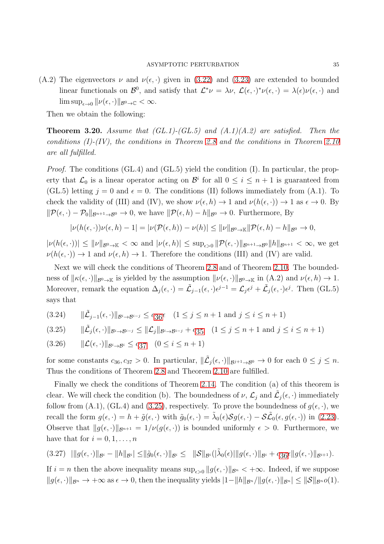(A.2) The eigenvectors  $\nu$  and  $\nu(\epsilon, \cdot)$  given in [\(3.22\)](#page-33-0) and [\(3.23\)](#page-33-1) are extended to bounded linear functionals on  $\mathcal{B}^0$ , and satisfy that  $\mathcal{L}^*\nu = \lambda \nu$ ,  $\mathcal{L}(\epsilon, \cdot)^*\nu(\epsilon, \cdot) = \lambda(\epsilon)\nu(\epsilon, \cdot)$  and  $\limsup_{\epsilon \to 0} ||\nu(\epsilon, \cdot)||_{\mathcal{B}^0 \to \mathbb{C}} < \infty.$ 

Then we obtain the following:

<span id="page-34-0"></span>**Theorem 3.20.** Assume that  $(GL.1)-(GL.5)$  and  $(A.1)(A.2)$  are satisfied. Then the conditions  $(I)$ - $(IV)$ , the conditions in Theorem [2.8](#page-11-1) and the conditions in Theorem [2.10](#page-12-0) are all fulfilled.

Proof. The conditions (GL.4) and (GL.5) yield the condition (I). In particular, the property that  $\mathcal{L}_0$  is a linear operator acting on  $\mathcal{B}^i$  for all  $0 \leq i \leq n+1$  is guaranteed from (GL.5) letting  $j = 0$  and  $\epsilon = 0$ . The conditions (II) follows immediately from (A.1). To check the validity of (III) and (IV), we show  $\nu(\epsilon, h) \to 1$  and  $\nu(h(\epsilon, \cdot)) \to 1$  as  $\epsilon \to 0$ . By  $\|\mathcal{P}(\epsilon, \cdot) - \mathcal{P}_0\|_{\mathcal{B}^{n+1}\to\mathcal{B}^0} \to 0$ , we have  $\|\mathcal{P}(\epsilon, h) - h\|_{\mathcal{B}^0} \to 0$ . Furthermore, By

$$
|\nu(h(\epsilon,\cdot))\nu(\epsilon,h)-1|=|\nu(\mathcal{P}(\epsilon,h))-\nu(h)|\leq ||\nu||_{\mathcal{B}^0\to\mathbb{K}}||\mathcal{P}(\epsilon,h)-h||_{\mathcal{B}^0}\to 0,
$$

 $|\nu(h(\epsilon, \cdot))| \leq ||\nu||_{\mathcal{B}^0 \to \mathbb{K}} < \infty$  and  $|\nu(\epsilon, h)| \leq \sup_{\epsilon > 0} ||\mathcal{P}(\epsilon, \cdot)||_{\mathcal{B}^{n+1} \to \mathcal{B}^0} ||h||_{\mathcal{B}^{n+1}} < \infty$ , we get  $\nu(h(\epsilon, \cdot)) \to 1$  and  $\nu(\epsilon, h) \to 1$ . Therefore the conditions (III) and (IV) are valid.

Next we will check the conditions of Theorem [2.8](#page-11-1) and of Theorem [2.10.](#page-12-0) The boundedness of  $\|\kappa(\epsilon, \cdot)\|_{\mathcal{B}^0\to\mathbb{K}}$  is yielded by the assumption  $\|\nu(\epsilon, \cdot)\|_{\mathcal{B}^0\to\mathbb{K}}$  in  $(A.2)$  and  $\nu(\epsilon, h) \to 1$ . Moreover, remark the equation  $\Delta_j(\epsilon, \cdot) = \tilde{L}_{j-1}(\epsilon, \cdot) \epsilon^{j-1} = \mathcal{L}_j \epsilon^j + \tilde{L}_j(\epsilon, \cdot) \epsilon^j$ . Then (GL.5) says that

<span id="page-34-4"></span>(3.24)  $\|\tilde{\mathcal{L}}_{j-1}(\epsilon, \cdot)\|_{\mathcal{B}^i \to \mathcal{B}^{i-j}} \leq c_{36}\epsilon \quad (1 \leq j \leq n+1 \text{ and } j \leq i \leq n+1)$  $\|\tilde{\mathcal{L}}_{j-1}(\epsilon, \cdot)\|_{\mathcal{B}^i \to \mathcal{B}^{i-j}} \leq c_{36}\epsilon \quad (1 \leq j \leq n+1 \text{ and } j \leq i \leq n+1)$  $\|\tilde{\mathcal{L}}_{j-1}(\epsilon, \cdot)\|_{\mathcal{B}^i \to \mathcal{B}^{i-j}} \leq c_{36}\epsilon \quad (1 \leq j \leq n+1 \text{ and } j \leq i \leq n+1)$ 

<span id="page-34-2"></span>
$$
(3.25) \qquad \|\tilde{\mathcal{L}}_j(\epsilon,\cdot)\|_{\mathcal{B}^i\to\mathcal{B}^{i-j}} \le \|\mathcal{L}_j\|_{\mathcal{B}^i\to\mathcal{B}^{i-j}} + c_{35} \quad (1 \le j \le n+1 \text{ and } j \le i \le n+1)
$$

<span id="page-34-1"></span>
$$
(3.26) \qquad \|\mathcal{L}(\epsilon,\cdot)\|_{\mathcal{B}^i \to \mathcal{B}^i} \le c_{37} \quad (0 \le i \le n+1)
$$

for some constants  $c_{36}, c_{37} > 0$ . In particular,  $\|\tilde{\mathcal{L}}_j(\epsilon, \cdot)\|_{\mathcal{B}^{j+1}\to\mathcal{B}^0} \to 0$  for each  $0 \leq j \leq n$ . Thus the conditions of Theorem [2.8](#page-11-1) and Theorem [2.10](#page-12-0) are fulfilled.

Finally we check the conditions of Theorem [2.14.](#page-14-0) The condition (a) of this theorem is clear. We will check the condition (b). The boundedness of  $\nu$ ,  $\mathcal{L}_j$  and  $\tilde{\mathcal{L}}_j(\epsilon, \cdot)$  immediately follow from (A.1), (GL.4) and [\(3.25\)](#page-34-2), respectively. To prove the boundedness of  $g(\epsilon, \cdot)$ , we recall the form  $g(\epsilon, \cdot) = h + \tilde{g}(\epsilon, \cdot)$  with  $\tilde{g}_0(\epsilon, \cdot) = \tilde{\lambda}_0(\epsilon) \mathcal{S} g(\epsilon, \cdot) - \mathcal{S} \tilde{\mathcal{L}}_0(\epsilon, g(\epsilon, \cdot))$  in [\(2.23\)](#page-9-0). Observe that  $||g(\epsilon, \cdot)||_{\mathcal{B}^{n+1}} = 1/\nu(g(\epsilon, \cdot))$  is bounded uniformly  $\epsilon > 0$ . Furthermore, we have that for  $i = 0, 1, \ldots, n$ 

<span id="page-34-3"></span>
$$
(3.27) \quad |||g(\epsilon,\cdot)||_{\mathcal{B}^{i}} - ||h||_{\mathcal{B}^{i}}| \le ||\tilde{g}_{0}(\epsilon,\cdot)||_{\mathcal{B}^{i}} \le ||\mathcal{S}||_{\mathcal{B}^{i}}(|\tilde{\lambda}_{0}(\epsilon)|||g(\epsilon,\cdot)||_{\mathcal{B}^{i}} + c_{36}\epsilon||g(\epsilon,\cdot)||_{\mathcal{B}^{i+1}}).
$$

If  $i = n$  then the above inequality means  $\sup_{\epsilon > 0} ||g(\epsilon, \cdot)||_{\mathcal{B}^n} < +\infty$ . Indeed, if we suppose  $||g(\epsilon, \cdot)||_{\mathcal{B}^n} \to +\infty$  as  $\epsilon \to 0$ , then the inequality yields  $|1-||h||_{\mathcal{B}^n}/||g(\epsilon, \cdot)||_{\mathcal{B}^n}| \leq ||\mathcal{S}||_{\mathcal{B}^n}o(1)$ .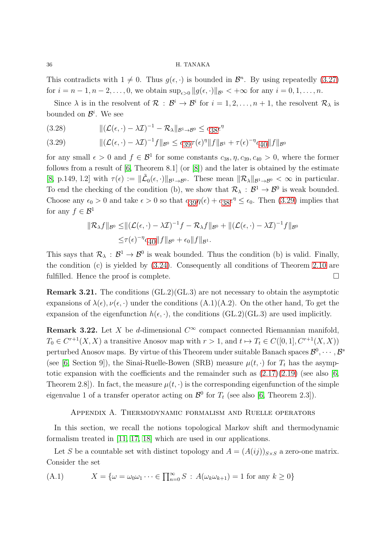This contradicts with  $1 \neq 0$ . Thus  $g(\epsilon, \cdot)$  is bounded in  $\mathcal{B}^n$ . By using repeatedly [\(3.27\)](#page-34-3) for  $i = n - 1, n - 2, \ldots, 0$ , we obtain  $\sup_{\epsilon > 0} ||g(\epsilon, \cdot)||_{\mathcal{B}^i} < +\infty$  for any  $i = 0, 1, \ldots, n$ .

Since  $\lambda$  is in the resolvent of  $\mathcal{R}$  :  $\mathcal{B}^i \to \mathcal{B}^i$  for  $i = 1, 2, ..., n + 1$ , the resolvent  $\mathcal{R}_{\lambda}$  is bounded on  $\mathcal{B}^i$ . We see

k(L(ǫ, ·) − λI) <sup>−</sup><sup>1</sup> − RλkB1→B<sup>0</sup> <sup>≤</sup> <sup>c</sup>[38](#page-35-2)<sup>ǫ</sup> η (3.28)

<span id="page-35-2"></span>(3.29) 
$$
\|(\mathcal{L}(\epsilon, \cdot) - \lambda \mathcal{I})^{-1} f\|_{\mathcal{B}^{0}} \leq c_{39} \tau(\epsilon)^{\eta} \|f\|_{\mathcal{B}^{1}} + \tau(\epsilon)^{-\eta} c_{40} \|f\|_{\mathcal{B}^{0}}
$$

for any small  $\epsilon > 0$  and  $f \in \mathcal{B}^1$  for some constants  $c_{38}, \eta, c_{39}, c_{40} > 0$ , where the former follows from a result of  $[6,$  Theorem 8.1 $]$  (or  $[8]$ ) and the later is obtained by the estimate [\[8,](#page-38-3) p.149, l.2] with  $\tau(\epsilon) := \|\tilde{\mathcal{L}}_0(\epsilon, \cdot)\|_{\mathcal{B}^1 \to \mathcal{B}^0}$ . These mean  $\|\mathcal{R}_\lambda\|_{\mathcal{B}^1 \to \mathcal{B}^0} < \infty$  in particular. To end the checking of the condition (b), we show that  $\mathcal{R}_{\lambda} : \mathcal{B}^1 \to \mathcal{B}^0$  is weak bounded. Choose any  $\epsilon_0 > 0$  and take  $\epsilon > 0$  so that  $c_{39}\eta(\epsilon) + c_{38}\epsilon^{\eta} \le \epsilon_0$  $c_{39}\eta(\epsilon) + c_{38}\epsilon^{\eta} \le \epsilon_0$  $c_{39}\eta(\epsilon) + c_{38}\epsilon^{\eta} \le \epsilon_0$  $c_{39}\eta(\epsilon) + c_{38}\epsilon^{\eta} \le \epsilon_0$  $c_{39}\eta(\epsilon) + c_{38}\epsilon^{\eta} \le \epsilon_0$ . Then [\(3.29\)](#page-35-2) implies that for any  $f \in \mathcal{B}^1$ 

$$
\|\mathcal{R}_{\lambda}f\|_{\mathcal{B}^{0}} \leq \|(\mathcal{L}(\epsilon, \cdot) - \lambda \mathcal{I})^{-1}f - \mathcal{R}_{\lambda}f\|_{\mathcal{B}^{0}} + \|(\mathcal{L}(\epsilon, \cdot) - \lambda \mathcal{I})^{-1}f\|_{\mathcal{B}^{0}} \leq \tau(\epsilon)^{-\eta}c_{40}\|f\|_{\mathcal{B}^{0}} + \epsilon_{0}\|f\|_{\mathcal{B}^{1}}.
$$

This says that  $\mathcal{R}_{\lambda}: \mathcal{B}^1 \to \mathcal{B}^0$  is weak bounded. Thus the condition (b) is valid. Finally, the condition (c) is yielded by [\(3.24\)](#page-34-4). Consequently all conditions of Theorem [2.10](#page-12-0) are fulfilled. Hence the proof is complete.

Remark 3.21. The conditions (GL.2)(GL.3) are not necessary to obtain the asymptotic expansions of  $\lambda(\epsilon), \nu(\epsilon, \cdot)$  under the conditions  $(A.1)(A.2)$ . On the other hand, To get the expansion of the eigenfunction  $h(\epsilon, \cdot)$ , the conditions (GL.2)(GL.3) are used implicitly.

**Remark 3.22.** Let X be d-dimensional  $C^{\infty}$  compact connected Riemannian manifold,  $T_0 \in C^{r+1}(X,X)$  a transitive Anosov map with  $r > 1$ , and  $t \mapsto T_t \in C([0,1], C^{r+1}(X,X))$ perturbed Anosov maps. By virtue of this Theorem under suitable Banach spaces  $\mathcal{B}^0, \cdots, \mathcal{B}^s$ (see [\[6,](#page-38-1) Section 9]), the Sinai-Ruelle-Bowen (SRB) measure  $\mu(t, \cdot)$  for  $T_t$  has the asymptotic expansion with the coefficients and the remainder such as  $(2.17)(2.19)$  $(2.17)(2.19)$  (see also [\[6,](#page-38-1) Theorem 2.8]). In fact, the measure  $\mu(t, \cdot)$  is the corresponding eigenfunction of the simple eigenvalue 1 of a transfer operator acting on  $\mathcal{B}^0$  for  $T_t$  (see also [\[6,](#page-38-1) Theorem 2.3]).

# <span id="page-35-0"></span>Appendix A. Thermodynamic formalism and Ruelle operators

In this section, we recall the notions topological Markov shift and thermodynamic formalism treated in [\[11,](#page-38-7) [17,](#page-38-12) [18\]](#page-39-5) which are used in our applications.

Let S be a countable set with distinct topology and  $A = (A(ij))_{S \times S}$  a zero-one matrix. Consider the set

<span id="page-35-1"></span>(A.1) 
$$
X = \{ \omega = \omega_0 \omega_1 \cdots \in \prod_{n=0}^{\infty} S : A(\omega_k \omega_{k+1}) = 1 \text{ for any } k \ge 0 \}
$$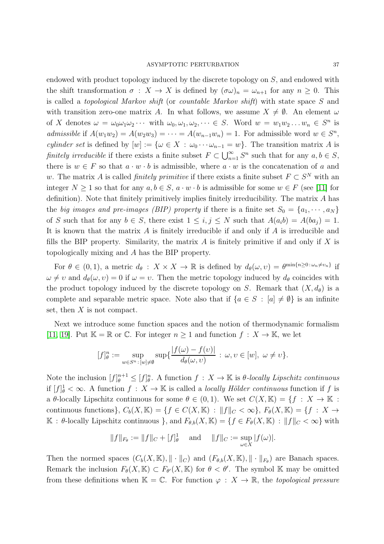endowed with product topology induced by the discrete topology on S, and endowed with the shift transformation  $\sigma : X \to X$  is defined by  $({\sigma} \omega)_n = {\omega}_{n+1}$  for any  $n \geq 0$ . This is called a topological Markov shift (or countable Markov shift) with state space S and with transition zero-one matrix A. In what follows, we assume  $X \neq \emptyset$ . An element  $\omega$ of X denotes  $\omega = \omega_0 \omega_1 \omega_2 \cdots$  with  $\omega_0, \omega_1, \omega_2, \cdots \in S$ . Word  $w = w_1 w_2 \ldots w_n \in S^n$  is admissible if  $A(w_1w_2) = A(w_2w_3) = \cdots = A(w_{n-1}w_n) = 1$ . For admissible word  $w \in S^n$ , cylinder set is defined by  $[w] := \{ \omega \in X : \omega_0 \cdots \omega_{n-1} = w \}.$  The transition matrix A is finitely irreducible if there exists a finite subset  $F \subset \bigcup_{n=1}^{\infty} S^n$  such that for any  $a, b \in S$ , there is  $w \in F$  so that  $a \cdot w \cdot b$  is admissible, where  $a \cdot w$  is the concatenation of a and w. The matrix A is called *finitely primitive* if there exists a finite subset  $F \subset S^N$  with an integer  $N \ge 1$  so that for any  $a, b \in S$ ,  $a \cdot w \cdot b$  is admissible for some  $w \in F$  (see [\[11\]](#page-38-7) for definition). Note that finitely primitively implies finitely irreducibility. The matrix A has the big images and pre-images (BIP) property if there is a finite set  $S_0 = \{a_1, \dots, a_N\}$ of S such that for any  $b \in S$ , there exist  $1 \leq i, j \leq N$  such that  $A(a_i b) = A(ba_j) = 1$ . It is known that the matrix  $A$  is finitely irreducible if and only if  $A$  is irreducible and fills the BIP property. Similarity, the matrix  $A$  is finitely primitive if and only if  $X$  is topologically mixing and A has the BIP property.

For  $\theta \in (0,1)$ , a metric  $d_{\theta}: X \times X \to \mathbb{R}$  is defined by  $d_{\theta}(\omega, \nu) = \theta^{\min\{n \geq 0 : \omega_n \neq \nu_n\}}$  if  $\omega \neq v$  and  $d_{\theta}(\omega, v) = 0$  if  $\omega = v$ . Then the metric topology induced by  $d_{\theta}$  coincides with the product topology induced by the discrete topology on S. Remark that  $(X, d_{\theta})$  is a complete and separable metric space. Note also that if  $\{a \in S : [a] \neq \emptyset\}$  is an infinite set, then  $X$  is not compact.

Next we introduce some function spaces and the notion of thermodynamic formalism [\[11,](#page-38-7) [19\]](#page-39-6). Put  $\mathbb{K} = \mathbb{R}$  or  $\mathbb{C}$ . For integer  $n \geq 1$  and function  $f : X \to \mathbb{K}$ , we let

$$
[f]_{\theta}^n := \sup_{w \in S^n : [w] \neq \emptyset} \sup \{ \frac{|f(\omega) - f(v)|}{d_{\theta}(\omega, v)} : \omega, v \in [w], \ \omega \neq v \}.
$$

Note the inclusion  $[f]_{\theta}^{n+1} \leq [f]_{\theta}^n$ . A function  $f : X \to \mathbb{K}$  is  $\theta$ -locally Lipschitz continuous if  $[f]_\theta^1 < \infty$ . A function  $f: X \to \mathbb{K}$  is called a *locally Hölder continuous* function if f is a θ-locally Lipschitz continuous for some  $\theta \in (0,1)$ . We set  $C(X,\mathbb{K}) = \{f : X \to \mathbb{K} :$ continuous functions},  $C_b(X, \mathbb{K}) = \{f \in C(X, \mathbb{K}) : ||f||_C < \infty\}$ ,  $F_\theta(X, \mathbb{K}) = \{f : X \to$  $\mathbb{K} : \theta$ -locally Lipschitz continuous }, and  $F_{\theta,b}(X,\mathbb{K}) = \{f \in F_{\theta}(X,\mathbb{K}) : ||f||_C < \infty\}$  with

$$
||f||_{F_{\theta}} := ||f||_{C} + [f]_{\theta}^{1}
$$
 and  $||f||_{C} := \sup_{\omega \in X} |f(\omega)|$ .

Then the normed spaces  $(C_b(X, K), \| \cdot \|_C)$  and  $(F_{\theta,b}(X, K), \| \cdot \|_{F_{\theta}})$  are Banach spaces. Remark the inclusion  $F_{\theta}(X,\mathbb{K}) \subset F_{\theta}(X,\mathbb{K})$  for  $\theta < \theta'$ . The symbol K may be omitted from these definitions when  $\mathbb{K} = \mathbb{C}$ . For function  $\varphi : X \to \mathbb{R}$ , the topological pressure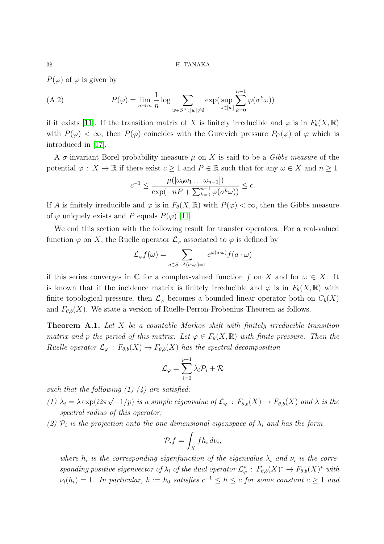$P(\varphi)$  of  $\varphi$  is given by

<span id="page-37-1"></span>(A.2) 
$$
P(\varphi) = \lim_{n \to \infty} \frac{1}{n} \log \sum_{w \in S^n : [w] \neq \emptyset} \exp(\sup_{\omega \in [w]} \sum_{k=0}^{n-1} \varphi(\sigma^k \omega))
$$

if it exists [\[11\]](#page-38-7). If the transition matrix of X is finitely irreducible and  $\varphi$  is in  $F_{\theta}(X,\mathbb{R})$ with  $P(\varphi) < \infty$ , then  $P(\varphi)$  coincides with the Gurevich pressure  $P_G(\varphi)$  of  $\varphi$  which is introduced in [\[17\]](#page-38-12).

A  $\sigma$ -invariant Borel probability measure  $\mu$  on X is said to be a *Gibbs measure* of the potential  $\varphi: X \to \mathbb{R}$  if there exist  $c \geq 1$  and  $P \in \mathbb{R}$  such that for any  $\omega \in X$  and  $n \geq 1$ 

$$
c^{-1} \le \frac{\mu([\omega_0 \omega_1 \dots \omega_{n-1}])}{\exp(-nP + \sum_{k=0}^{n-1} \varphi(\sigma^k \omega))} \le c.
$$

If A is finitely irreducible and  $\varphi$  is in  $F_{\theta}(X,\mathbb{R})$  with  $P(\varphi) < \infty$ , then the Gibbs measure of  $\varphi$  uniquely exists and P equals  $P(\varphi)$  [\[11\]](#page-38-7).

We end this section with the following result for transfer operators. For a real-valued function  $\varphi$  on X, the Ruelle operator  $\mathcal{L}_{\varphi}$  associated to  $\varphi$  is defined by

$$
\mathcal{L}_{\varphi}f(\omega) = \sum_{a \in S \,:\, A(a\omega_0) = 1} e^{\varphi(a \cdot \omega)} f(a \cdot \omega)
$$

if this series converges in  $\mathbb C$  for a complex-valued function f on X and for  $\omega \in X$ . It is known that if the incidence matrix is finitely irreducible and  $\varphi$  is in  $F_{\theta}(X,\mathbb{R})$  with finite topological pressure, then  $\mathcal{L}_{\varphi}$  becomes a bounded linear operator both on  $C_b(X)$ and  $F_{\theta,b}(X)$ . We state a version of Ruelle-Perron-Frobenius Theorem as follows.

<span id="page-37-0"></span>**Theorem A.1.** Let  $X$  be a countable Markov shift with finitely irreducible transition matrix and p the period of this matrix. Let  $\varphi \in F_{\theta}(X,\mathbb{R})$  with finite pressure. Then the Ruelle operator  $\mathcal{L}_{\varphi}: F_{\theta,b}(X) \to F_{\theta,b}(X)$  has the spectral decomposition

$$
\mathcal{L}_{\varphi}=\sum_{i=0}^{p-1}\lambda_i\mathcal{P}_i+\mathcal{R}
$$

such that the following  $(1)-(4)$  are satisfied:

- (1)  $\lambda_i = \lambda \exp(i2\pi\sqrt{-1}/p)$  is a simple eigenvalue of  $\mathcal{L}_{\varphi}: F_{\theta,b}(X) \to F_{\theta,b}(X)$  and  $\lambda$  is the spectral radius of this operator;
- (2)  $\mathcal{P}_i$  is the projection onto the one-dimensional eigenspace of  $\lambda_i$  and has the form

$$
\mathcal{P}_i f = \int_X f h_i \, d\nu_i,
$$

where  $h_i$  is the corresponding eigenfunction of the eigenvalue  $\lambda_i$  and  $\nu_i$  is the corresponding positive eigenvector of  $\lambda_i$  of the dual operator  $\mathcal{L}_{\varphi}^*$  :  $F_{\theta,b}(X)^* \to F_{\theta,b}(X)^*$  with  $\nu_i(h_i) = 1$ . In particular,  $h := h_0$  satisfies  $c^{-1} \leq h \leq c$  for some constant  $c \geq 1$  and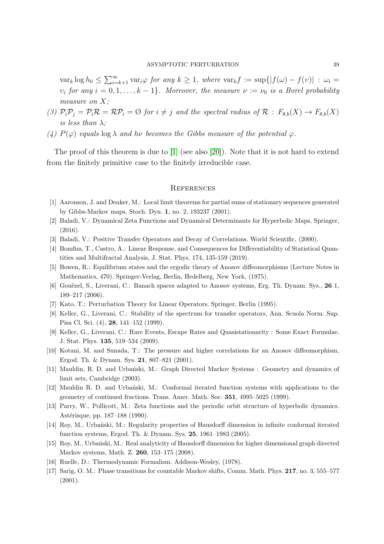$var_k \log h_0 \leq \sum_{i=k+1}^{\infty} \text{var}_i \varphi$  for any  $k \geq 1$ , where  $var_k f := \sup\{|f(\omega) - f(v)| : \omega_i =$  $v_i$  for any  $i = 0, 1, \ldots, k - 1$ . Moreover, the measure  $\nu := \nu_0$  is a Borel probability measure on X:

- (3)  $\mathcal{P}_i \mathcal{P}_j = \mathcal{P}_i \mathcal{R} = \mathcal{R} \mathcal{P}_i = \emptyset$  for  $i \neq j$  and the spectral radius of  $\mathcal{R} : F_{\theta,b}(X) \to F_{\theta,b}(X)$ is less than  $\lambda$ ;
- (4)  $P(\varphi)$  equals log  $\lambda$  and hv becomes the Gibbs measure of the potential  $\varphi$ .

The proof of this theorem is due to  $[1]$  (see also  $[20]$ ). Note that it is not hard to extend from the finitely primitive case to the finitely irreducible case.

## <span id="page-38-0"></span>**REFERENCES**

- <span id="page-38-13"></span><span id="page-38-5"></span>[1] Aaronson, J. and Denker, M.: Local limit theorems for partial sums of stationary sequences generated by Gibbs-Markov maps, Stoch. Dyn. 1, no. 2, 193237 (2001).
- <span id="page-38-11"></span>[2] Baladi, V.: Dynamical Zeta Functions and Dynamical Determinants for Hyperbolic Maps, Springer, (2016).
- <span id="page-38-6"></span>[3] Baladi, V.: Positive Transfer Operators and Decay of Correlations. World Scientific, (2000).
- [4] Bomfim, T., Castro, A.: Linear Response, and Consequences for Differentiability of Statistical Quantities and Multifractal Analysis, J. Stat. Phys. 174, 135-159 (2019).
- <span id="page-38-1"></span>[5] Bowen, R.: Equilibrium states and the ergodic theory of Anosov diffeomorphisms (Lecture Notes in Mathematics, 470). Springer-Verlag, Berlin, Hedelberg, New York, (1975).
- <span id="page-38-2"></span>[6] Gouëzel, S., Liverani, C.: Banach spaces adapted to Anosov systems, Erg. Th. Dynam. Sys., 26 1, 189–217 (2006).
- <span id="page-38-3"></span>[7] Kato, T.: Perturbation Theory for Linear Operators. Springer, Berlin (1995).
- <span id="page-38-4"></span>[8] Keller, G., Liverani, C.: Stability of the spectrum for transfer operators, Ann. Scuola Norm. Sup. Pisa Cl. Sci. (4), 28, 141–152 (1999).
- [9] Keller, G., Liverani, C.: Rare Events, Escape Rates and Quasistationarity : Some Exact Formulae. J. Stat. Phys. 135, 519–534 (2009).
- <span id="page-38-7"></span>[10] Kotani, M. and Sunada, T.: The pressure and higher correlations for an Anosov diffeomorphism, Ergod. Th. & Dynam. Sys. 21, 807–821 (2001).
- <span id="page-38-8"></span>[11] Mauldin, R. D. and Urbański, M.: Graph Directed Markov Systems : Geometry and dynamics of limit sets, Cambridge (2003).
- [12] Mauldin R. D. and Urbanski, M.: Conformal iterated function systems with applications to the geometry of continued fractions. Trans. Amer. Math. Soc. 351, 4995–5025 (1999).
- <span id="page-38-9"></span>[13] Parry, W., Pollicott, M.: Zeta functions and the periodic orbit structure of hyperbolic dynamics. Astérisque, pp. 187–188 (1990).
- [14] Roy, M., Urbański, M.: Regularity properties of Hausdorff dimension in infinite conformal iterated function systems, Ergod. Th. & Dynam. Sys. 25, 1961–1983 (2005).
- <span id="page-38-10"></span>[15] Roy, M., Urbański, M.: Real analyticity of Hausdorff dimension for higher dimensional graph directed Markov systems, Math. Z. 260, 153–175 (2008).
- <span id="page-38-12"></span>[16] Ruelle, D.: Thermodynamic Formalism. Addison-Wesley, (1978).
- [17] Sarig, O. M.: Phase transitions for countable Markov shifts, Comm. Math. Phys. 217, no. 3, 555–577 (2001).